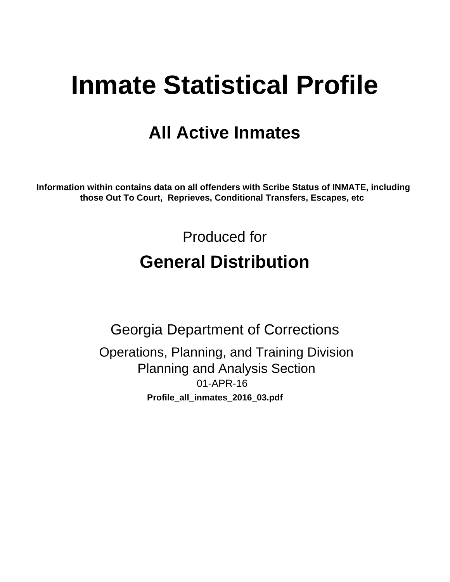# **Inmate Statistical Profile**

# **All Active Inmates**

Information within contains data on all offenders with Scribe Status of INMATE, including those Out To Court, Reprieves, Conditional Transfers, Escapes, etc

> Produced for **General Distribution**

**Georgia Department of Corrections** Operations, Planning, and Training Division **Planning and Analysis Section**  $01-APR-16$ Profile\_all\_inmates\_2016\_03.pdf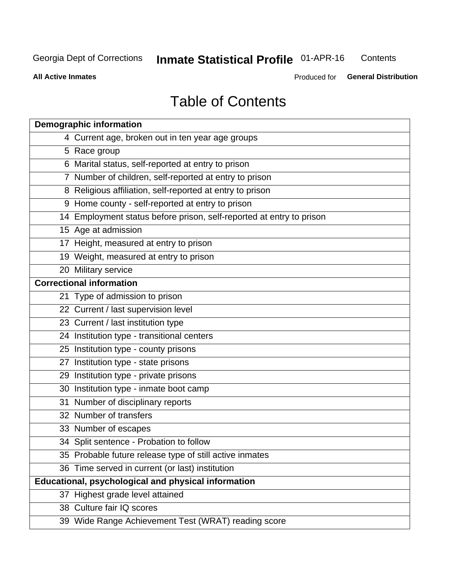#### **Inmate Statistical Profile 01-APR-16** Contents

**All Active Inmates** 

Produced for General Distribution

# **Table of Contents**

| <b>Demographic information</b>                                       |
|----------------------------------------------------------------------|
| 4 Current age, broken out in ten year age groups                     |
| 5 Race group                                                         |
| 6 Marital status, self-reported at entry to prison                   |
| 7 Number of children, self-reported at entry to prison               |
| 8 Religious affiliation, self-reported at entry to prison            |
| 9 Home county - self-reported at entry to prison                     |
| 14 Employment status before prison, self-reported at entry to prison |
| 15 Age at admission                                                  |
| 17 Height, measured at entry to prison                               |
| 19 Weight, measured at entry to prison                               |
| 20 Military service                                                  |
| <b>Correctional information</b>                                      |
| 21 Type of admission to prison                                       |
| 22 Current / last supervision level                                  |
| 23 Current / last institution type                                   |
| 24 Institution type - transitional centers                           |
| 25 Institution type - county prisons                                 |
| 27 Institution type - state prisons                                  |
| 29 Institution type - private prisons                                |
| 30 Institution type - inmate boot camp                               |
| 31 Number of disciplinary reports                                    |
| 32 Number of transfers                                               |
| 33 Number of escapes                                                 |
| 34 Split sentence - Probation to follow                              |
| 35 Probable future release type of still active inmates              |
| 36 Time served in current (or last) institution                      |
| Educational, psychological and physical information                  |
| 37 Highest grade level attained                                      |
| 38 Culture fair IQ scores                                            |
| 39 Wide Range Achievement Test (WRAT) reading score                  |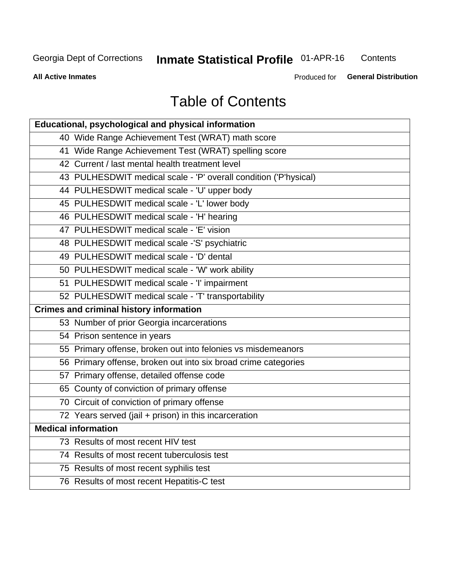# **Inmate Statistical Profile 01-APR-16**

Contents

**All Active Inmates** 

Produced for General Distribution

# **Table of Contents**

| Educational, psychological and physical information              |
|------------------------------------------------------------------|
| 40 Wide Range Achievement Test (WRAT) math score                 |
| 41 Wide Range Achievement Test (WRAT) spelling score             |
| 42 Current / last mental health treatment level                  |
| 43 PULHESDWIT medical scale - 'P' overall condition ('P'hysical) |
| 44 PULHESDWIT medical scale - 'U' upper body                     |
| 45 PULHESDWIT medical scale - 'L' lower body                     |
| 46 PULHESDWIT medical scale - 'H' hearing                        |
| 47 PULHESDWIT medical scale - 'E' vision                         |
| 48 PULHESDWIT medical scale -'S' psychiatric                     |
| 49 PULHESDWIT medical scale - 'D' dental                         |
| 50 PULHESDWIT medical scale - 'W' work ability                   |
| 51 PULHESDWIT medical scale - 'I' impairment                     |
| 52 PULHESDWIT medical scale - 'T' transportability               |
|                                                                  |
| <b>Crimes and criminal history information</b>                   |
| 53 Number of prior Georgia incarcerations                        |
| 54 Prison sentence in years                                      |
| 55 Primary offense, broken out into felonies vs misdemeanors     |
| 56 Primary offense, broken out into six broad crime categories   |
| 57 Primary offense, detailed offense code                        |
| 65 County of conviction of primary offense                       |
| 70 Circuit of conviction of primary offense                      |
| 72 Years served (jail + prison) in this incarceration            |
| <b>Medical information</b>                                       |
| 73 Results of most recent HIV test                               |
| 74 Results of most recent tuberculosis test                      |
| 75 Results of most recent syphilis test                          |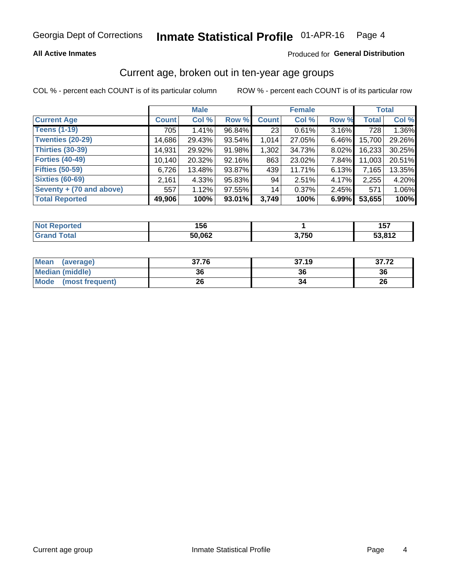### **All Active Inmates**

### Produced for General Distribution

# Current age, broken out in ten-year age groups

COL % - percent each COUNT is of its particular column

|                          | <b>Male</b>  |        |        | <b>Female</b> |        |          | <b>Total</b> |        |
|--------------------------|--------------|--------|--------|---------------|--------|----------|--------------|--------|
| <b>Current Age</b>       | <b>Count</b> | Col %  | Row %  | <b>Count</b>  | Col %  | Row %    | <b>Total</b> | Col %  |
| <b>Teens (1-19)</b>      | 705          | 1.41%  | 96.84% | 23            | 0.61%  | 3.16%    | 728          | 1.36%  |
| <b>Twenties (20-29)</b>  | 14,686       | 29.43% | 93.54% | 1,014         | 27.05% | $6.46\%$ | 15,700       | 29.26% |
| Thirties (30-39)         | 14,931       | 29.92% | 91.98% | 1,302         | 34.73% | 8.02%    | 16,233       | 30.25% |
| <b>Forties (40-49)</b>   | 10,140       | 20.32% | 92.16% | 863           | 23.02% | 7.84%    | 11,003       | 20.51% |
| <b>Fifties (50-59)</b>   | 6,726        | 13.48% | 93.87% | 439           | 11.71% | $6.13\%$ | 7,165        | 13.35% |
| <b>Sixties (60-69)</b>   | 2.161        | 4.33%  | 95.83% | 94            | 2.51%  | 4.17%    | 2,255        | 4.20%  |
| Seventy + (70 and above) | 557          | 1.12%  | 97.55% | 14            | 0.37%  | $2.45\%$ | 571          | 1.06%  |
| <b>Total Reported</b>    | 49,906       | 100%   | 93.01% | 3,749         | 100%   | 6.99%    | 53,655       | 100%   |

| <b>Not Reported</b> | 156    |                 | 1 E 7<br>וטו |
|---------------------|--------|-----------------|--------------|
| <b>Total</b>        | 50,062 | 2 75N<br>ט, ו ט | 53,812       |

| <b>Mean</b><br>(average)       | 37.76 | 37.19 | 37.72 |
|--------------------------------|-------|-------|-------|
| Median (middle)                | 36    | 36    | 36    |
| <b>Mode</b><br>(most frequent) | 26    |       | 26    |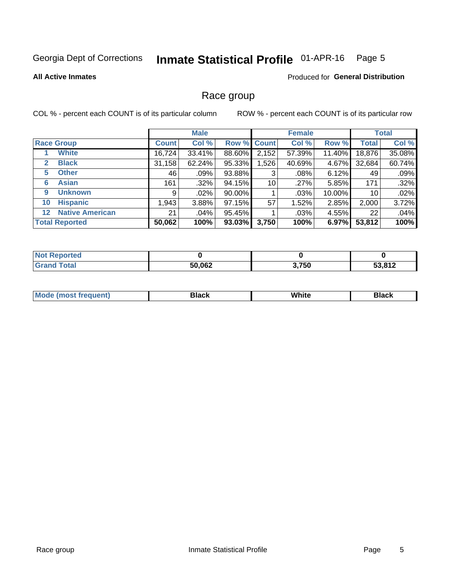#### Inmate Statistical Profile 01-APR-16 Page 5

#### **All Active Inmates**

### Produced for General Distribution

# Race group

COL % - percent each COUNT is of its particular column

|                                   |              | <b>Male</b> |        |                    | <b>Female</b> |        |                 | <b>Total</b> |  |
|-----------------------------------|--------------|-------------|--------|--------------------|---------------|--------|-----------------|--------------|--|
| <b>Race Group</b>                 | <b>Count</b> | Col %       |        | <b>Row % Count</b> | Col %         | Row %  | <b>Total</b>    | Col %        |  |
| <b>White</b>                      | 16,724       | 33.41%      | 88.60% | 2,152              | 57.39%        | 11.40% | 18,876          | 35.08%       |  |
| <b>Black</b><br>2                 | 31,158       | 62.24%      | 95.33% | .526               | 40.69%        | 4.67%  | 32,684          | 60.74%       |  |
| <b>Other</b><br>5.                | 46           | .09%        | 93.88% | 3                  | .08%          | 6.12%  | 49              | .09%         |  |
| <b>Asian</b><br>6                 | 161          | $.32\%$     | 94.15% | 10                 | .27%          | 5.85%  | 171             | .32%         |  |
| <b>Unknown</b><br>9               | 9            | $.02\%$     | 90.00% |                    | .03%          | 10.00% | 10 <sup>°</sup> | .02%         |  |
| <b>Hispanic</b><br>10             | 1,943        | 3.88%       | 97.15% | 57                 | 1.52%         | 2.85%  | 2,000           | 3.72%        |  |
| <b>Native American</b><br>$12 \,$ | 21           | .04%        | 95.45% |                    | .03%          | 4.55%  | 22              | .04%         |  |
| <b>Total Reported</b>             | 50,062       | 100%        | 93.03% | 3,750              | 100%          | 6.97%  | 53,812          | 100%         |  |

| <b>ported</b><br>NO. |        |       |                          |
|----------------------|--------|-------|--------------------------|
| `otal<br>'Grand      | 50,062 | 3,750 | <b>EQ 040</b><br>⊃ວ.o ι∠ |

| m | <br>w |  |
|---|-------|--|
|   |       |  |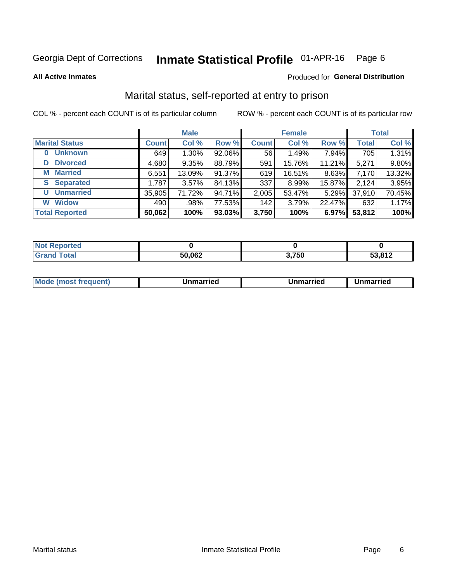#### Inmate Statistical Profile 01-APR-16 Page 6

**All Active Inmates** 

### Produced for General Distribution

# Marital status, self-reported at entry to prison

COL % - percent each COUNT is of its particular column

|                            | <b>Male</b>  |        |        |              | <b>Female</b> | <b>Total</b> |              |        |
|----------------------------|--------------|--------|--------|--------------|---------------|--------------|--------------|--------|
| <b>Marital Status</b>      | <b>Count</b> | Col %  | Row %  | <b>Count</b> | Col %         | Row %        | <b>Total</b> | Col %  |
| <b>Unknown</b><br>$\bf{0}$ | 649          | 1.30%  | 92.06% | 56           | 1.49%         | 7.94%        | 705          | 1.31%  |
| <b>Divorced</b><br>D       | 4,680        | 9.35%  | 88.79% | 591          | 15.76%        | 11.21%       | 5,271        | 9.80%  |
| <b>Married</b><br>М        | 6,551        | 13.09% | 91.37% | 619          | 16.51%        | 8.63%        | 7,170        | 13.32% |
| <b>Separated</b><br>S      | 1,787        | 3.57%  | 84.13% | 337          | 8.99%         | 15.87%       | 2,124        | 3.95%  |
| <b>Unmarried</b><br>U      | 35,905       | 71.72% | 94.71% | 2,005        | 53.47%        | 5.29%        | 37,910       | 70.45% |
| <b>Widow</b><br>W          | 490          | .98%   | 77.53% | 142          | 3.79%         | 22.47%       | 632          | 1.17%  |
| <b>Total Reported</b>      | 50,062       | 100%   | 93.03% | 3,750        | 100%          | 6.97%        | 53,812       | 100%   |

| $^{\dagger}$ Not $\cdot$<br>≅norted and |        |       |        |
|-----------------------------------------|--------|-------|--------|
| <b>Total</b>                            | 50.062 | 3,750 | 53.812 |

|--|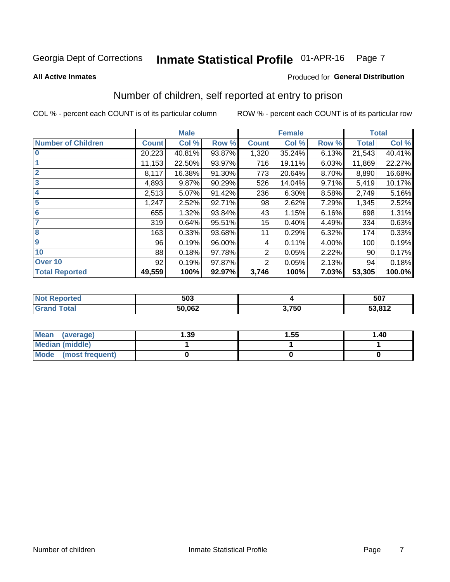#### Inmate Statistical Profile 01-APR-16 Page 7

**All Active Inmates** 

### **Produced for General Distribution**

# Number of children, self reported at entry to prison

COL % - percent each COUNT is of its particular column

|                           |              | <b>Male</b> |        |              | <b>Female</b> |       |              | <b>Total</b> |
|---------------------------|--------------|-------------|--------|--------------|---------------|-------|--------------|--------------|
| <b>Number of Children</b> | <b>Count</b> | Col %       | Row %  | <b>Count</b> | Col %         | Row % | <b>Total</b> | Col %        |
| $\overline{\mathbf{0}}$   | 20,223       | 40.81%      | 93.87% | 1,320        | 35.24%        | 6.13% | 21,543       | 40.41%       |
|                           | 11,153       | 22.50%      | 93.97% | 716          | 19.11%        | 6.03% | 11,869       | 22.27%       |
| $\overline{2}$            | 8,117        | 16.38%      | 91.30% | 773          | 20.64%        | 8.70% | 8,890        | 16.68%       |
| $\overline{\mathbf{3}}$   | 4,893        | 9.87%       | 90.29% | 526          | 14.04%        | 9.71% | 5,419        | 10.17%       |
| 4                         | 2,513        | 5.07%       | 91.42% | 236          | 6.30%         | 8.58% | 2,749        | 5.16%        |
| $\overline{\mathbf{5}}$   | 1,247        | 2.52%       | 92.71% | 98           | 2.62%         | 7.29% | 1,345        | 2.52%        |
| 6                         | 655          | 1.32%       | 93.84% | 43           | 1.15%         | 6.16% | 698          | 1.31%        |
| 7                         | 319          | 0.64%       | 95.51% | 15           | 0.40%         | 4.49% | 334          | 0.63%        |
| $\overline{\mathbf{8}}$   | 163          | 0.33%       | 93.68% | 11           | 0.29%         | 6.32% | 174          | 0.33%        |
| 9                         | 96           | 0.19%       | 96.00% | 4            | 0.11%         | 4.00% | 100          | 0.19%        |
| 10                        | 88           | 0.18%       | 97.78% | 2            | 0.05%         | 2.22% | 90           | 0.17%        |
| Over 10                   | 92           | 0.19%       | 97.87% | 2            | 0.05%         | 2.13% | 94           | 0.18%        |
| <b>Total Reported</b>     | 49,559       | 100%        | 92.97% | 3,746        | 100%          | 7.03% | 53,305       | 100.0%       |

| 503    |       | 507    |
|--------|-------|--------|
| 50,062 | 3,750 | 53,812 |

| Mean<br>(average)       | 1.39 | 1.55 | 1.40 |
|-------------------------|------|------|------|
| <b>Median (middle)</b>  |      |      |      |
| Mode<br>(most frequent) |      |      |      |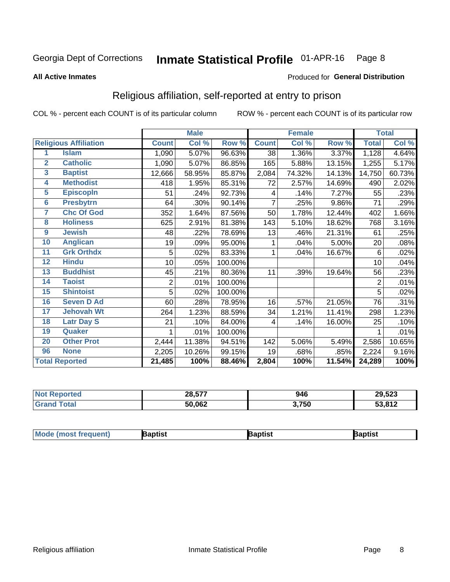#### Inmate Statistical Profile 01-APR-16 Page 8

#### **All Active Inmates**

### Produced for General Distribution

# Religious affiliation, self-reported at entry to prison

COL % - percent each COUNT is of its particular column

|                |                              |              | <b>Male</b> |         |              | <b>Female</b> |        |                | <b>Total</b> |
|----------------|------------------------------|--------------|-------------|---------|--------------|---------------|--------|----------------|--------------|
|                | <b>Religious Affiliation</b> | <b>Count</b> | Col %       | Row %   | <b>Count</b> | Col %         | Row %  | <b>Total</b>   | Col %        |
| 1              | <b>Islam</b>                 | 1,090        | 5.07%       | 96.63%  | 38           | 1.36%         | 3.37%  | 1,128          | 4.64%        |
| $\overline{2}$ | <b>Catholic</b>              | 1,090        | 5.07%       | 86.85%  | 165          | 5.88%         | 13.15% | 1,255          | 5.17%        |
| 3              | <b>Baptist</b>               | 12,666       | 58.95%      | 85.87%  | 2,084        | 74.32%        | 14.13% | 14,750         | 60.73%       |
| 4              | <b>Methodist</b>             | 418          | 1.95%       | 85.31%  | 72           | 2.57%         | 14.69% | 490            | 2.02%        |
| 5              | <b>EpiscopIn</b>             | 51           | .24%        | 92.73%  | 4            | .14%          | 7.27%  | 55             | .23%         |
| $6\phantom{a}$ | <b>Presbytrn</b>             | 64           | .30%        | 90.14%  | 7            | .25%          | 9.86%  | 71             | .29%         |
| 7              | <b>Chc Of God</b>            | 352          | 1.64%       | 87.56%  | 50           | 1.78%         | 12.44% | 402            | 1.66%        |
| 8              | <b>Holiness</b>              | 625          | 2.91%       | 81.38%  | 143          | 5.10%         | 18.62% | 768            | 3.16%        |
| 9              | <b>Jewish</b>                | 48           | .22%        | 78.69%  | 13           | .46%          | 21.31% | 61             | .25%         |
| 10             | <b>Anglican</b>              | 19           | .09%        | 95.00%  | 1            | .04%          | 5.00%  | 20             | .08%         |
| 11             | <b>Grk Orthdx</b>            | 5            | .02%        | 83.33%  | 1            | .04%          | 16.67% | 6              | .02%         |
| 12             | <b>Hindu</b>                 | 10           | .05%        | 100.00% |              |               |        | 10             | .04%         |
| 13             | <b>Buddhist</b>              | 45           | .21%        | 80.36%  | 11           | .39%          | 19.64% | 56             | .23%         |
| 14             | <b>Taoist</b>                | 2            | .01%        | 100.00% |              |               |        | $\overline{2}$ | .01%         |
| 15             | <b>Shintoist</b>             | 5            | .02%        | 100.00% |              |               |        | 5              | .02%         |
| 16             | <b>Seven D Ad</b>            | 60           | .28%        | 78.95%  | 16           | .57%          | 21.05% | 76             | .31%         |
| 17             | <b>Jehovah Wt</b>            | 264          | 1.23%       | 88.59%  | 34           | 1.21%         | 11.41% | 298            | 1.23%        |
| 18             | <b>Latr Day S</b>            | 21           | .10%        | 84.00%  | 4            | .14%          | 16.00% | 25             | .10%         |
| 19             | Quaker                       |              | .01%        | 100.00% |              |               |        |                | .01%         |
| 20             | <b>Other Prot</b>            | 2,444        | 11.38%      | 94.51%  | 142          | 5.06%         | 5.49%  | 2,586          | 10.65%       |
| 96             | <b>None</b>                  | 2,205        | 10.26%      | 99.15%  | 19           | .68%          | .85%   | 2,224          | 9.16%        |
|                | <b>Total Reported</b>        | 21,485       | 100%        | 88.46%  | 2,804        | 100%          | 11.54% | 24,289         | 100%         |

| 'N ( | 28,577 | 946   | 29,523 |
|------|--------|-------|--------|
|      | 50,062 | 3,750 | 53,812 |

|  | <b>Moc</b><br>de (most frequent) | งptist | ้วtısı | רוסר. |
|--|----------------------------------|--------|--------|-------|
|--|----------------------------------|--------|--------|-------|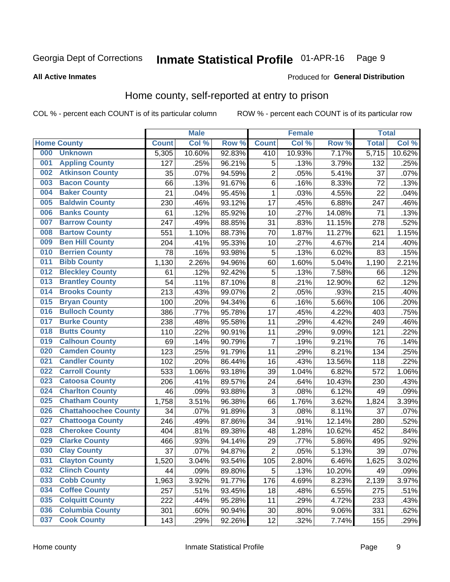#### Inmate Statistical Profile 01-APR-16 Page 9

#### **All Active Inmates**

### Produced for General Distribution

# Home county, self-reported at entry to prison

COL % - percent each COUNT is of its particular column

|     |                             |              | <b>Male</b> |                  |                | <b>Female</b> |        | <b>Total</b> |        |
|-----|-----------------------------|--------------|-------------|------------------|----------------|---------------|--------|--------------|--------|
|     | <b>Home County</b>          | <b>Count</b> | Col %       | Row <sup>%</sup> | <b>Count</b>   | Col %         | Row %  | <b>Total</b> | Col %  |
| 000 | <b>Unknown</b>              | 5,305        | 10.60%      | 92.83%           | 410            | 10.93%        | 7.17%  | 5,715        | 10.62% |
| 001 | <b>Appling County</b>       | 127          | .25%        | 96.21%           | 5              | .13%          | 3.79%  | 132          | .25%   |
| 002 | <b>Atkinson County</b>      | 35           | .07%        | 94.59%           | $\overline{c}$ | .05%          | 5.41%  | 37           | .07%   |
| 003 | <b>Bacon County</b>         | 66           | .13%        | 91.67%           | $\,6$          | .16%          | 8.33%  | 72           | .13%   |
| 004 | <b>Baker County</b>         | 21           | .04%        | 95.45%           | $\mathbf 1$    | .03%          | 4.55%  | 22           | .04%   |
| 005 | <b>Baldwin County</b>       | 230          | .46%        | 93.12%           | 17             | .45%          | 6.88%  | 247          | .46%   |
| 006 | <b>Banks County</b>         | 61           | .12%        | 85.92%           | 10             | .27%          | 14.08% | 71           | .13%   |
| 007 | <b>Barrow County</b>        | 247          | .49%        | 88.85%           | 31             | .83%          | 11.15% | 278          | .52%   |
| 008 | <b>Bartow County</b>        | 551          | 1.10%       | 88.73%           | 70             | 1.87%         | 11.27% | 621          | 1.15%  |
| 009 | <b>Ben Hill County</b>      | 204          | .41%        | 95.33%           | 10             | .27%          | 4.67%  | 214          | .40%   |
| 010 | <b>Berrien County</b>       | 78           | .16%        | 93.98%           | 5              | .13%          | 6.02%  | 83           | .15%   |
| 011 | <b>Bibb County</b>          | 1,130        | 2.26%       | 94.96%           | 60             | 1.60%         | 5.04%  | 1,190        | 2.21%  |
| 012 | <b>Bleckley County</b>      | 61           | .12%        | 92.42%           | 5              | .13%          | 7.58%  | 66           | .12%   |
| 013 | <b>Brantley County</b>      | 54           | .11%        | 87.10%           | $\bf 8$        | .21%          | 12.90% | 62           | .12%   |
| 014 | <b>Brooks County</b>        | 213          | .43%        | 99.07%           | $\overline{2}$ | .05%          | .93%   | 215          | .40%   |
| 015 | <b>Bryan County</b>         | 100          | .20%        | 94.34%           | $\,6$          | .16%          | 5.66%  | 106          | .20%   |
| 016 | <b>Bulloch County</b>       | 386          | .77%        | 95.78%           | 17             | .45%          | 4.22%  | 403          | .75%   |
| 017 | <b>Burke County</b>         | 238          | .48%        | 95.58%           | 11             | .29%          | 4.42%  | 249          | .46%   |
| 018 | <b>Butts County</b>         | 110          | .22%        | 90.91%           | 11             | .29%          | 9.09%  | 121          | .22%   |
| 019 | <b>Calhoun County</b>       | 69           | .14%        | 90.79%           | 7              | .19%          | 9.21%  | 76           | .14%   |
| 020 | <b>Camden County</b>        | 123          | .25%        | 91.79%           | 11             | .29%          | 8.21%  | 134          | .25%   |
| 021 | <b>Candler County</b>       | 102          | .20%        | 86.44%           | 16             | .43%          | 13.56% | 118          | .22%   |
| 022 | <b>Carroll County</b>       | 533          | 1.06%       | 93.18%           | 39             | 1.04%         | 6.82%  | 572          | 1.06%  |
| 023 | <b>Catoosa County</b>       | 206          | .41%        | 89.57%           | 24             | .64%          | 10.43% | 230          | .43%   |
| 024 | <b>Charlton County</b>      | 46           | .09%        | 93.88%           | 3              | .08%          | 6.12%  | 49           | .09%   |
| 025 | <b>Chatham County</b>       | 1,758        | 3.51%       | 96.38%           | 66             | 1.76%         | 3.62%  | 1,824        | 3.39%  |
| 026 | <b>Chattahoochee County</b> | 34           | .07%        | 91.89%           | $\mathbf{3}$   | .08%          | 8.11%  | 37           | .07%   |
| 027 | <b>Chattooga County</b>     | 246          | .49%        | 87.86%           | 34             | .91%          | 12.14% | 280          | .52%   |
| 028 | <b>Cherokee County</b>      | 404          | .81%        | 89.38%           | 48             | 1.28%         | 10.62% | 452          | .84%   |
| 029 | <b>Clarke County</b>        | 466          | .93%        | 94.14%           | 29             | .77%          | 5.86%  | 495          | .92%   |
| 030 | <b>Clay County</b>          | 37           | .07%        | 94.87%           | $\overline{2}$ | .05%          | 5.13%  | 39           | .07%   |
| 031 | <b>Clayton County</b>       | 1,520        | 3.04%       | 93.54%           | 105            | 2.80%         | 6.46%  | 1,625        | 3.02%  |
| 032 | <b>Clinch County</b>        | 44           | .09%        | 89.80%           | 5              | .13%          | 10.20% | 49           | .09%   |
| 033 | <b>Cobb County</b>          | 1,963        | 3.92%       | 91.77%           | 176            | 4.69%         | 8.23%  | 2,139        | 3.97%  |
| 034 | <b>Coffee County</b>        | 257          | .51%        | 93.45%           | 18             | .48%          | 6.55%  | 275          | .51%   |
| 035 | <b>Colquitt County</b>      | 222          | .44%        | 95.28%           | 11             | .29%          | 4.72%  | 233          | .43%   |
| 036 | <b>Columbia County</b>      | 301          | .60%        | 90.94%           | 30             | .80%          | 9.06%  | 331          | .62%   |
| 037 | <b>Cook County</b>          | 143          | .29%        | 92.26%           | 12             | .32%          | 7.74%  | 155          | .29%   |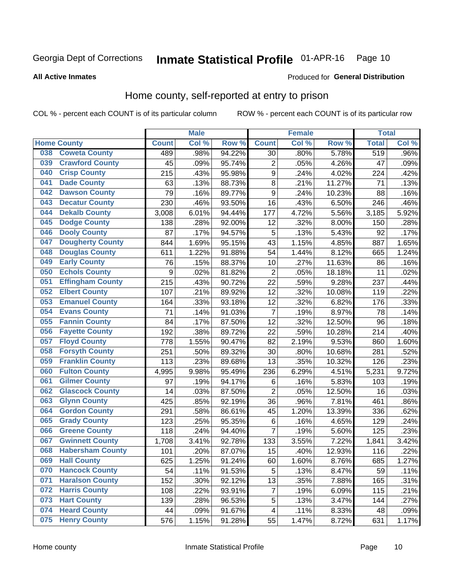#### Inmate Statistical Profile 01-APR-16 Page 10

### **All Active Inmates**

### Produced for General Distribution

# Home county, self-reported at entry to prison

COL % - percent each COUNT is of its particular column

|     |                         |                  | <b>Male</b> |        |                         | <b>Female</b> |        | <b>Total</b> |         |
|-----|-------------------------|------------------|-------------|--------|-------------------------|---------------|--------|--------------|---------|
|     | <b>Home County</b>      | <b>Count</b>     | Col %       | Row %  | <b>Count</b>            | Col %         | Row %  | <b>Total</b> | Col %   |
| 038 | <b>Coweta County</b>    | 489              | .98%        | 94.22% | 30                      | .80%          | 5.78%  | 519          | $.96\%$ |
| 039 | <b>Crawford County</b>  | 45               | .09%        | 95.74% | $\overline{c}$          | .05%          | 4.26%  | 47           | .09%    |
| 040 | <b>Crisp County</b>     | 215              | .43%        | 95.98% | $\boldsymbol{9}$        | .24%          | 4.02%  | 224          | .42%    |
| 041 | <b>Dade County</b>      | 63               | .13%        | 88.73% | 8                       | .21%          | 11.27% | 71           | .13%    |
| 042 | <b>Dawson County</b>    | 79               | .16%        | 89.77% | 9                       | .24%          | 10.23% | 88           | .16%    |
| 043 | <b>Decatur County</b>   | 230              | .46%        | 93.50% | 16                      | .43%          | 6.50%  | 246          | .46%    |
| 044 | <b>Dekalb County</b>    | 3,008            | 6.01%       | 94.44% | 177                     | 4.72%         | 5.56%  | 3,185        | 5.92%   |
| 045 | <b>Dodge County</b>     | 138              | .28%        | 92.00% | 12                      | .32%          | 8.00%  | 150          | .28%    |
| 046 | <b>Dooly County</b>     | 87               | .17%        | 94.57% | 5                       | .13%          | 5.43%  | 92           | .17%    |
| 047 | <b>Dougherty County</b> | 844              | 1.69%       | 95.15% | 43                      | 1.15%         | 4.85%  | 887          | 1.65%   |
| 048 | <b>Douglas County</b>   | 611              | 1.22%       | 91.88% | 54                      | 1.44%         | 8.12%  | 665          | 1.24%   |
| 049 | <b>Early County</b>     | 76               | .15%        | 88.37% | 10                      | .27%          | 11.63% | 86           | .16%    |
| 050 | <b>Echols County</b>    | $\boldsymbol{9}$ | .02%        | 81.82% | $\overline{2}$          | .05%          | 18.18% | 11           | .02%    |
| 051 | <b>Effingham County</b> | 215              | .43%        | 90.72% | 22                      | .59%          | 9.28%  | 237          | .44%    |
| 052 | <b>Elbert County</b>    | 107              | .21%        | 89.92% | 12                      | .32%          | 10.08% | 119          | .22%    |
| 053 | <b>Emanuel County</b>   | 164              | .33%        | 93.18% | 12                      | .32%          | 6.82%  | 176          | .33%    |
| 054 | <b>Evans County</b>     | 71               | .14%        | 91.03% | 7                       | .19%          | 8.97%  | 78           | .14%    |
| 055 | <b>Fannin County</b>    | 84               | .17%        | 87.50% | 12                      | .32%          | 12.50% | 96           | .18%    |
| 056 | <b>Fayette County</b>   | 192              | .38%        | 89.72% | 22                      | .59%          | 10.28% | 214          | .40%    |
| 057 | <b>Floyd County</b>     | 778              | 1.55%       | 90.47% | 82                      | 2.19%         | 9.53%  | 860          | 1.60%   |
| 058 | <b>Forsyth County</b>   | 251              | .50%        | 89.32% | 30                      | .80%          | 10.68% | 281          | .52%    |
| 059 | <b>Franklin County</b>  | 113              | .23%        | 89.68% | 13                      | .35%          | 10.32% | 126          | .23%    |
| 060 | <b>Fulton County</b>    | 4,995            | 9.98%       | 95.49% | 236                     | 6.29%         | 4.51%  | 5,231        | 9.72%   |
| 061 | <b>Gilmer County</b>    | 97               | .19%        | 94.17% | 6                       | .16%          | 5.83%  | 103          | .19%    |
| 062 | <b>Glascock County</b>  | 14               | .03%        | 87.50% | $\overline{2}$          | .05%          | 12.50% | 16           | .03%    |
| 063 | <b>Glynn County</b>     | 425              | .85%        | 92.19% | 36                      | .96%          | 7.81%  | 461          | .86%    |
| 064 | <b>Gordon County</b>    | 291              | .58%        | 86.61% | 45                      | 1.20%         | 13.39% | 336          | .62%    |
| 065 | <b>Grady County</b>     | 123              | .25%        | 95.35% | 6                       | .16%          | 4.65%  | 129          | .24%    |
| 066 | <b>Greene County</b>    | 118              | .24%        | 94.40% | $\overline{7}$          | .19%          | 5.60%  | 125          | .23%    |
| 067 | <b>Gwinnett County</b>  | 1,708            | 3.41%       | 92.78% | 133                     | 3.55%         | 7.22%  | 1,841        | 3.42%   |
| 068 | <b>Habersham County</b> | 101              | .20%        | 87.07% | 15                      | .40%          | 12.93% | 116          | .22%    |
| 069 | <b>Hall County</b>      | 625              | 1.25%       | 91.24% | 60                      | 1.60%         | 8.76%  | 685          | 1.27%   |
| 070 | <b>Hancock County</b>   | 54               | .11%        | 91.53% | 5                       | .13%          | 8.47%  | 59           | .11%    |
| 071 | <b>Haralson County</b>  | 152              | .30%        | 92.12% | 13                      | .35%          | 7.88%  | 165          | .31%    |
| 072 | <b>Harris County</b>    | 108              | .22%        | 93.91% | $\overline{7}$          | .19%          | 6.09%  | 115          | .21%    |
| 073 | <b>Hart County</b>      | 139              | .28%        | 96.53% | 5                       | .13%          | 3.47%  | 144          | .27%    |
| 074 | <b>Heard County</b>     | 44               | .09%        | 91.67% | $\overline{\mathbf{4}}$ | .11%          | 8.33%  | 48           | .09%    |
| 075 | <b>Henry County</b>     | 576              | 1.15%       | 91.28% | 55                      | 1.47%         | 8.72%  | 631          | 1.17%   |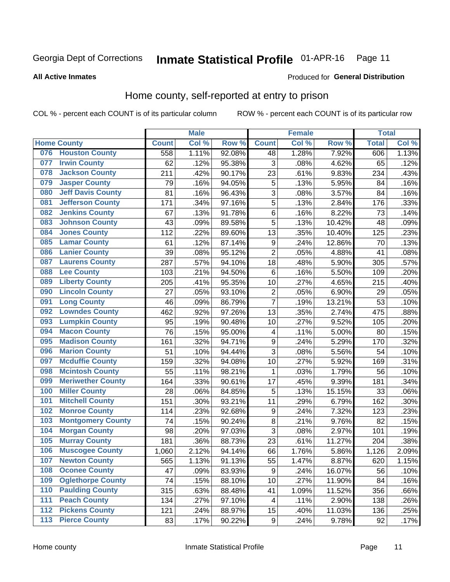**All Active Inmates** 

#### Inmate Statistical Profile 01-APR-16 Page 11

### Produced for General Distribution

# Home county, self-reported at entry to prison

COL % - percent each COUNT is of its particular column

|     |                          |              | <b>Male</b> |        |                         | Female |        | <b>Total</b> |       |
|-----|--------------------------|--------------|-------------|--------|-------------------------|--------|--------|--------------|-------|
|     | <b>Home County</b>       | <b>Count</b> | Col %       | Row %  | <b>Count</b>            | Col %  | Row %  | <b>Total</b> | Col % |
| 076 | <b>Houston County</b>    | 558          | 1.11%       | 92.08% | 48                      | 1.28%  | 7.92%  | 606          | 1.13% |
| 077 | <b>Irwin County</b>      | 62           | .12%        | 95.38% | 3                       | .08%   | 4.62%  | 65           | .12%  |
| 078 | <b>Jackson County</b>    | 211          | .42%        | 90.17% | 23                      | .61%   | 9.83%  | 234          | .43%  |
| 079 | <b>Jasper County</b>     | 79           | .16%        | 94.05% | 5                       | .13%   | 5.95%  | 84           | .16%  |
| 080 | <b>Jeff Davis County</b> | 81           | .16%        | 96.43% | 3                       | .08%   | 3.57%  | 84           | .16%  |
| 081 | <b>Jefferson County</b>  | 171          | .34%        | 97.16% | $\overline{5}$          | .13%   | 2.84%  | 176          | .33%  |
| 082 | <b>Jenkins County</b>    | 67           | .13%        | 91.78% | 6                       | .16%   | 8.22%  | 73           | .14%  |
| 083 | <b>Johnson County</b>    | 43           | .09%        | 89.58% | 5                       | .13%   | 10.42% | 48           | .09%  |
| 084 | <b>Jones County</b>      | 112          | .22%        | 89.60% | 13                      | .35%   | 10.40% | 125          | .23%  |
| 085 | <b>Lamar County</b>      | 61           | .12%        | 87.14% | $\boldsymbol{9}$        | .24%   | 12.86% | 70           | .13%  |
| 086 | <b>Lanier County</b>     | 39           | .08%        | 95.12% | $\overline{2}$          | .05%   | 4.88%  | 41           | .08%  |
| 087 | <b>Laurens County</b>    | 287          | .57%        | 94.10% | 18                      | .48%   | 5.90%  | 305          | .57%  |
| 088 | <b>Lee County</b>        | 103          | .21%        | 94.50% | 6                       | .16%   | 5.50%  | 109          | .20%  |
| 089 | <b>Liberty County</b>    | 205          | .41%        | 95.35% | 10                      | .27%   | 4.65%  | 215          | .40%  |
| 090 | <b>Lincoln County</b>    | 27           | .05%        | 93.10% | $\overline{2}$          | .05%   | 6.90%  | 29           | .05%  |
| 091 | <b>Long County</b>       | 46           | .09%        | 86.79% | $\overline{7}$          | .19%   | 13.21% | 53           | .10%  |
| 092 | <b>Lowndes County</b>    | 462          | .92%        | 97.26% | 13                      | .35%   | 2.74%  | 475          | .88%  |
| 093 | <b>Lumpkin County</b>    | 95           | .19%        | 90.48% | 10                      | .27%   | 9.52%  | 105          | .20%  |
| 094 | <b>Macon County</b>      | 76           | .15%        | 95.00% | $\overline{\mathbf{4}}$ | .11%   | 5.00%  | 80           | .15%  |
| 095 | <b>Madison County</b>    | 161          | .32%        | 94.71% | $\boldsymbol{9}$        | .24%   | 5.29%  | 170          | .32%  |
| 096 | <b>Marion County</b>     | 51           | .10%        | 94.44% | 3                       | .08%   | 5.56%  | 54           | .10%  |
| 097 | <b>Mcduffie County</b>   | 159          | .32%        | 94.08% | 10                      | .27%   | 5.92%  | 169          | .31%  |
| 098 | <b>Mcintosh County</b>   | 55           | .11%        | 98.21% | 1                       | .03%   | 1.79%  | 56           | .10%  |
| 099 | <b>Meriwether County</b> | 164          | .33%        | 90.61% | 17                      | .45%   | 9.39%  | 181          | .34%  |
| 100 | <b>Miller County</b>     | 28           | .06%        | 84.85% | 5                       | .13%   | 15.15% | 33           | .06%  |
| 101 | <b>Mitchell County</b>   | 151          | .30%        | 93.21% | 11                      | .29%   | 6.79%  | 162          | .30%  |
| 102 | <b>Monroe County</b>     | 114          | .23%        | 92.68% | 9                       | .24%   | 7.32%  | 123          | .23%  |
| 103 | <b>Montgomery County</b> | 74           | .15%        | 90.24% | 8                       | .21%   | 9.76%  | 82           | .15%  |
| 104 | <b>Morgan County</b>     | 98           | .20%        | 97.03% | $\overline{3}$          | .08%   | 2.97%  | 101          | .19%  |
| 105 | <b>Murray County</b>     | 181          | .36%        | 88.73% | 23                      | .61%   | 11.27% | 204          | .38%  |
| 106 | <b>Muscogee County</b>   | 1,060        | 2.12%       | 94.14% | 66                      | 1.76%  | 5.86%  | 1,126        | 2.09% |
| 107 | <b>Newton County</b>     | 565          | 1.13%       | 91.13% | 55                      | 1.47%  | 8.87%  | 620          | 1.15% |
| 108 | <b>Oconee County</b>     | 47           | .09%        | 83.93% | 9                       | .24%   | 16.07% | 56           | .10%  |
| 109 | <b>Oglethorpe County</b> | 74           | .15%        | 88.10% | 10                      | .27%   | 11.90% | 84           | .16%  |
| 110 | <b>Paulding County</b>   | 315          | .63%        | 88.48% | 41                      | 1.09%  | 11.52% | 356          | .66%  |
| 111 | <b>Peach County</b>      | 134          | .27%        | 97.10% | $\overline{\mathbf{4}}$ | .11%   | 2.90%  | 138          | .26%  |
| 112 | <b>Pickens County</b>    | 121          | .24%        | 88.97% | 15                      | .40%   | 11.03% | 136          | .25%  |
| 113 | <b>Pierce County</b>     | 83           | .17%        | 90.22% | $\boldsymbol{9}$        | .24%   | 9.78%  | 92           | .17%  |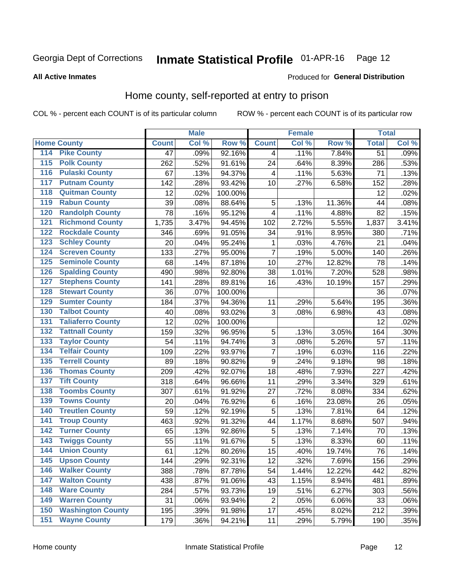# Inmate Statistical Profile 01-APR-16 Page 12

Produced for General Distribution

### **All Active Inmates**

# Home county, self-reported at entry to prison

COL % - percent each COUNT is of its particular column

|                  |                          |              | <b>Male</b> |         |                  | <b>Female</b> |        | <b>Total</b>    |       |
|------------------|--------------------------|--------------|-------------|---------|------------------|---------------|--------|-----------------|-------|
|                  | <b>Home County</b>       | <b>Count</b> | Col %       | Row %   | <b>Count</b>     | Col %         | Row %  | <b>Total</b>    | Col % |
| 114              | <b>Pike County</b>       | 47           | .09%        | 92.16%  | 4                | .11%          | 7.84%  | $\overline{51}$ | .09%  |
| $\overline{115}$ | <b>Polk County</b>       | 262          | .52%        | 91.61%  | 24               | .64%          | 8.39%  | 286             | .53%  |
| 116              | <b>Pulaski County</b>    | 67           | .13%        | 94.37%  | 4                | .11%          | 5.63%  | 71              | .13%  |
| 117              | <b>Putnam County</b>     | 142          | .28%        | 93.42%  | 10               | .27%          | 6.58%  | 152             | .28%  |
| 118              | <b>Quitman County</b>    | 12           | .02%        | 100.00% |                  |               |        | 12              | .02%  |
| 119              | <b>Rabun County</b>      | 39           | .08%        | 88.64%  | 5                | .13%          | 11.36% | 44              | .08%  |
| 120              | <b>Randolph County</b>   | 78           | .16%        | 95.12%  | 4                | .11%          | 4.88%  | 82              | .15%  |
| 121              | <b>Richmond County</b>   | 1,735        | 3.47%       | 94.45%  | 102              | 2.72%         | 5.55%  | 1,837           | 3.41% |
| 122              | <b>Rockdale County</b>   | 346          | .69%        | 91.05%  | 34               | .91%          | 8.95%  | 380             | .71%  |
| 123              | <b>Schley County</b>     | 20           | .04%        | 95.24%  | 1                | .03%          | 4.76%  | 21              | .04%  |
| 124              | <b>Screven County</b>    | 133          | .27%        | 95.00%  | $\overline{7}$   | .19%          | 5.00%  | 140             | .26%  |
| 125              | <b>Seminole County</b>   | 68           | .14%        | 87.18%  | 10               | .27%          | 12.82% | 78              | .14%  |
| 126              | <b>Spalding County</b>   | 490          | .98%        | 92.80%  | 38               | 1.01%         | 7.20%  | 528             | .98%  |
| 127              | <b>Stephens County</b>   | 141          | .28%        | 89.81%  | 16               | .43%          | 10.19% | 157             | .29%  |
| 128              | <b>Stewart County</b>    | 36           | .07%        | 100.00% |                  |               |        | 36              | .07%  |
| 129              | <b>Sumter County</b>     | 184          | .37%        | 94.36%  | 11               | .29%          | 5.64%  | 195             | .36%  |
| 130              | <b>Talbot County</b>     | 40           | .08%        | 93.02%  | 3                | .08%          | 6.98%  | 43              | .08%  |
| 131              | <b>Taliaferro County</b> | 12           | .02%        | 100.00% |                  |               |        | 12              | .02%  |
| 132              | <b>Tattnall County</b>   | 159          | .32%        | 96.95%  | $\sqrt{5}$       | .13%          | 3.05%  | 164             | .30%  |
| 133              | <b>Taylor County</b>     | 54           | .11%        | 94.74%  | 3                | .08%          | 5.26%  | 57              | .11%  |
| 134              | <b>Telfair County</b>    | 109          | .22%        | 93.97%  | $\overline{7}$   | .19%          | 6.03%  | 116             | .22%  |
| 135              | <b>Terrell County</b>    | 89           | .18%        | 90.82%  | $\boldsymbol{9}$ | .24%          | 9.18%  | 98              | .18%  |
| 136              | <b>Thomas County</b>     | 209          | .42%        | 92.07%  | 18               | .48%          | 7.93%  | 227             | .42%  |
| 137              | <b>Tift County</b>       | 318          | .64%        | 96.66%  | 11               | .29%          | 3.34%  | 329             | .61%  |
| 138              | <b>Toombs County</b>     | 307          | .61%        | 91.92%  | 27               | .72%          | 8.08%  | 334             | .62%  |
| 139              | <b>Towns County</b>      | 20           | .04%        | 76.92%  | $\,6$            | .16%          | 23.08% | 26              | .05%  |
| 140              | <b>Treutlen County</b>   | 59           | .12%        | 92.19%  | 5                | .13%          | 7.81%  | 64              | .12%  |
| 141              | <b>Troup County</b>      | 463          | .92%        | 91.32%  | 44               | 1.17%         | 8.68%  | 507             | .94%  |
| $\overline{142}$ | <b>Turner County</b>     | 65           | .13%        | 92.86%  | 5                | .13%          | 7.14%  | 70              | .13%  |
| 143              | <b>Twiggs County</b>     | 55           | .11%        | 91.67%  | 5                | .13%          | 8.33%  | 60              | .11%  |
| 144              | <b>Union County</b>      | 61           | .12%        | 80.26%  | 15               | .40%          | 19.74% | 76              | .14%  |
| 145              | <b>Upson County</b>      | 144          | .29%        | 92.31%  | 12               | .32%          | 7.69%  | 156             | .29%  |
| 146              | <b>Walker County</b>     | 388          | .78%        | 87.78%  | 54               | 1.44%         | 12.22% | 442             | .82%  |
| 147              | <b>Walton County</b>     | 438          | .87%        | 91.06%  | 43               | 1.15%         | 8.94%  | 481             | .89%  |
| 148              | <b>Ware County</b>       | 284          | .57%        | 93.73%  | 19               | .51%          | 6.27%  | 303             | .56%  |
| 149              | <b>Warren County</b>     | 31           | .06%        | 93.94%  | $\overline{c}$   | .05%          | 6.06%  | 33              | .06%  |
| 150              | <b>Washington County</b> | 195          | .39%        | 91.98%  | 17               | .45%          | 8.02%  | 212             | .39%  |
| 151              | <b>Wayne County</b>      | 179          | .36%        | 94.21%  | 11               | .29%          | 5.79%  | 190             | .35%  |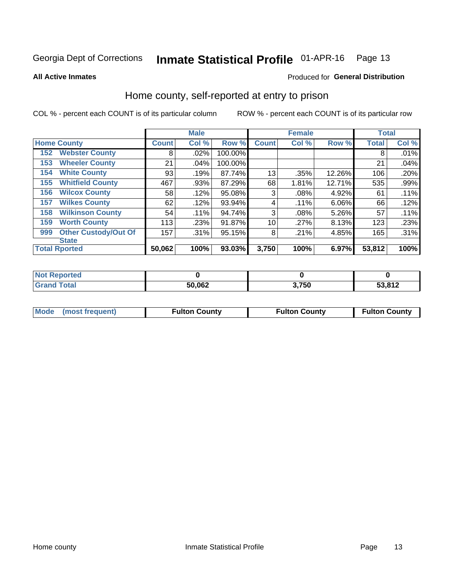#### Inmate Statistical Profile 01-APR-16 Page 13

#### **All Active Inmates**

# Produced for General Distribution

# Home county, self-reported at entry to prison

COL % - percent each COUNT is of its particular column

|     |                             |              | <b>Male</b> |         |              | <b>Female</b> |        | <b>Total</b> |       |
|-----|-----------------------------|--------------|-------------|---------|--------------|---------------|--------|--------------|-------|
|     | <b>Home County</b>          | <b>Count</b> | Col %       | Row %   | <b>Count</b> | Col%          | Row %  | <b>Total</b> | Col % |
| 152 | <b>Webster County</b>       | 8            | .02%        | 100.00% |              |               |        | 8            | .01%  |
| 153 | <b>Wheeler County</b>       | 21           | .04%        | 100.00% |              |               |        | 21           | .04%  |
| 154 | <b>White County</b>         | 93           | .19%        | 87.74%  | 13           | .35%          | 12.26% | 106          | .20%  |
| 155 | <b>Whitfield County</b>     | 467          | .93%        | 87.29%  | 68           | 1.81%         | 12.71% | 535          | .99%  |
| 156 | <b>Wilcox County</b>        | 58           | .12%        | 95.08%  | 3            | .08%          | 4.92%  | 61           | .11%  |
| 157 | <b>Wilkes County</b>        | 62           | .12%        | 93.94%  | 4            | .11%          | 6.06%  | 66           | .12%  |
| 158 | <b>Wilkinson County</b>     | 54           | .11%        | 94.74%  | 3            | .08%          | 5.26%  | 57           | .11%  |
| 159 | <b>Worth County</b>         | 113          | .23%        | 91.87%  | 10           | .27%          | 8.13%  | 123          | .23%  |
| 999 | <b>Other Custody/Out Of</b> | 157          | .31%        | 95.15%  | 8            | .21%          | 4.85%  | 165          | .31%  |
|     | <b>State</b>                |              |             |         |              |               |        |              |       |
|     | <b>Total Rported</b>        | 50,062       | 100%        | 93.03%  | 3,750        | 100%          | 6.97%  | 53,812       | 100%  |

| ueo |        |       |               |
|-----|--------|-------|---------------|
|     | 50,062 | 3,750 | <b>EQ 040</b> |

|  | Mode (most frequent) | <b>Fulton County</b> | <b>Fulton County</b> | <b>Fulton County</b> |
|--|----------------------|----------------------|----------------------|----------------------|
|--|----------------------|----------------------|----------------------|----------------------|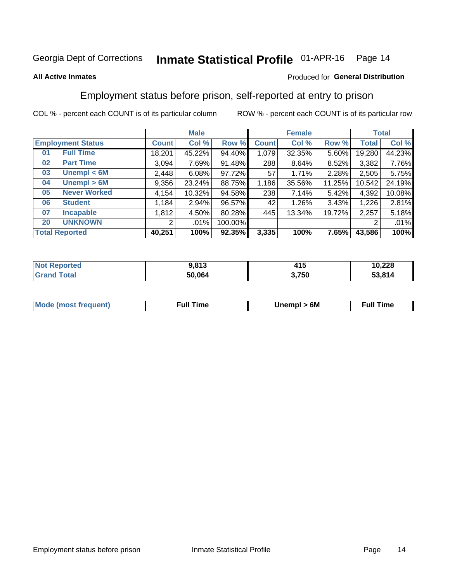#### Inmate Statistical Profile 01-APR-16 Page 14

### **All Active Inmates**

### Produced for General Distribution

# Employment status before prison, self-reported at entry to prison

COL % - percent each COUNT is of its particular column

|                                    |              | <b>Male</b> |         |              | <b>Female</b> |        |        | <b>Total</b> |
|------------------------------------|--------------|-------------|---------|--------------|---------------|--------|--------|--------------|
| <b>Employment Status</b>           | <b>Count</b> | Col %       | Row %   | <b>Count</b> | Col %         | Row %  | Total  | Col %        |
| <b>Full Time</b><br>0 <sub>1</sub> | 18,201       | 45.22%      | 94.40%  | 1,079        | 32.35%        | 5.60%  | 19,280 | 44.23%       |
| <b>Part Time</b><br>02             | 3,094        | 7.69%       | 91.48%  | 288          | 8.64%         | 8.52%  | 3,382  | 7.76%        |
| Unempl $<$ 6M<br>03                | 2,448        | 6.08%       | 97.72%  | 57           | 1.71%         | 2.28%  | 2,505  | 5.75%        |
| Unempl > 6M<br>04                  | 9,356        | 23.24%      | 88.75%  | 1,186        | 35.56%        | 11.25% | 10,542 | 24.19%       |
| <b>Never Worked</b><br>05          | 4,154        | 10.32%      | 94.58%  | 238          | 7.14%         | 5.42%  | 4,392  | 10.08%       |
| <b>Student</b><br>06               | 1,184        | 2.94%       | 96.57%  | 42           | 1.26%         | 3.43%  | 1,226  | 2.81%        |
| <b>Incapable</b><br>07             | 1,812        | 4.50%       | 80.28%  | 445          | 13.34%        | 19.72% | 2,257  | 5.18%        |
| <b>UNKNOWN</b><br>20               | 2            | .01%        | 100.00% |              |               |        | 2      | .01%         |
| <b>Total Reported</b>              | 40,251       | 100%        | 92.35%  | 3,335        | 100%          | 7.65%  | 43,586 | 100%         |

| <b>Not Reported</b> | 9,813  | 44 E<br>415 | 10,228 |
|---------------------|--------|-------------|--------|
| <b>Grand Total</b>  | 50,064 | 3,750       | 53,814 |

| <b>Mode (most frequent)</b> | Unempl > 6M | <b>Full Time</b> |
|-----------------------------|-------------|------------------|
|                             |             |                  |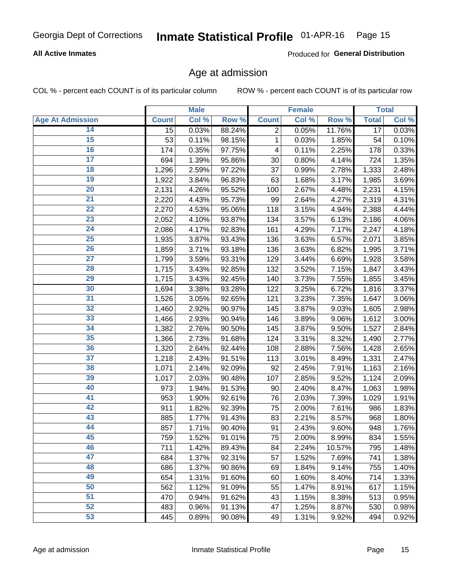### **All Active Inmates**

Produced for General Distribution

# Age at admission

COL % - percent each COUNT is of its particular column

|                         |              | <b>Male</b> |        |                | <b>Female</b> |        |                 | <b>Total</b> |
|-------------------------|--------------|-------------|--------|----------------|---------------|--------|-----------------|--------------|
| <b>Age At Admission</b> | <b>Count</b> | Col %       | Row %  | <b>Count</b>   | Col %         | Row %  | <b>Total</b>    | Col %        |
| 14                      | 15           | 0.03%       | 88.24% | $\overline{2}$ | 0.05%         | 11.76% | $\overline{17}$ | 0.03%        |
| 15                      | 53           | 0.11%       | 98.15% | 1              | 0.03%         | 1.85%  | 54              | 0.10%        |
| 16                      | 174          | 0.35%       | 97.75% | 4              | 0.11%         | 2.25%  | 178             | 0.33%        |
| $\overline{17}$         | 694          | 1.39%       | 95.86% | 30             | 0.80%         | 4.14%  | 724             | 1.35%        |
| $\overline{18}$         | 1,296        | 2.59%       | 97.22% | 37             | 0.99%         | 2.78%  | 1,333           | 2.48%        |
| 19                      | 1,922        | 3.84%       | 96.83% | 63             | 1.68%         | 3.17%  | 1,985           | 3.69%        |
| 20                      | 2,131        | 4.26%       | 95.52% | 100            | 2.67%         | 4.48%  | 2,231           | 4.15%        |
| $\overline{21}$         | 2,220        | 4.43%       | 95.73% | 99             | 2.64%         | 4.27%  | 2,319           | 4.31%        |
| $\overline{22}$         | 2,270        | 4.53%       | 95.06% | 118            | 3.15%         | 4.94%  | 2,388           | 4.44%        |
| 23                      | 2,052        | 4.10%       | 93.87% | 134            | 3.57%         | 6.13%  | 2,186           | 4.06%        |
| 24                      | 2,086        | 4.17%       | 92.83% | 161            | 4.29%         | 7.17%  | 2,247           | 4.18%        |
| $\overline{25}$         | 1,935        | 3.87%       | 93.43% | 136            | 3.63%         | 6.57%  | 2,071           | 3.85%        |
| $\overline{26}$         | 1,859        | 3.71%       | 93.18% | 136            | 3.63%         | 6.82%  | 1,995           | 3.71%        |
| $\overline{27}$         | 1,799        | 3.59%       | 93.31% | 129            | 3.44%         | 6.69%  | 1,928           | 3.58%        |
| 28                      | 1,715        | 3.43%       | 92.85% | 132            | 3.52%         | 7.15%  | 1,847           | 3.43%        |
| 29                      | 1,715        | 3.43%       | 92.45% | 140            | 3.73%         | 7.55%  | 1,855           | 3.45%        |
| 30                      | 1,694        | 3.38%       | 93.28% | 122            | 3.25%         | 6.72%  | 1,816           | 3.37%        |
| 31                      | 1,526        | 3.05%       | 92.65% | 121            | 3.23%         | 7.35%  | 1,647           | 3.06%        |
| 32                      | 1,460        | 2.92%       | 90.97% | 145            | 3.87%         | 9.03%  | 1,605           | 2.98%        |
| 33                      | 1,466        | 2.93%       | 90.94% | 146            | 3.89%         | 9.06%  | 1,612           | 3.00%        |
| 34                      | 1,382        | 2.76%       | 90.50% | 145            | 3.87%         | 9.50%  | 1,527           | 2.84%        |
| 35                      | 1,366        | 2.73%       | 91.68% | 124            | 3.31%         | 8.32%  | 1,490           | 2.77%        |
| 36                      | 1,320        | 2.64%       | 92.44% | 108            | 2.88%         | 7.56%  | 1,428           | 2.65%        |
| $\overline{37}$         | 1,218        | 2.43%       | 91.51% | 113            | 3.01%         | 8.49%  | 1,331           | 2.47%        |
| 38                      | 1,071        | 2.14%       | 92.09% | 92             | 2.45%         | 7.91%  | 1,163           | 2.16%        |
| 39                      | 1,017        | 2.03%       | 90.48% | 107            | 2.85%         | 9.52%  | 1,124           | 2.09%        |
| 40                      | 973          | 1.94%       | 91.53% | 90             | 2.40%         | 8.47%  | 1,063           | 1.98%        |
| 41                      | 953          | 1.90%       | 92.61% | 76             | 2.03%         | 7.39%  | 1,029           | 1.91%        |
| 42                      | 911          | 1.82%       | 92.39% | 75             | 2.00%         | 7.61%  | 986             | 1.83%        |
| 43                      | 885          | 1.77%       | 91.43% | 83             | 2.21%         | 8.57%  | 968             | 1.80%        |
| 44                      | 857          | 1.71%       | 90.40% | 91             | 2.43%         | 9.60%  | 948             | 1.76%        |
| 45                      | 759          | 1.52%       | 91.01% | 75             | 2.00%         | 8.99%  | 834             | 1.55%        |
| 46                      | 711          | 1.42%       | 89.43% | 84             | 2.24%         | 10.57% | 795             | 1.48%        |
| 47                      | 684          | 1.37%       | 92.31% | 57             | 1.52%         | 7.69%  | 741             | 1.38%        |
| 48                      | 686          | 1.37%       | 90.86% | 69             | 1.84%         | 9.14%  | 755             | 1.40%        |
| 49                      | 654          | 1.31%       | 91.60% | 60             | 1.60%         | 8.40%  | 714             | 1.33%        |
| 50                      | 562          | 1.12%       | 91.09% | 55             | 1.47%         | 8.91%  | 617             | 1.15%        |
| 51                      | 470          | 0.94%       | 91.62% | 43             | 1.15%         | 8.38%  | 513             | 0.95%        |
| 52                      | 483          | 0.96%       | 91.13% | 47             | 1.25%         | 8.87%  | 530             | 0.98%        |
| 53                      | 445          | 0.89%       | 90.08% | 49             | 1.31%         | 9.92%  | 494             | 0.92%        |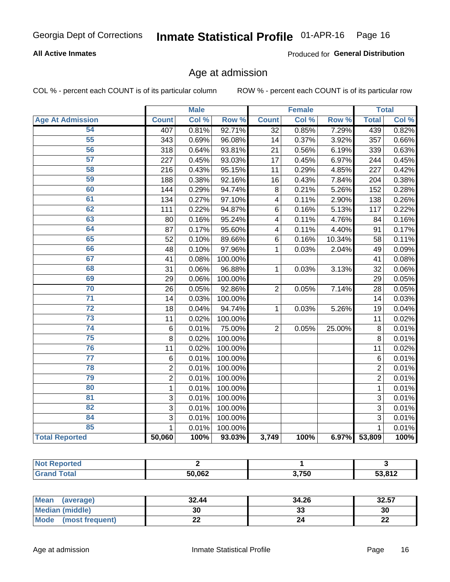### **All Active Inmates**

Produced for General Distribution

# Age at admission

COL % - percent each COUNT is of its particular column

|                         |                 | <b>Male</b> |         |                         | <b>Female</b> |        |                | <b>Total</b> |
|-------------------------|-----------------|-------------|---------|-------------------------|---------------|--------|----------------|--------------|
| <b>Age At Admission</b> | <b>Count</b>    | Col %       | Row %   | <b>Count</b>            | Col %         | Row %  | <b>Total</b>   | Col %        |
| 54                      | 407             | 0.81%       | 92.71%  | $\overline{32}$         | 0.85%         | 7.29%  | 439            | 0.82%        |
| 55                      | 343             | 0.69%       | 96.08%  | 14                      | 0.37%         | 3.92%  | 357            | 0.66%        |
| 56                      | 318             | 0.64%       | 93.81%  | $\overline{21}$         | 0.56%         | 6.19%  | 339            | 0.63%        |
| $\overline{57}$         | 227             | 0.45%       | 93.03%  | 17                      | 0.45%         | 6.97%  | 244            | 0.45%        |
| 58                      | 216             | 0.43%       | 95.15%  | 11                      | 0.29%         | 4.85%  | 227            | 0.42%        |
| 59                      | 188             | 0.38%       | 92.16%  | 16                      | 0.43%         | 7.84%  | 204            | 0.38%        |
| 60                      | 144             | 0.29%       | 94.74%  | 8                       | 0.21%         | 5.26%  | 152            | 0.28%        |
| 61                      | 134             | 0.27%       | 97.10%  | $\overline{\mathbf{4}}$ | 0.11%         | 2.90%  | 138            | 0.26%        |
| 62                      | 111             | 0.22%       | 94.87%  | 6                       | 0.16%         | 5.13%  | 117            | 0.22%        |
| 63                      | 80              | 0.16%       | 95.24%  | 4                       | 0.11%         | 4.76%  | 84             | 0.16%        |
| 64                      | 87              | 0.17%       | 95.60%  | $\overline{\mathbf{4}}$ | 0.11%         | 4.40%  | 91             | 0.17%        |
| 65                      | 52              | 0.10%       | 89.66%  | 6                       | 0.16%         | 10.34% | 58             | 0.11%        |
| 66                      | 48              | 0.10%       | 97.96%  | 1                       | 0.03%         | 2.04%  | 49             | 0.09%        |
| 67                      | 41              | 0.08%       | 100.00% |                         |               |        | 41             | 0.08%        |
| 68                      | 31              | 0.06%       | 96.88%  | 1                       | 0.03%         | 3.13%  | 32             | 0.06%        |
| 69                      | 29              | 0.06%       | 100.00% |                         |               |        | 29             | 0.05%        |
| 70                      | 26              | 0.05%       | 92.86%  | $\overline{2}$          | 0.05%         | 7.14%  | 28             | 0.05%        |
| $\overline{71}$         | 14              | 0.03%       | 100.00% |                         |               |        | 14             | 0.03%        |
| $\overline{72}$         | 18              | 0.04%       | 94.74%  | 1                       | 0.03%         | 5.26%  | 19             | 0.04%        |
| $\overline{73}$         | 11              | 0.02%       | 100.00% |                         |               |        | 11             | 0.02%        |
| 74                      | $\,6$           | 0.01%       | 75.00%  | $\overline{2}$          | 0.05%         | 25.00% | 8              | 0.01%        |
| 75                      | 8               | 0.02%       | 100.00% |                         |               |        | 8              | 0.01%        |
| 76                      | 11              | 0.02%       | 100.00% |                         |               |        | 11             | 0.02%        |
| $\overline{77}$         | $6\phantom{1}6$ | 0.01%       | 100.00% |                         |               |        | 6              | 0.01%        |
| 78                      | $\mathbf 2$     | 0.01%       | 100.00% |                         |               |        | $\overline{2}$ | 0.01%        |
| 79                      | $\overline{2}$  | 0.01%       | 100.00% |                         |               |        | $\overline{2}$ | 0.01%        |
| 80                      | $\mathbf{1}$    | 0.01%       | 100.00% |                         |               |        | $\mathbf{1}$   | 0.01%        |
| $\overline{81}$         | 3               | 0.01%       | 100.00% |                         |               |        | $\overline{3}$ | 0.01%        |
| $\overline{82}$         | $\overline{3}$  | 0.01%       | 100.00% |                         |               |        | $\overline{3}$ | 0.01%        |
| 84                      | 3               | 0.01%       | 100.00% |                         |               |        | $\overline{3}$ | 0.01%        |
| 85                      | $\mathbf{1}$    | 0.01%       | 100.00% |                         |               |        | $\mathbf{1}$   | 0.01%        |
| <b>Total Reported</b>   | 50,060          | 100%        | 93.03%  | 3,749                   | 100%          | 6.97%  | 53,809         | 100%         |

| 50,062 | 3,750 | 53,812 |
|--------|-------|--------|

| Mean (average)         | 32.44 | 34.26   | 32.57    |
|------------------------|-------|---------|----------|
| <b>Median (middle)</b> | 30    | ົ<br>33 | 30       |
| Mode (most frequent)   | ∸∸    | 24      | ጣጣ<br>LL |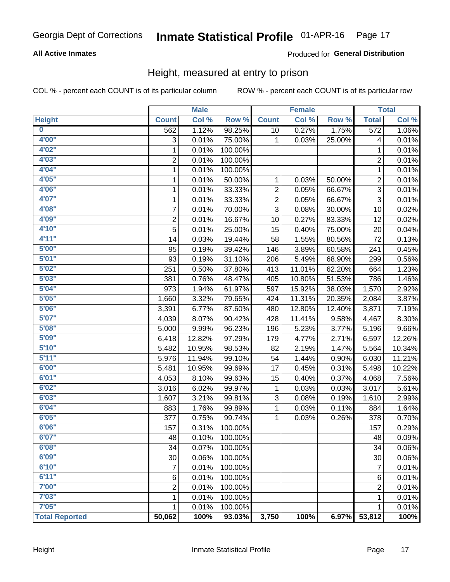### **All Active Inmates**

### Produced for General Distribution

# Height, measured at entry to prison

COL % - percent each COUNT is of its particular column

|                         |                | <b>Male</b> |         |                | <b>Female</b> |                  |                  | <b>Total</b> |
|-------------------------|----------------|-------------|---------|----------------|---------------|------------------|------------------|--------------|
| <b>Height</b>           | <b>Count</b>   | Col %       | Row %   | <b>Count</b>   | Col %         | Row <sup>%</sup> | <b>Total</b>     | Col %        |
| $\overline{\mathbf{0}}$ | 562            | 1.12%       | 98.25%  | 10             | 0.27%         | 1.75%            | $\overline{572}$ | 1.06%        |
| 4'00"                   | 3              | 0.01%       | 75.00%  | 1              | 0.03%         | 25.00%           | 4                | 0.01%        |
| 4'02"                   | $\mathbf{1}$   | 0.01%       | 100.00% |                |               |                  | 1                | 0.01%        |
| 4'03''                  | $\overline{c}$ | 0.01%       | 100.00% |                |               |                  | 2                | 0.01%        |
| 4'04"                   | $\mathbf{1}$   | 0.01%       | 100.00% |                |               |                  | 1                | 0.01%        |
| 4'05"                   | $\mathbf{1}$   | 0.01%       | 50.00%  | 1              | 0.03%         | 50.00%           | $\overline{c}$   | 0.01%        |
| 4'06"                   | $\mathbf{1}$   | 0.01%       | 33.33%  | $\overline{c}$ | 0.05%         | 66.67%           | $\overline{3}$   | 0.01%        |
| 4'07"                   | 1              | 0.01%       | 33.33%  | $\overline{2}$ | 0.05%         | 66.67%           | $\overline{3}$   | 0.01%        |
| 4'08"                   | 7              | 0.01%       | 70.00%  | 3              | 0.08%         | 30.00%           | 10               | 0.02%        |
| 4'09"                   | $\overline{c}$ | 0.01%       | 16.67%  | 10             | 0.27%         | 83.33%           | 12               | 0.02%        |
| 4'10"                   | 5              | 0.01%       | 25.00%  | 15             | 0.40%         | 75.00%           | 20               | 0.04%        |
| 4'11''                  | 14             | 0.03%       | 19.44%  | 58             | 1.55%         | 80.56%           | 72               | 0.13%        |
| 5'00''                  | 95             | 0.19%       | 39.42%  | 146            | 3.89%         | 60.58%           | 241              | 0.45%        |
| 5'01"                   | 93             | 0.19%       | 31.10%  | 206            | 5.49%         | 68.90%           | 299              | 0.56%        |
| 5'02"                   | 251            | 0.50%       | 37.80%  | 413            | 11.01%        | 62.20%           | 664              | 1.23%        |
| 5'03"                   | 381            | 0.76%       | 48.47%  | 405            | 10.80%        | 51.53%           | 786              | 1.46%        |
| 5'04"                   | 973            | 1.94%       | 61.97%  | 597            | 15.92%        | 38.03%           | 1,570            | 2.92%        |
| 5'05"                   | 1,660          | 3.32%       | 79.65%  | 424            | 11.31%        | 20.35%           | 2,084            | 3.87%        |
| 5'06''                  | 3,391          | 6.77%       | 87.60%  | 480            | 12.80%        | 12.40%           | 3,871            | 7.19%        |
| 5'07"                   | 4,039          | 8.07%       | 90.42%  | 428            | 11.41%        | 9.58%            | 4,467            | 8.30%        |
| 5'08''                  | 5,000          | 9.99%       | 96.23%  | 196            | 5.23%         | 3.77%            | 5,196            | 9.66%        |
| 5'09''                  | 6,418          | 12.82%      | 97.29%  | 179            | 4.77%         | 2.71%            | 6,597            | 12.26%       |
| 5'10''                  | 5,482          | 10.95%      | 98.53%  | 82             | 2.19%         | 1.47%            | 5,564            | 10.34%       |
| 5'11"                   | 5,976          | 11.94%      | 99.10%  | 54             | 1.44%         | 0.90%            | 6,030            | 11.21%       |
| 6'00''                  | 5,481          | 10.95%      | 99.69%  | 17             | 0.45%         | 0.31%            | 5,498            | 10.22%       |
| 6'01''                  | 4,053          | 8.10%       | 99.63%  | 15             | 0.40%         | 0.37%            | 4,068            | 7.56%        |
| 6'02"                   | 3,016          | 6.02%       | 99.97%  | 1              | 0.03%         | 0.03%            | 3,017            | 5.61%        |
| 6'03''                  | 1,607          | 3.21%       | 99.81%  | 3              | 0.08%         | 0.19%            | 1,610            | 2.99%        |
| 6'04"                   | 883            | 1.76%       | 99.89%  | $\mathbf 1$    | 0.03%         | 0.11%            | 884              | 1.64%        |
| 6'05"                   | 377            | 0.75%       | 99.74%  | 1              | 0.03%         | 0.26%            | 378              | 0.70%        |
| 6'06"                   | 157            | 0.31%       | 100.00% |                |               |                  | 157              | 0.29%        |
| 6'07"                   | 48             | 0.10%       | 100.00% |                |               |                  | 48               | 0.09%        |
| 6'08''                  | 34             | 0.07%       | 100.00% |                |               |                  | 34               | 0.06%        |
| 6'09''                  | 30             | 0.06%       | 100.00% |                |               |                  | 30               | 0.06%        |
| 6'10''                  | $\overline{7}$ | 0.01%       | 100.00% |                |               |                  | $\overline{7}$   | 0.01%        |
| 6'11''                  | 6              | 0.01%       | 100.00% |                |               |                  | 6                | 0.01%        |
| 7'00''                  | $\overline{2}$ | 0.01%       | 100.00% |                |               |                  | 2                | 0.01%        |
| 7'03''                  | 1              | 0.01%       | 100.00% |                |               |                  | 1                | 0.01%        |
| 7'05''                  | $\mathbf{1}$   | 0.01%       | 100.00% |                |               |                  | 1                | 0.01%        |
| <b>Total Reported</b>   | 50,062         | 100%        | 93.03%  | 3,750          | 100%          | 6.97%            | 53,812           | 100%         |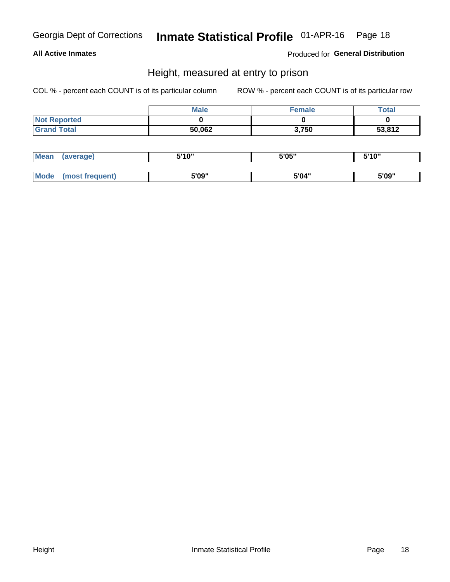### **All Active Inmates**

Produced for General Distribution

# Height, measured at entry to prison

COL % - percent each COUNT is of its particular column

|                     | <b>Male</b> | <b>Female</b> | Total  |
|---------------------|-------------|---------------|--------|
| <b>Not Reported</b> |             |               |        |
| <b>Grand Total</b>  | 50,062      | 3,750         | 53,812 |

| <b>Mean</b> | erage) | 5'10" | 5'05" | <b>CIA AIL</b><br>. . |
|-------------|--------|-------|-------|-----------------------|
|             |        |       |       |                       |
| <b>Mode</b> |        | 5'09" | 5'04" | 5'09"                 |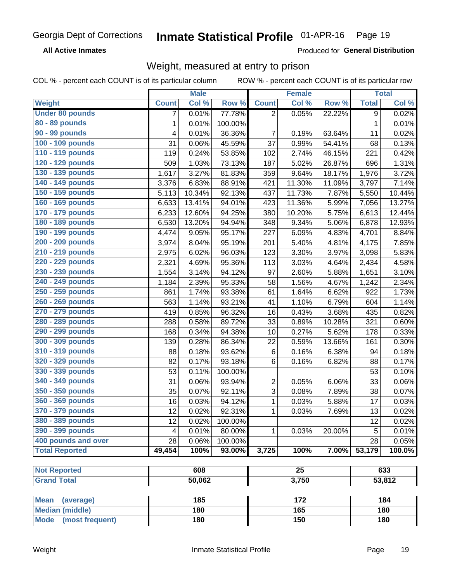**All Active Inmates** 

Produced for General Distribution

# Weight, measured at entry to prison

COL % - percent each COUNT is of its particular column ROW % - percent each COUNT is of its particular row

|                                |              | <b>Male</b> |         |                | <b>Female</b>   |        |              | <b>Total</b> |
|--------------------------------|--------------|-------------|---------|----------------|-----------------|--------|--------------|--------------|
| Weight                         | <b>Count</b> | Col %       | Row %   | <b>Count</b>   | Col%            | Row %  | <b>Total</b> | Col %        |
| <b>Under 80 pounds</b>         | 7            | 0.01%       | 77.78%  | $\overline{2}$ | 0.05%           | 22.22% | 9            | 0.02%        |
| 80 - 89 pounds                 | 1            | 0.01%       | 100.00% |                |                 |        | $\mathbf{1}$ | 0.01%        |
| 90 - 99 pounds                 | 4            | 0.01%       | 36.36%  | 7              | 0.19%           | 63.64% | 11           | 0.02%        |
| 100 - 109 pounds               | 31           | 0.06%       | 45.59%  | 37             | 0.99%           | 54.41% | 68           | 0.13%        |
| 110 - 119 pounds               | 119          | 0.24%       | 53.85%  | 102            | 2.74%           | 46.15% | 221          | 0.42%        |
| 120 - 129 pounds               | 509          | 1.03%       | 73.13%  | 187            | 5.02%           | 26.87% | 696          | 1.31%        |
| 130 - 139 pounds               | 1,617        | 3.27%       | 81.83%  | 359            | 9.64%           | 18.17% | 1,976        | 3.72%        |
| 140 - 149 pounds               | 3,376        | 6.83%       | 88.91%  | 421            | 11.30%          | 11.09% | 3,797        | 7.14%        |
| 150 - 159 pounds               | 5,113        | 10.34%      | 92.13%  | 437            | 11.73%          | 7.87%  | 5,550        | 10.44%       |
| 160 - 169 pounds               | 6,633        | 13.41%      | 94.01%  | 423            | 11.36%          | 5.99%  | 7,056        | 13.27%       |
| 170 - 179 pounds               | 6,233        | 12.60%      | 94.25%  | 380            | 10.20%          | 5.75%  | 6,613        | 12.44%       |
| 180 - 189 pounds               | 6,530        | 13.20%      | 94.94%  | 348            | 9.34%           | 5.06%  | 6,878        | 12.93%       |
| 190 - 199 pounds               | 4,474        | 9.05%       | 95.17%  | 227            | 6.09%           | 4.83%  | 4,701        | 8.84%        |
| 200 - 209 pounds               | 3,974        | 8.04%       | 95.19%  | 201            | 5.40%           | 4.81%  | 4,175        | 7.85%        |
| 210 - 219 pounds               | 2,975        | 6.02%       | 96.03%  | 123            | 3.30%           | 3.97%  | 3,098        | 5.83%        |
| 220 - 229 pounds               | 2,321        | 4.69%       | 95.36%  | 113            | 3.03%           | 4.64%  | 2,434        | 4.58%        |
| 230 - 239 pounds               | 1,554        | 3.14%       | 94.12%  | 97             | 2.60%           | 5.88%  | 1,651        | 3.10%        |
| 240 - 249 pounds               | 1,184        | 2.39%       | 95.33%  | 58             | 1.56%           | 4.67%  | 1,242        | 2.34%        |
| 250 - 259 pounds               | 861          | 1.74%       | 93.38%  | 61             | 1.64%           | 6.62%  | 922          | 1.73%        |
| 260 - 269 pounds               | 563          | 1.14%       | 93.21%  | 41             | 1.10%           | 6.79%  | 604          | 1.14%        |
| 270 - 279 pounds               | 419          | 0.85%       | 96.32%  | 16             | 0.43%           | 3.68%  | 435          | 0.82%        |
| 280 - 289 pounds               | 288          | 0.58%       | 89.72%  | 33             | 0.89%           | 10.28% | 321          | 0.60%        |
| 290 - 299 pounds               | 168          | 0.34%       | 94.38%  | 10             | 0.27%           | 5.62%  | 178          | 0.33%        |
| 300 - 309 pounds               | 139          | 0.28%       | 86.34%  | 22             | 0.59%           | 13.66% | 161          | 0.30%        |
| 310 - 319 pounds               | 88           | 0.18%       | 93.62%  | $\,6$          | 0.16%           | 6.38%  | 94           | 0.18%        |
| 320 - 329 pounds               | 82           | 0.17%       | 93.18%  | 6              | 0.16%           | 6.82%  | 88           | 0.17%        |
| 330 - 339 pounds               | 53           | 0.11%       | 100.00% |                |                 |        | 53           | 0.10%        |
| 340 - 349 pounds               | 31           | 0.06%       | 93.94%  | $\overline{2}$ | 0.05%           | 6.06%  | 33           | 0.06%        |
| 350 - 359 pounds               | 35           | 0.07%       | 92.11%  | $\mathbf{3}$   | 0.08%           | 7.89%  | 38           | 0.07%        |
| 360 - 369 pounds               | 16           | 0.03%       | 94.12%  | $\mathbf 1$    | 0.03%           | 5.88%  | 17           | 0.03%        |
| 370 - 379 pounds               | 12           | 0.02%       | 92.31%  | 1              | 0.03%           | 7.69%  | 13           | 0.02%        |
| 380 - 389 pounds               | 12           | 0.02%       | 100.00% |                |                 |        | 12           | 0.02%        |
| 390 - 399 pounds               | 4            | 0.01%       | 80.00%  | $\mathbf{1}$   | 0.03%           | 20.00% | 5            | 0.01%        |
| 400 pounds and over            | 28           | 0.06%       | 100.00% |                |                 |        | 28           | 0.05%        |
| <b>Total Reported</b>          | 49,454       | 100%        | 93.00%  | 3,725          | 100%            | 7.00%  | 53,179       | 100.0%       |
|                                |              |             |         |                |                 |        |              |              |
| <b>Not Reported</b>            |              | 608         |         |                | $\overline{25}$ |        |              | 633          |
| <b>Grand Total</b>             |              | 50,062      |         |                | 3,750           |        |              | 53,812       |
| <b>Mean</b><br>(average)       |              | 185         |         |                | 172             |        |              | 184          |
| <b>Median (middle)</b>         |              | 180         |         |                | 165             |        |              | 180          |
| <b>Mode</b><br>(most frequent) |              | 180         |         |                | 150             |        |              | 180          |
|                                |              |             |         |                |                 |        |              |              |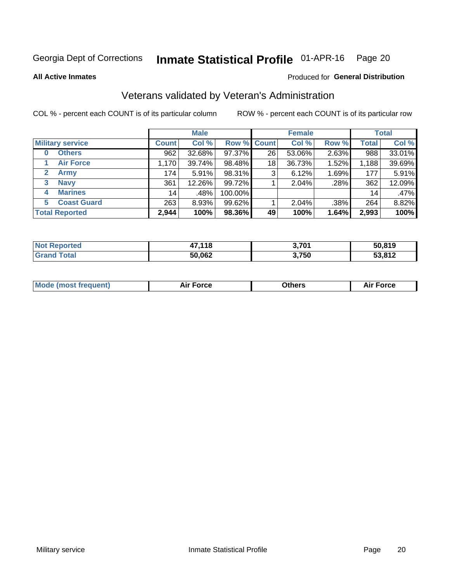#### Inmate Statistical Profile 01-APR-16 Page 20

**All Active Inmates** 

### Produced for General Distribution

# Veterans validated by Veteran's Administration

COL % - percent each COUNT is of its particular column

|                         | <b>Male</b>  |        |         | <b>Female</b>      |        |       | <b>Total</b>    |        |
|-------------------------|--------------|--------|---------|--------------------|--------|-------|-----------------|--------|
| <b>Military service</b> | <b>Count</b> | Col %  |         | <b>Row % Count</b> | Col %  | Row % | <b>Total</b>    | Col %  |
| <b>Others</b><br>0      | 962          | 32.68% | 97.37%  | 26                 | 53.06% | 2.63% | 988             | 33.01% |
| <b>Air Force</b>        | 1,170        | 39.74% | 98.48%  | 18                 | 36.73% | 1.52% | 1,188           | 39.69% |
| 2<br><b>Army</b>        | 174          | 5.91%  | 98.31%  | 3                  | 6.12%  | 1.69% | 177             | 5.91%  |
| <b>Navy</b><br>3        | 361          | 12.26% | 99.72%  |                    | 2.04%  | .28%  | 362             | 12.09% |
| <b>Marines</b><br>4     | 14           | .48%   | 100.00% |                    |        |       | 14 <sub>1</sub> | .47%   |
| <b>Coast Guard</b><br>5 | 263          | 8.93%  | 99.62%  |                    | 2.04%  | .38%  | 264             | 8.82%  |
| <b>Total Reported</b>   | 2,944        | 100%   | 98.36%  | 49                 | 100%   | 1.64% | 2,993           | 100%   |

| <b>Not</b><br>Reported | 47,118 | 3,701 | 50,819       |
|------------------------|--------|-------|--------------|
| <b>Total</b>           | 50,062 | 3,750 | 53,812<br>ູນ |

|  |  | <b>Mode (most frequent)</b> | <b>Force</b><br>Aır | วthers | orce |
|--|--|-----------------------------|---------------------|--------|------|
|--|--|-----------------------------|---------------------|--------|------|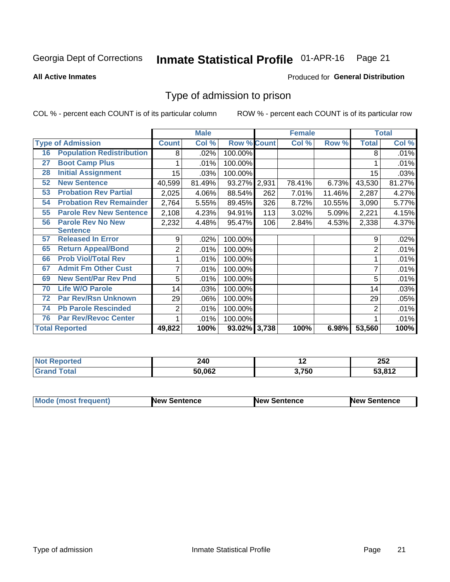#### Inmate Statistical Profile 01-APR-16 Page 21

**All Active Inmates** 

### Produced for General Distribution

# Type of admission to prison

COL % - percent each COUNT is of its particular column

|    |                                  |              | <b>Male</b> |                    |     | <b>Female</b> |        |                | <b>Total</b> |
|----|----------------------------------|--------------|-------------|--------------------|-----|---------------|--------|----------------|--------------|
|    | <b>Type of Admission</b>         | <b>Count</b> | Col %       | <b>Row % Count</b> |     | Col %         | Row %  | <b>Total</b>   | Col %        |
| 16 | <b>Population Redistribution</b> | 8            | .02%        | 100.00%            |     |               |        | 8              | .01%         |
| 27 | <b>Boot Camp Plus</b>            |              | .01%        | 100.00%            |     |               |        |                | .01%         |
| 28 | <b>Initial Assignment</b>        | 15           | .03%        | 100.00%            |     |               |        | 15             | .03%         |
| 52 | <b>New Sentence</b>              | 40,599       | 81.49%      | 93.27% 2,931       |     | 78.41%        | 6.73%  | 43,530         | 81.27%       |
| 53 | <b>Probation Rev Partial</b>     | 2,025        | 4.06%       | 88.54%             | 262 | 7.01%         | 11.46% | 2,287          | 4.27%        |
| 54 | <b>Probation Rev Remainder</b>   | 2,764        | 5.55%       | 89.45%             | 326 | 8.72%         | 10.55% | 3,090          | 5.77%        |
| 55 | <b>Parole Rev New Sentence</b>   | 2,108        | 4.23%       | 94.91%             | 113 | 3.02%         | 5.09%  | 2,221          | 4.15%        |
| 56 | <b>Parole Rev No New</b>         | 2,232        | 4.48%       | 95.47%             | 106 | 2.84%         | 4.53%  | 2,338          | 4.37%        |
|    | <b>Sentence</b>                  |              |             |                    |     |               |        |                |              |
| 57 | <b>Released In Error</b>         | 9            | .02%        | 100.00%            |     |               |        | 9              | .02%         |
| 65 | <b>Return Appeal/Bond</b>        | 2            | .01%        | 100.00%            |     |               |        | 2              | .01%         |
| 66 | <b>Prob Viol/Total Rev</b>       |              | .01%        | 100.00%            |     |               |        |                | .01%         |
| 67 | <b>Admit Fm Other Cust</b>       | 7            | .01%        | 100.00%            |     |               |        |                | .01%         |
| 69 | <b>New Sent/Par Rev Pnd</b>      | 5            | .01%        | 100.00%            |     |               |        | 5              | .01%         |
| 70 | <b>Life W/O Parole</b>           | 14           | .03%        | 100.00%            |     |               |        | 14             | .03%         |
| 72 | <b>Par Rev/Rsn Unknown</b>       | 29           | .06%        | 100.00%            |     |               |        | 29             | .05%         |
| 74 | <b>Pb Parole Rescinded</b>       | 2            | .01%        | 100.00%            |     |               |        | $\overline{2}$ | .01%         |
| 76 | <b>Par Rev/Revoc Center</b>      |              | .01%        | 100.00%            |     |               |        |                | .01%         |
|    | <b>Total Reported</b>            | 49,822       | 100%        | 93.02% 3,738       |     | 100%          | 6.98%  | 53,560         | 100%         |

| N6  | 240    | . .   | 252            |
|-----|--------|-------|----------------|
| тео | $\sim$ |       | $\sim$ $\sim$  |
|     | 50.062 | 3,750 | : ? 04 O<br>-- |

| <b>Mode (most frequent)</b> | <b>New Sentence</b> | <b>New Sentence</b> | <b>New Sentence</b> |
|-----------------------------|---------------------|---------------------|---------------------|
|                             |                     |                     |                     |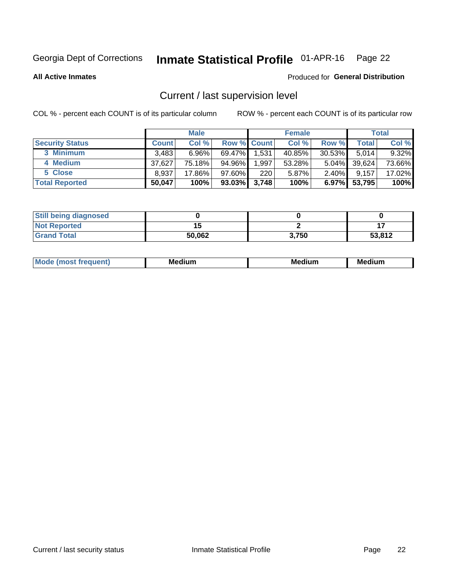# Inmate Statistical Profile 01-APR-16 Page 22

**All Active Inmates** 

### Produced for General Distribution

# Current / last supervision level

COL % - percent each COUNT is of its particular column

|                        |              | <b>Male</b> |                    |       | <b>Female</b> |           |        | <b>Total</b> |
|------------------------|--------------|-------------|--------------------|-------|---------------|-----------|--------|--------------|
| <b>Security Status</b> | <b>Count</b> | Col %       | <b>Row % Count</b> |       | Col %         | Row %     | Total  | Col %        |
| 3 Minimum              | 3.483        | $6.96\%$    | $69.47\%$          | 1,531 | 40.85%        | $30.53\%$ | 5.014  | 9.32%        |
| 4 Medium               | 37,627       | 75.18%      | 94.96%             | 1,997 | 53.28%        | $5.04\%$  | 39,624 | 73.66%       |
| 5 Close                | 8,937        | 17.86%      | $97.60\%$          | 220   | 5.87%         | $2.40\%$  | 9,157  | 17.02%       |
| <b>Total Reported</b>  | 50,047       | 100%        | $93.03\%$          | 3,748 | 100%          | $6.97\%$  | 53,795 | 100%         |

| <b>Still being diagnosed</b> |        |       |        |
|------------------------------|--------|-------|--------|
| <b>Not Reported</b>          |        |       |        |
| <b>Grand Total</b>           | 50,062 | 3,750 | 53,812 |

| M | M | . . |
|---|---|-----|
|   |   |     |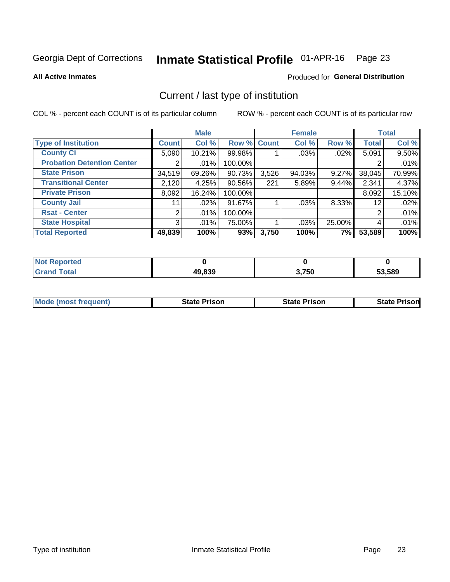#### Inmate Statistical Profile 01-APR-16 Page 23

**All Active Inmates** 

### Produced for General Distribution

# Current / last type of institution

COL % - percent each COUNT is of its particular column

|                                   |                | <b>Male</b> |             |       | <b>Female</b> |        |              | <b>Total</b> |
|-----------------------------------|----------------|-------------|-------------|-------|---------------|--------|--------------|--------------|
| <b>Type of Institution</b>        | <b>Count</b>   | Col %       | Row % Count |       | Col %         | Row %  | <b>Total</b> | Col %        |
| <b>County Ci</b>                  | 5,090          | 10.21%      | 99.98%      |       | .03%          | .02%   | 5,091        | 9.50%        |
| <b>Probation Detention Center</b> |                | .01%        | 100.00%     |       |               |        |              | .01%         |
| <b>State Prison</b>               | 34,519         | 69.26%      | 90.73%      | 3,526 | 94.03%        | 9.27%  | 38,045       | 70.99%       |
| <b>Transitional Center</b>        | 2,120          | 4.25%       | 90.56%      | 221   | 5.89%         | 9.44%  | 2,341        | 4.37%        |
| <b>Private Prison</b>             | 8,092          | 16.24%      | 100.00%     |       |               |        | 8,092        | 15.10%       |
| <b>County Jail</b>                | 11             | .02%        | 91.67%      |       | .03%          | 8.33%  | 12           | .02%         |
| <b>Rsat - Center</b>              | $\overline{2}$ | .01%        | 100.00%     |       |               |        | 2            | .01%         |
| <b>State Hospital</b>             | 3 <sup>1</sup> | .01%        | 75.00%      |       | .03%          | 25.00% | 4            | .01%         |
| <b>Total Reported</b>             | 49,839         | 100%        | 93%         | 3,750 | 100%          | 7%     | 53,589       | 100%         |

| Reported |        |       |        |
|----------|--------|-------|--------|
| Total    | 49,839 | 3,750 | 53,589 |

| <b>Mode (most frequent)</b> | <b>State Prison</b> | <b>State Prison</b> | <b>State Prisonl</b> |
|-----------------------------|---------------------|---------------------|----------------------|
|                             |                     |                     |                      |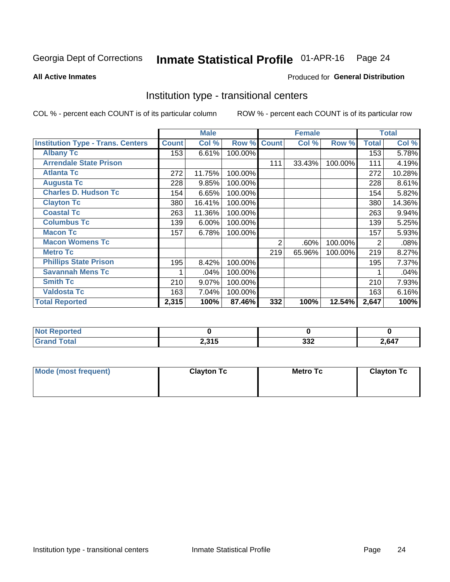#### Inmate Statistical Profile 01-APR-16 Page 24

Produced for General Distribution

#### **All Active Inmates**

# Institution type - transitional centers

COL % - percent each COUNT is of its particular column

|                                          |              | <b>Male</b> |         |              | <b>Female</b> |         |              | <b>Total</b> |
|------------------------------------------|--------------|-------------|---------|--------------|---------------|---------|--------------|--------------|
| <b>Institution Type - Trans. Centers</b> | <b>Count</b> | Col %       | Row %   | <b>Count</b> | Col %         | Row %   | <b>Total</b> | Col %        |
| <b>Albany Tc</b>                         | 153          | 6.61%       | 100.00% |              |               |         | 153          | 5.78%        |
| <b>Arrendale State Prison</b>            |              |             |         | 111          | 33.43%        | 100.00% | 111          | 4.19%        |
| <b>Atlanta Tc</b>                        | 272          | 11.75%      | 100.00% |              |               |         | 272          | 10.28%       |
| <b>Augusta Tc</b>                        | 228          | 9.85%       | 100.00% |              |               |         | 228          | 8.61%        |
| <b>Charles D. Hudson Tc</b>              | 154          | 6.65%       | 100.00% |              |               |         | 154          | 5.82%        |
| <b>Clayton Tc</b>                        | 380          | 16.41%      | 100.00% |              |               |         | 380          | 14.36%       |
| <b>Coastal Tc</b>                        | 263          | 11.36%      | 100.00% |              |               |         | 263          | 9.94%        |
| <b>Columbus Tc</b>                       | 139          | 6.00%       | 100.00% |              |               |         | 139          | 5.25%        |
| <b>Macon Tc</b>                          | 157          | 6.78%       | 100.00% |              |               |         | 157          | 5.93%        |
| <b>Macon Womens Tc</b>                   |              |             |         | 2            | .60%          | 100.00% | 2            | .08%         |
| <b>Metro Tc</b>                          |              |             |         | 219          | 65.96%        | 100.00% | 219          | 8.27%        |
| <b>Phillips State Prison</b>             | 195          | 8.42%       | 100.00% |              |               |         | 195          | 7.37%        |
| <b>Savannah Mens Tc</b>                  |              | .04%        | 100.00% |              |               |         |              | .04%         |
| <b>Smith Tc</b>                          | 210          | 9.07%       | 100.00% |              |               |         | 210          | 7.93%        |
| <b>Valdosta Tc</b>                       | 163          | 7.04%       | 100.00% |              |               |         | 163          | 6.16%        |
| <b>Total Reported</b>                    | 2,315        | 100%        | 87.46%  | 332          | 100%          | 12.54%  | 2,647        | 100%         |

| τeα           |                      |            |             |
|---------------|----------------------|------------|-------------|
| $- - - - - -$ | 0.24E<br>.<br>ی سر ڪ | າາາ<br>◡◡▵ | 7647<br>$-$ |

| Mode (most frequent) | <b>Clayton Tc</b> | Metro Tc | <b>Clayton Tc</b> |
|----------------------|-------------------|----------|-------------------|
|                      |                   |          |                   |
|                      |                   |          |                   |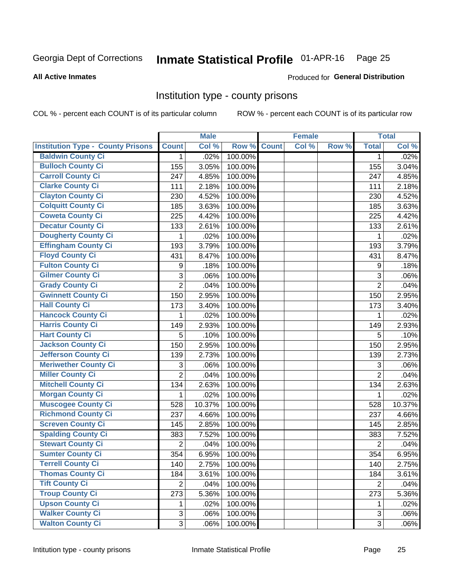# Inmate Statistical Profile 01-APR-16 Page 25

#### **All Active Inmates**

#### Produced for General Distribution

## Institution type - county prisons

COL % - percent each COUNT is of its particular column

|                                          |                | <b>Male</b> |         |              | <b>Female</b> |       |                | <b>Total</b> |
|------------------------------------------|----------------|-------------|---------|--------------|---------------|-------|----------------|--------------|
| <b>Institution Type - County Prisons</b> | <b>Count</b>   | Col %       | Row %   | <b>Count</b> | Col %         | Row % | <b>Total</b>   | Col %        |
| <b>Baldwin County Ci</b>                 | $\mathbf{1}$   | .02%        | 100.00% |              |               |       | $\mathbf 1$    | .02%         |
| <b>Bulloch County Ci</b>                 | 155            | 3.05%       | 100.00% |              |               |       | 155            | 3.04%        |
| <b>Carroll County Ci</b>                 | 247            | 4.85%       | 100.00% |              |               |       | 247            | 4.85%        |
| <b>Clarke County Ci</b>                  | 111            | 2.18%       | 100.00% |              |               |       | 111            | 2.18%        |
| <b>Clayton County Ci</b>                 | 230            | 4.52%       | 100.00% |              |               |       | 230            | 4.52%        |
| <b>Colquitt County Ci</b>                | 185            | 3.63%       | 100.00% |              |               |       | 185            | 3.63%        |
| <b>Coweta County Ci</b>                  | 225            | 4.42%       | 100.00% |              |               |       | 225            | 4.42%        |
| <b>Decatur County Ci</b>                 | 133            | 2.61%       | 100.00% |              |               |       | 133            | 2.61%        |
| <b>Dougherty County Ci</b>               | 1              | .02%        | 100.00% |              |               |       | 1              | .02%         |
| <b>Effingham County Ci</b>               | 193            | 3.79%       | 100.00% |              |               |       | 193            | 3.79%        |
| <b>Floyd County Ci</b>                   | 431            | 8.47%       | 100.00% |              |               |       | 431            | 8.47%        |
| <b>Fulton County Ci</b>                  | 9              | .18%        | 100.00% |              |               |       | 9              | .18%         |
| <b>Gilmer County Ci</b>                  | 3              | .06%        | 100.00% |              |               |       | 3              | .06%         |
| <b>Grady County Ci</b>                   | $\overline{2}$ | .04%        | 100.00% |              |               |       | $\overline{2}$ | .04%         |
| <b>Gwinnett County Ci</b>                | 150            | 2.95%       | 100.00% |              |               |       | 150            | 2.95%        |
| <b>Hall County Ci</b>                    | 173            | 3.40%       | 100.00% |              |               |       | 173            | 3.40%        |
| <b>Hancock County Ci</b>                 | 1              | .02%        | 100.00% |              |               |       | 1              | .02%         |
| <b>Harris County Ci</b>                  | 149            | 2.93%       | 100.00% |              |               |       | 149            | 2.93%        |
| <b>Hart County Ci</b>                    | 5              | .10%        | 100.00% |              |               |       | 5              | .10%         |
| <b>Jackson County Ci</b>                 | 150            | 2.95%       | 100.00% |              |               |       | 150            | 2.95%        |
| Jefferson County Ci                      | 139            | 2.73%       | 100.00% |              |               |       | 139            | 2.73%        |
| <b>Meriwether County Ci</b>              | 3              | .06%        | 100.00% |              |               |       | 3              | .06%         |
| <b>Miller County Ci</b>                  | $\overline{2}$ | .04%        | 100.00% |              |               |       | $\overline{2}$ | .04%         |
| <b>Mitchell County Ci</b>                | 134            | 2.63%       | 100.00% |              |               |       | 134            | 2.63%        |
| <b>Morgan County Ci</b>                  | 1              | .02%        | 100.00% |              |               |       | 1              | .02%         |
| <b>Muscogee County Ci</b>                | 528            | 10.37%      | 100.00% |              |               |       | 528            | 10.37%       |
| <b>Richmond County Ci</b>                | 237            | 4.66%       | 100.00% |              |               |       | 237            | 4.66%        |
| <b>Screven County Ci</b>                 | 145            | 2.85%       | 100.00% |              |               |       | 145            | 2.85%        |
| <b>Spalding County Ci</b>                | 383            | 7.52%       | 100.00% |              |               |       | 383            | 7.52%        |
| <b>Stewart County Ci</b>                 | $\overline{2}$ | .04%        | 100.00% |              |               |       | $\overline{2}$ | .04%         |
| <b>Sumter County Ci</b>                  | 354            | 6.95%       | 100.00% |              |               |       | 354            | 6.95%        |
| <b>Terrell County Ci</b>                 | 140            | 2.75%       | 100.00% |              |               |       | 140            | 2.75%        |
| <b>Thomas County Ci</b>                  | 184            | 3.61%       | 100.00% |              |               |       | 184            | 3.61%        |
| <b>Tift County Ci</b>                    | $\overline{2}$ | .04%        | 100.00% |              |               |       | $\overline{2}$ | .04%         |
| <b>Troup County Ci</b>                   | 273            | 5.36%       | 100.00% |              |               |       | 273            | 5.36%        |
| <b>Upson County Ci</b>                   | 1.             | .02%        | 100.00% |              |               |       | 1              | .02%         |
| <b>Walker County Ci</b>                  | 3              | .06%        | 100.00% |              |               |       | 3              | .06%         |
| <b>Walton County Ci</b>                  | 3              | .06%        | 100.00% |              |               |       | 3              | .06%         |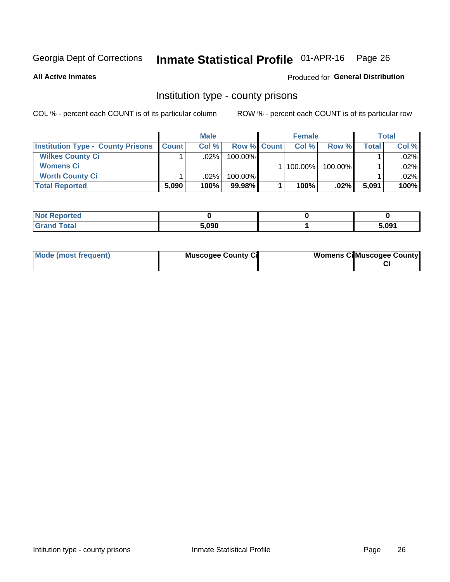# Inmate Statistical Profile 01-APR-16 Page 26

**All Active Inmates** 

### Produced for General Distribution

# Institution type - county prisons

COL % - percent each COUNT is of its particular column

|                                          | <b>Male</b>  |         |                    | <b>Female</b> |         | <b>Total</b> |         |
|------------------------------------------|--------------|---------|--------------------|---------------|---------|--------------|---------|
| <b>Institution Type - County Prisons</b> | <b>Count</b> | Col%    | <b>Row % Count</b> | Col%          | Row %   | Total i      | Col %   |
| <b>Wilkes County Ci</b>                  |              | .02%    | $100.00\%$         |               |         |              | $.02\%$ |
| <b>Womens Ci</b>                         |              |         |                    | 100.00%       | 100.00% |              | $.02\%$ |
| <b>Worth County Ci</b>                   |              | $.02\%$ | 100.00%            |               |         |              | $.02\%$ |
| <b>Total Reported</b>                    | 5,090        | 100%    | 99.98%             | 100%          | $.02\%$ | 5,091        | 100%    |

| lcu                         |       |       |
|-----------------------------|-------|-------|
| $\sim$ $\sim$ $\sim$ $\sim$ | 5.090 | 5.091 |

| Mode (most frequent) | <b>Muscogee County Ci</b> | <b>Womens Cil Muscogee County</b> |
|----------------------|---------------------------|-----------------------------------|
|                      |                           |                                   |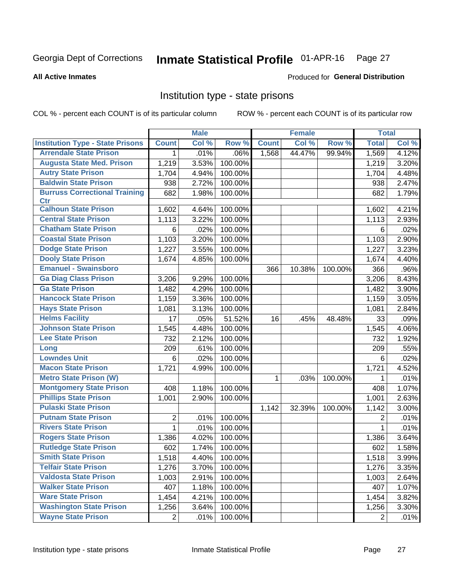#### Inmate Statistical Profile 01-APR-16 Page 27

#### **All Active Inmates**

### Produced for General Distribution

# Institution type - state prisons

COL % - percent each COUNT is of its particular column

|                                         |                | <b>Male</b> |         |              | <b>Female</b> |         | <b>Total</b>   |       |
|-----------------------------------------|----------------|-------------|---------|--------------|---------------|---------|----------------|-------|
| <b>Institution Type - State Prisons</b> | <b>Count</b>   | Col %       | Row %   | <b>Count</b> | Col %         | Row %   | <b>Total</b>   | Col % |
| <b>Arrendale State Prison</b>           | 1              | .01%        | .06%    | 1,568        | 44.47%        | 99.94%  | 1,569          | 4.12% |
| <b>Augusta State Med. Prison</b>        | 1,219          | 3.53%       | 100.00% |              |               |         | 1,219          | 3.20% |
| <b>Autry State Prison</b>               | 1,704          | 4.94%       | 100.00% |              |               |         | 1,704          | 4.48% |
| <b>Baldwin State Prison</b>             | 938            | 2.72%       | 100.00% |              |               |         | 938            | 2.47% |
| <b>Burruss Correctional Training</b>    | 682            | 1.98%       | 100.00% |              |               |         | 682            | 1.79% |
| <b>Ctr</b>                              |                |             |         |              |               |         |                |       |
| <b>Calhoun State Prison</b>             | 1,602          | 4.64%       | 100.00% |              |               |         | 1,602          | 4.21% |
| <b>Central State Prison</b>             | 1,113          | 3.22%       | 100.00% |              |               |         | 1,113          | 2.93% |
| <b>Chatham State Prison</b>             | 6              | .02%        | 100.00% |              |               |         | 6              | .02%  |
| <b>Coastal State Prison</b>             | 1,103          | 3.20%       | 100.00% |              |               |         | 1,103          | 2.90% |
| <b>Dodge State Prison</b>               | 1,227          | 3.55%       | 100.00% |              |               |         | 1,227          | 3.23% |
| <b>Dooly State Prison</b>               | 1,674          | 4.85%       | 100.00% |              |               |         | 1,674          | 4.40% |
| <b>Emanuel - Swainsboro</b>             |                |             |         | 366          | 10.38%        | 100.00% | 366            | .96%  |
| <b>Ga Diag Class Prison</b>             | 3,206          | 9.29%       | 100.00% |              |               |         | 3,206          | 8.43% |
| <b>Ga State Prison</b>                  | 1,482          | 4.29%       | 100.00% |              |               |         | 1,482          | 3.90% |
| <b>Hancock State Prison</b>             | 1,159          | 3.36%       | 100.00% |              |               |         | 1,159          | 3.05% |
| <b>Hays State Prison</b>                | 1,081          | 3.13%       | 100.00% |              |               |         | 1,081          | 2.84% |
| <b>Helms Facility</b>                   | 17             | .05%        | 51.52%  | 16           | .45%          | 48.48%  | 33             | .09%  |
| <b>Johnson State Prison</b>             | 1,545          | 4.48%       | 100.00% |              |               |         | 1,545          | 4.06% |
| <b>Lee State Prison</b>                 | 732            | 2.12%       | 100.00% |              |               |         | 732            | 1.92% |
| Long                                    | 209            | .61%        | 100.00% |              |               |         | 209            | .55%  |
| <b>Lowndes Unit</b>                     | 6              | .02%        | 100.00% |              |               |         | 6              | .02%  |
| <b>Macon State Prison</b>               | 1,721          | 4.99%       | 100.00% |              |               |         | 1,721          | 4.52% |
| <b>Metro State Prison (W)</b>           |                |             |         | 1            | .03%          | 100.00% | 1              | .01%  |
| <b>Montgomery State Prison</b>          | 408            | 1.18%       | 100.00% |              |               |         | 408            | 1.07% |
| <b>Phillips State Prison</b>            | 1,001          | 2.90%       | 100.00% |              |               |         | 1,001          | 2.63% |
| <b>Pulaski State Prison</b>             |                |             |         | 1,142        | 32.39%        | 100.00% | 1,142          | 3.00% |
| <b>Putnam State Prison</b>              | 2              | .01%        | 100.00% |              |               |         | 2              | .01%  |
| <b>Rivers State Prison</b>              | 1              | .01%        | 100.00% |              |               |         | 1              | .01%  |
| <b>Rogers State Prison</b>              | 1,386          | 4.02%       | 100.00% |              |               |         | 1,386          | 3.64% |
| <b>Rutledge State Prison</b>            | 602            | 1.74%       | 100.00% |              |               |         | 602            | 1.58% |
| <b>Smith State Prison</b>               | 1,518          | 4.40%       | 100.00% |              |               |         | 1,518          | 3.99% |
| <b>Telfair State Prison</b>             | 1,276          | 3.70%       | 100.00% |              |               |         | 1,276          | 3.35% |
| <b>Valdosta State Prison</b>            | 1,003          | 2.91%       | 100.00% |              |               |         | 1,003          | 2.64% |
| <b>Walker State Prison</b>              | 407            | 1.18%       | 100.00% |              |               |         | 407            | 1.07% |
| <b>Ware State Prison</b>                | 1,454          | 4.21%       | 100.00% |              |               |         | 1,454          | 3.82% |
| <b>Washington State Prison</b>          | 1,256          | 3.64%       | 100.00% |              |               |         | 1,256          | 3.30% |
| <b>Wayne State Prison</b>               | $\overline{2}$ | .01%        | 100.00% |              |               |         | $\overline{2}$ | .01%  |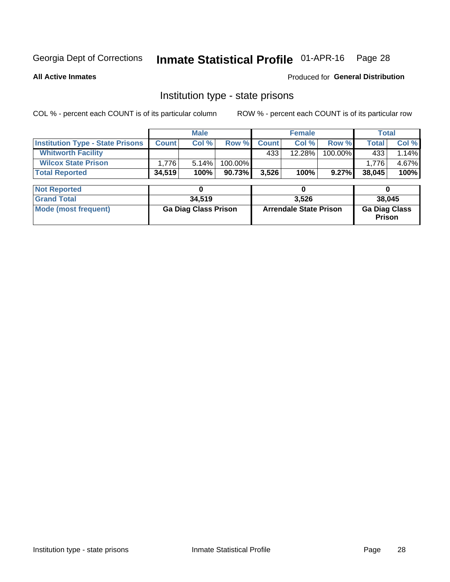# Inmate Statistical Profile 01-APR-16 Page 28

**All Active Inmates** 

## Produced for General Distribution

# Institution type - state prisons

COL % - percent each COUNT is of its particular column

|                                         | <b>Male</b>                 |        |                               | <b>Female</b> |        | <b>Total</b>                   |              |        |  |
|-----------------------------------------|-----------------------------|--------|-------------------------------|---------------|--------|--------------------------------|--------------|--------|--|
| <b>Institution Type - State Prisons</b> | <b>Count</b>                | Col %  | Row %                         | <b>Count</b>  | Col %  | Row %                          | <b>Total</b> | Col %  |  |
| <b>Whitworth Facility</b>               |                             |        |                               | 433           | 12.28% | 100.00%                        | 433          | 1.14%  |  |
| <b>Wilcox State Prison</b>              | 1,776                       | 5.14%  | 100.00%                       |               |        |                                | 1,776        | 4.67%  |  |
| <b>Total Reported</b>                   | 34,519                      | 100%   | 90.73%                        | 3,526         | 100%   | 9.27%                          | 38,045       | 100%   |  |
| <b>Not Reported</b>                     |                             | 0      |                               |               | 0      |                                |              | 0      |  |
| <b>Grand Total</b>                      |                             | 34,519 |                               |               | 3,526  |                                |              | 38,045 |  |
| <b>Mode (most frequent)</b>             | <b>Ga Diag Class Prison</b> |        | <b>Arrendale State Prison</b> |               |        | <b>Ga Diag Class</b><br>Prison |              |        |  |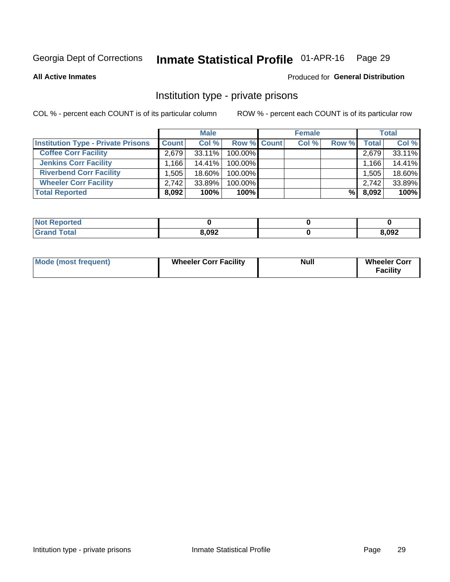# Inmate Statistical Profile 01-APR-16 Page 29

**All Active Inmates** 

### Produced for General Distribution

# Institution type - private prisons

COL % - percent each COUNT is of its particular column

|                                           | <b>Male</b>  |           |                    | <b>Female</b> |       |       | <b>Total</b> |  |
|-------------------------------------------|--------------|-----------|--------------------|---------------|-------|-------|--------------|--|
| <b>Institution Type - Private Prisons</b> | <b>Count</b> | Col %     | <b>Row % Count</b> | Col %         | Row % | Total | Col %        |  |
| <b>Coffee Corr Facility</b>               | 2.679        | 33.11%    | 100.00%            |               |       | 2,679 | 33.11%       |  |
| <b>Jenkins Corr Facility</b>              | $.166+$      | $14.41\%$ | 100.00%            |               |       | 1,166 | 14.41%       |  |
| <b>Riverbend Corr Facility</b>            | .505         | 18.60%    | 100.00%            |               |       | 1,505 | 18.60%       |  |
| <b>Wheeler Corr Facility</b>              | 2.742        | 33.89%    | 100.00%            |               |       | 2,742 | 33.89%       |  |
| <b>Total Reported</b>                     | 8,092        | 100%      | $100\%$            |               | %     | 8,092 | 100%         |  |

| <b>Not Reported</b> |       |       |
|---------------------|-------|-------|
| <b>Total</b>        | 8,092 | 8,092 |

| <b>Mode (most frequent)</b> | <b>Wheeler Corr Facility</b> | <b>Null</b> | <b>Wheeler Corr</b><br><b>Facility</b> |
|-----------------------------|------------------------------|-------------|----------------------------------------|
|-----------------------------|------------------------------|-------------|----------------------------------------|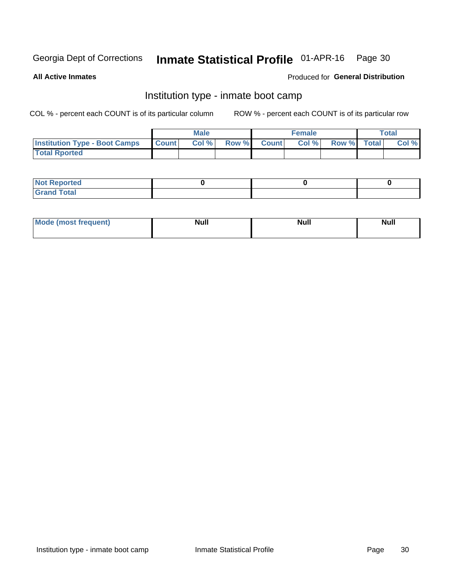# Inmate Statistical Profile 01-APR-16 Page 30

**All Active Inmates** 

### Produced for General Distribution

# Institution type - inmate boot camp

COL % - percent each COUNT is of its particular column

|                                      |                  | <b>Male</b> |              |              | <b>Female</b> |             | <b>Total</b> |
|--------------------------------------|------------------|-------------|--------------|--------------|---------------|-------------|--------------|
| <b>Institution Type - Boot Camps</b> | <b>I</b> Count I | Col %       | <b>Row %</b> | <b>Count</b> | Col %         | Row % Total | Col %        |
| <b>Total Rported</b>                 |                  |             |              |              |               |             |              |

| <b>Not Reported</b>            |  |  |
|--------------------------------|--|--|
| <b>Total</b><br>C <sub>r</sub> |  |  |

| Mod<br>uamo | Nul.<br>$- - - - - -$ | <b>Null</b> | . .<br>uu.<br>------ |
|-------------|-----------------------|-------------|----------------------|
|             |                       |             |                      |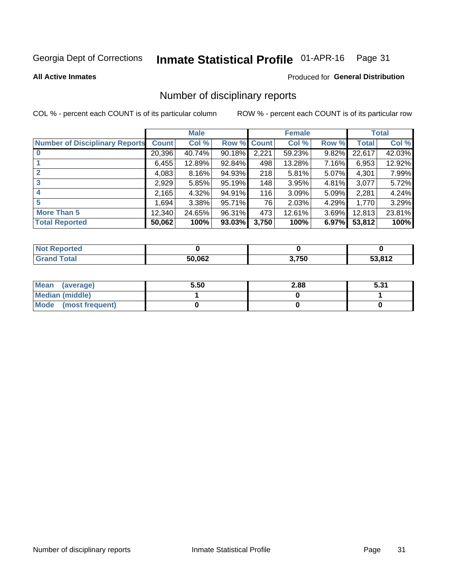#### Inmate Statistical Profile 01-APR-16 Page 31

**All Active Inmates** 

### Produced for General Distribution

# Number of disciplinary reports

COL % - percent each COUNT is of its particular column

|                                       |              | <b>Male</b> |           |             | <b>Female</b> |       |        | <b>Total</b> |
|---------------------------------------|--------------|-------------|-----------|-------------|---------------|-------|--------|--------------|
| <b>Number of Disciplinary Reports</b> | <b>Count</b> | Col %       |           | Row % Count | Col %         | Row % | Total  | Col %        |
| $\bf{0}$                              | 20,396       | 40.74%      | $90.18\%$ | 2,221       | 59.23%        | 9.82% | 22,617 | 42.03%       |
|                                       | 6,455        | 12.89%      | 92.84%    | 498         | 13.28%        | 7.16% | 6,953  | 12.92%       |
| $\mathbf{2}$                          | 4,083        | 8.16%       | 94.93%    | 218         | 5.81%         | 5.07% | 4,301  | 7.99%        |
| 3                                     | 2,929        | 5.85%       | 95.19%    | 148         | 3.95%         | 4.81% | 3,077  | 5.72%        |
|                                       | 2,165        | 4.32%       | 94.91%    | 116         | 3.09%         | 5.09% | 2,281  | 4.24%        |
| 5                                     | ا 694. ا     | 3.38%       | 95.71%    | 76          | 2.03%         | 4.29% | 1,770  | 3.29%        |
| <b>More Than 5</b>                    | 12,340       | 24.65%      | 96.31%    | 473         | 12.61%        | 3.69% | 12,813 | 23.81%       |
| <b>Total Reported</b>                 | 50,062       | 100%        | 93.03%    | 3,750       | 100%          | 6.97% | 53,812 | 100%         |

| <b>Not Reported</b> |        |       |        |
|---------------------|--------|-------|--------|
| <b>Total</b>        | 50,062 | 3,750 | 53,812 |

| Mean (average)       | 5.50 | 2.88 | 5.31 |
|----------------------|------|------|------|
| Median (middle)      |      |      |      |
| Mode (most frequent) |      |      |      |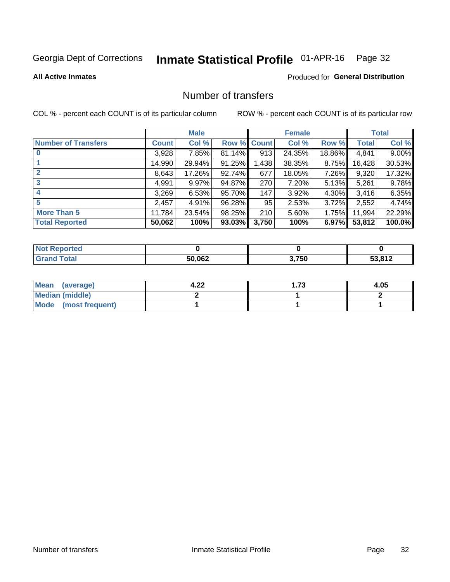# Inmate Statistical Profile 01-APR-16 Page 32

**Produced for General Distribution** 

### **All Active Inmates**

# Number of transfers

COL % - percent each COUNT is of its particular column

|                            | <b>Male</b>  |          | <b>Female</b> |       |        | <b>Total</b> |        |        |
|----------------------------|--------------|----------|---------------|-------|--------|--------------|--------|--------|
| <b>Number of Transfers</b> | <b>Count</b> | Col %    | Row % Count   |       | Col %  | Row %        | Total  | Col %  |
| $\bf{0}$                   | 3,928        | 7.85%    | $81.14\%$     | 913   | 24.35% | 18.86%       | 4,841  | 9.00%  |
|                            | 14,990       | 29.94%   | 91.25%        | 1,438 | 38.35% | 8.75%        | 16,428 | 30.53% |
| $\mathbf{2}$               | 8,643        | 17.26%   | 92.74%        | 677   | 18.05% | 7.26%        | 9,320  | 17.32% |
| 3                          | 4,991        | $9.97\%$ | 94.87%        | 270   | 7.20%  | 5.13%        | 5,261  | 9.78%  |
|                            | 3,269        | 6.53%    | 95.70%        | 147   | 3.92%  | 4.30%        | 3,416  | 6.35%  |
| 5                          | 2,457        | 4.91%    | 96.28%        | 95    | 2.53%  | 3.72%        | 2,552  | 4.74%  |
| <b>More Than 5</b>         | 11,784       | 23.54%   | 98.25%        | 210   | 5.60%  | 1.75%        | 11,994 | 22.29% |
| <b>Total Reported</b>      | 50,062       | 100%     | 93.03%        | 3,750 | 100%   | 6.97%        | 53,812 | 100.0% |

| <b>Not Reported</b> |        |       |        |
|---------------------|--------|-------|--------|
| <b>Total</b>        | 50,062 | 3,750 | 53,812 |

| Mean (average)         | ົດຕ<br>4.ZZ | 70<br>. | 4.05 |
|------------------------|-------------|---------|------|
| <b>Median (middle)</b> |             |         |      |
| Mode (most frequent)   |             |         |      |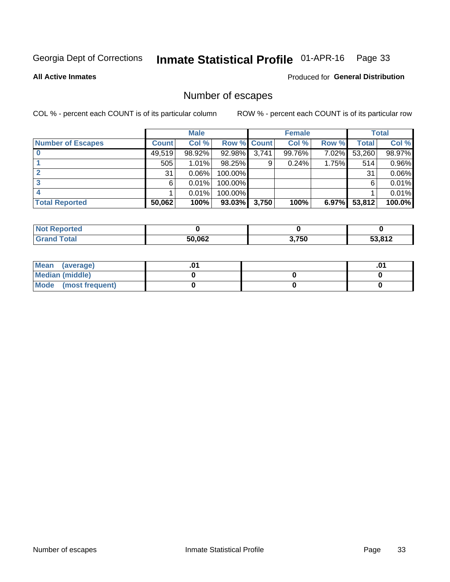# Inmate Statistical Profile 01-APR-16 Page 33

**All Active Inmates** 

### Produced for General Distribution

# Number of escapes

COL % - percent each COUNT is of its particular column

|                          | <b>Male</b>  |        | <b>Female</b> |       |        | <b>Total</b> |        |        |
|--------------------------|--------------|--------|---------------|-------|--------|--------------|--------|--------|
| <b>Number of Escapes</b> | <b>Count</b> | Col %  | Row % Count   |       | Col %  | Row %        | Total  | Col %  |
|                          | 49,519       | 98.92% | 92.98%        | 3,741 | 99.76% | 7.02%        | 53,260 | 98.97% |
|                          | 505          | 1.01%  | 98.25%        | 9     | 0.24%  | 1.75%        | 514    | 0.96%  |
|                          | 31           | 0.06%  | 100.00%       |       |        |              | 31     | 0.06%  |
|                          | 6            | 0.01%  | 100.00%       |       |        |              | 6      | 0.01%  |
|                          |              | 0.01%  | 100.00%       |       |        |              |        | 0.01%  |
| <b>Total Reported</b>    | 50,062       | 100%   | 93.03%        | 3,750 | 100%   | $6.97\%$     | 53,812 | 100.0% |

| orten |        |       |                |
|-------|--------|-------|----------------|
| Total | 50,062 | 3,750 | ר 10 כ־<br>014 |

| Mean (average)         |  | .ט |
|------------------------|--|----|
| <b>Median (middle)</b> |  |    |
| Mode (most frequent)   |  |    |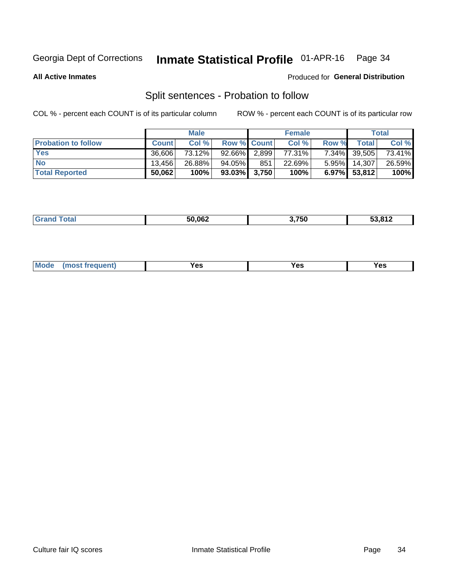#### Inmate Statistical Profile 01-APR-16 Page 34

**All Active Inmates** 

### Produced for General Distribution

# Split sentences - Probation to follow

COL % - percent each COUNT is of its particular column

|                            | <b>Male</b>  |        |                    | <b>Female</b> |        |          | <b>Total</b> |        |
|----------------------------|--------------|--------|--------------------|---------------|--------|----------|--------------|--------|
| <b>Probation to follow</b> | <b>Count</b> | Col%   | <b>Row % Count</b> |               | Col %  | Row %    | Total        | Col %  |
| <b>Yes</b>                 | 36.606       | 73.12% | $92.66\%$ 2.899    |               | 77.31% |          | 7.34% 39,505 | 73.41% |
| <b>No</b>                  | 13.456       | 26.88% | 94.05%             | 851           | 22.69% | $5.95\%$ | 14.307       | 26.59% |
| <b>Total Reported</b>      | 50,062       | 100%   | $93.03\%$ 3,750    |               | 100%   | $6.97\%$ | 53,812       | 100%   |

|--|

| Vac<br>(most frequent)<br>Yes<br>V ac<br>w |  | Mode |  |  |  |
|--------------------------------------------|--|------|--|--|--|
|--------------------------------------------|--|------|--|--|--|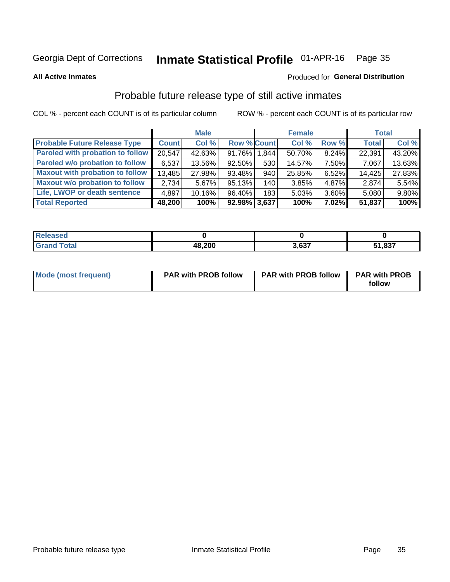#### Inmate Statistical Profile 01-APR-16 Page 35

**All Active Inmates** 

### Produced for General Distribution

# Probable future release type of still active inmates

COL % - percent each COUNT is of its particular column

|                                         |              | <b>Male</b> |                    |                  | <b>Female</b> |       | <b>Total</b> |        |
|-----------------------------------------|--------------|-------------|--------------------|------------------|---------------|-------|--------------|--------|
| <b>Probable Future Release Type</b>     | <b>Count</b> | Col %       | <b>Row % Count</b> |                  | Col %         | Row % | <b>Total</b> | Col %  |
| <b>Paroled with probation to follow</b> | 20,547       | 42.63%      | 91.76% 1,844       |                  | 50.70%        | 8.24% | 22,391       | 43.20% |
| Paroled w/o probation to follow         | 6,537        | 13.56%      | 92.50%             | 530              | 14.57%        | 7.50% | 7,067        | 13.63% |
| <b>Maxout with probation to follow</b>  | 13,485       | 27.98%      | 93.48%             | 940              | 25.85%        | 6.52% | 14,425       | 27.83% |
| <b>Maxout w/o probation to follow</b>   | 2.734        | 5.67%       | 95.13%             | 140 <sup>1</sup> | 3.85%         | 4.87% | 2,874        | 5.54%  |
| Life, LWOP or death sentence            | 4,897        | 10.16%      | 96.40%             | 183              | 5.03%         | 3.60% | 5,080        | 9.80%  |
| <b>Total Reported</b>                   | 48,200       | 100%        | 92.98% 3,637       |                  | 100%          | 7.02% | 51,837       | 100%   |

| 75 GU                   |        |       |              |
|-------------------------|--------|-------|--------------|
| $f$ $f \circ f \circ f$ | 48,200 | 0.027 | 1,837<br>- 4 |

| <b>Mode (most frequent)</b> | <b>PAR with PROB follow</b> | <b>PAR with PROB follow</b> | <b>PAR with PROB</b> |
|-----------------------------|-----------------------------|-----------------------------|----------------------|
|                             |                             |                             | follow               |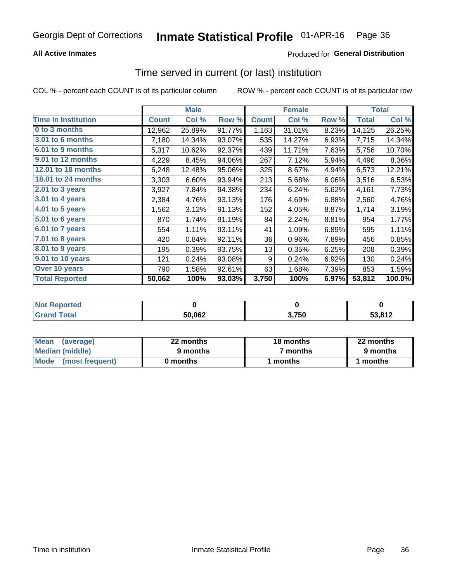### **All Active Inmates**

## **Produced for General Distribution**

# Time served in current (or last) institution

COL % - percent each COUNT is of its particular column

|                            |              | <b>Male</b> |        |              | <b>Female</b> |       |              | <b>Total</b> |
|----------------------------|--------------|-------------|--------|--------------|---------------|-------|--------------|--------------|
| <b>Time In Institution</b> | <b>Count</b> | Col %       | Row %  | <b>Count</b> | Col %         | Row % | <b>Total</b> | Col %        |
| 0 to 3 months              | 12,962       | 25.89%      | 91.77% | 1,163        | 31.01%        | 8.23% | 14,125       | 26.25%       |
| <b>3.01 to 6 months</b>    | 7,180        | 14.34%      | 93.07% | 535          | 14.27%        | 6.93% | 7,715        | 14.34%       |
| 6.01 to 9 months           | 5,317        | 10.62%      | 92.37% | 439          | 11.71%        | 7.63% | 5,756        | 10.70%       |
| 9.01 to 12 months          | 4,229        | 8.45%       | 94.06% | 267          | 7.12%         | 5.94% | 4,496        | 8.36%        |
| <b>12.01 to 18 months</b>  | 6,248        | 12.48%      | 95.06% | 325          | 8.67%         | 4.94% | 6,573        | 12.21%       |
| <b>18.01 to 24 months</b>  | 3,303        | 6.60%       | 93.94% | 213          | 5.68%         | 6.06% | 3,516        | 6.53%        |
| $2.01$ to 3 years          | 3,927        | 7.84%       | 94.38% | 234          | 6.24%         | 5.62% | 4,161        | 7.73%        |
| $3.01$ to 4 years          | 2,384        | 4.76%       | 93.13% | 176          | 4.69%         | 6.88% | 2,560        | 4.76%        |
| 4.01 to 5 years            | 1,562        | 3.12%       | 91.13% | 152          | 4.05%         | 8.87% | 1,714        | 3.19%        |
| 5.01 to 6 years            | 870          | 1.74%       | 91.19% | 84           | 2.24%         | 8.81% | 954          | 1.77%        |
| 6.01 to 7 years            | 554          | 1.11%       | 93.11% | 41           | 1.09%         | 6.89% | 595          | 1.11%        |
| $7.01$ to 8 years          | 420          | 0.84%       | 92.11% | 36           | 0.96%         | 7.89% | 456          | 0.85%        |
| 8.01 to 9 years            | 195          | 0.39%       | 93.75% | 13           | 0.35%         | 6.25% | 208          | 0.39%        |
| 9.01 to 10 years           | 121          | 0.24%       | 93.08% | 9            | 0.24%         | 6.92% | 130          | 0.24%        |
| Over 10 years              | 790          | 1.58%       | 92.61% | 63           | 1.68%         | 7.39% | 853          | 1.59%        |
| <b>Total Reported</b>      | 50,062       | 100%        | 93.03% | 3,750        | 100%          | 6.97% | 53,812       | 100.0%       |

| <b>ported</b><br><b>Not</b> |        |       |                                                           |
|-----------------------------|--------|-------|-----------------------------------------------------------|
| <b>otal</b>                 | 50,062 | 3,750 | 53.81 <sup>o</sup><br>the contract of the contract of the |

| <b>Mean</b><br>(average) | 22 months | 18 months | 22 months |
|--------------------------|-----------|-----------|-----------|
| Median (middle)          | 9 months  | 7 months  | 9 months  |
| Mode (most frequent)     | 0 months  | months    | l months  |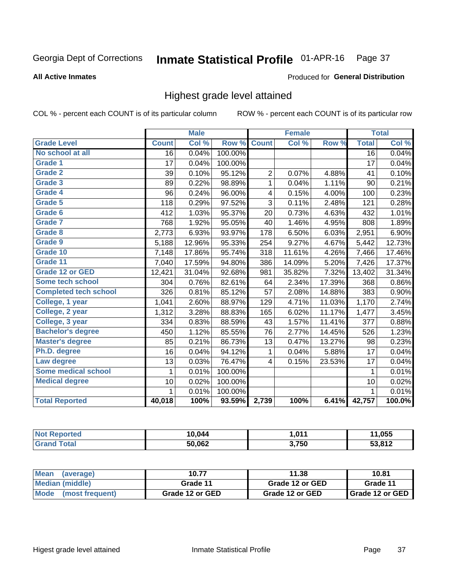#### Inmate Statistical Profile 01-APR-16 Page 37

#### **All Active Inmates**

#### Produced for General Distribution

## Highest grade level attained

COL % - percent each COUNT is of its particular column

|                              |                 | <b>Male</b> |         |                | <b>Female</b> |        |                 | <b>Total</b> |
|------------------------------|-----------------|-------------|---------|----------------|---------------|--------|-----------------|--------------|
| <b>Grade Level</b>           | <b>Count</b>    | Col %       | Row %   | <b>Count</b>   | Col %         | Row %  | <b>Total</b>    | Col %        |
| No school at all             | $\overline{16}$ | 0.04%       | 100.00% |                |               |        | $\overline{16}$ | 0.04%        |
| <b>Grade 1</b>               | 17              | 0.04%       | 100.00% |                |               |        | 17              | 0.04%        |
| <b>Grade 2</b>               | 39              | 0.10%       | 95.12%  | $\overline{c}$ | 0.07%         | 4.88%  | 41              | 0.10%        |
| Grade 3                      | 89              | 0.22%       | 98.89%  | $\mathbf{1}$   | 0.04%         | 1.11%  | 90              | 0.21%        |
| <b>Grade 4</b>               | 96              | 0.24%       | 96.00%  | 4              | 0.15%         | 4.00%  | 100             | 0.23%        |
| <b>Grade 5</b>               | 118             | 0.29%       | 97.52%  | 3              | 0.11%         | 2.48%  | 121             | 0.28%        |
| Grade 6                      | 412             | 1.03%       | 95.37%  | 20             | 0.73%         | 4.63%  | 432             | 1.01%        |
| <b>Grade 7</b>               | 768             | 1.92%       | 95.05%  | 40             | 1.46%         | 4.95%  | 808             | 1.89%        |
| <b>Grade 8</b>               | 2,773           | 6.93%       | 93.97%  | 178            | 6.50%         | 6.03%  | 2,951           | 6.90%        |
| Grade 9                      | 5,188           | 12.96%      | 95.33%  | 254            | 9.27%         | 4.67%  | 5,442           | 12.73%       |
| Grade 10                     | 7,148           | 17.86%      | 95.74%  | 318            | 11.61%        | 4.26%  | 7,466           | 17.46%       |
| Grade 11                     | 7,040           | 17.59%      | 94.80%  | 386            | 14.09%        | 5.20%  | 7,426           | 17.37%       |
| <b>Grade 12 or GED</b>       | 12,421          | 31.04%      | 92.68%  | 981            | 35.82%        | 7.32%  | 13,402          | 31.34%       |
| <b>Some tech school</b>      | 304             | 0.76%       | 82.61%  | 64             | 2.34%         | 17.39% | 368             | 0.86%        |
| <b>Completed tech school</b> | 326             | 0.81%       | 85.12%  | 57             | 2.08%         | 14.88% | 383             | 0.90%        |
| College, 1 year              | 1,041           | 2.60%       | 88.97%  | 129            | 4.71%         | 11.03% | 1,170           | 2.74%        |
| College, 2 year              | 1,312           | 3.28%       | 88.83%  | 165            | 6.02%         | 11.17% | 1,477           | 3.45%        |
| College, 3 year              | 334             | 0.83%       | 88.59%  | 43             | 1.57%         | 11.41% | 377             | 0.88%        |
| <b>Bachelor's degree</b>     | 450             | 1.12%       | 85.55%  | 76             | 2.77%         | 14.45% | 526             | 1.23%        |
| <b>Master's degree</b>       | 85              | 0.21%       | 86.73%  | 13             | 0.47%         | 13.27% | 98              | 0.23%        |
| Ph.D. degree                 | 16              | 0.04%       | 94.12%  | 1              | 0.04%         | 5.88%  | 17              | 0.04%        |
| Law degree                   | 13              | 0.03%       | 76.47%  | 4              | 0.15%         | 23.53% | 17              | 0.04%        |
| <b>Some medical school</b>   | 1               | 0.01%       | 100.00% |                |               |        | 1               | 0.01%        |
| <b>Medical degree</b>        | 10              | 0.02%       | 100.00% |                |               |        | 10              | 0.02%        |
|                              | 1               | 0.01%       | 100.00% |                |               |        | $\mathbf{1}$    | 0.01%        |
| <b>Total Reported</b>        | 40,018          | 100%        | 93.59%  | 2,739          | 100%          | 6.41%  | 42,757          | 100.0%       |

| 0.044  | በ11<br> | .055   |
|--------|---------|--------|
| 50,062 | 3,750   | ED 040 |

| <b>Mean</b><br>(average) | 10.77           | 11.38           | 10.81             |
|--------------------------|-----------------|-----------------|-------------------|
| Median (middle)          | Grade 11        | Grade 12 or GED | Grade 11          |
| Mode<br>(most frequent)  | Grade 12 or GED | Grade 12 or GED | I Grade 12 or GED |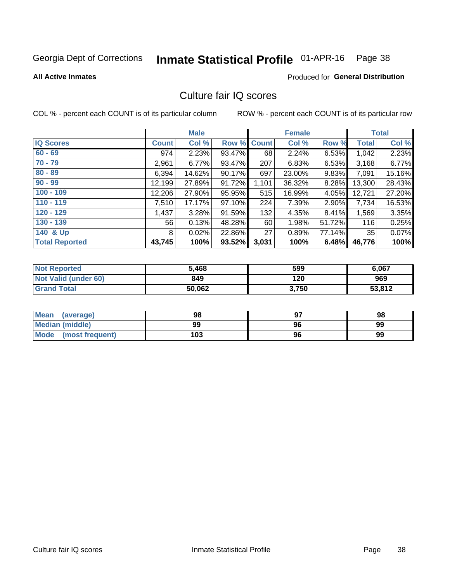# Inmate Statistical Profile 01-APR-16 Page 38

**All Active Inmates** 

#### Produced for General Distribution

## Culture fair IQ scores

COL % - percent each COUNT is of its particular column

|                       |              | <b>Male</b> |             |       | <b>Female</b> |          |              | <b>Total</b> |
|-----------------------|--------------|-------------|-------------|-------|---------------|----------|--------------|--------------|
| <b>IQ Scores</b>      | <b>Count</b> | Col %       | Row % Count |       | Col %         | Row %    | <b>Total</b> | Col %        |
| $60 - 69$             | 974          | 2.23%       | 93.47%      | 68    | 2.24%         | 6.53%    | 1,042        | 2.23%        |
| $70 - 79$             | 2,961        | 6.77%       | 93.47%      | 207   | 6.83%         | 6.53%    | 3,168        | 6.77%        |
| $80 - 89$             | 6,394        | 14.62%      | 90.17%      | 697   | 23.00%        | $9.83\%$ | 7,091        | 15.16%       |
| $90 - 99$             | 12,199       | 27.89%      | 91.72%      | 1,101 | 36.32%        | 8.28%    | 13,300       | 28.43%       |
| $100 - 109$           | 12,206       | 27.90%      | 95.95%      | 515   | 16.99%        | 4.05%    | 12,721       | 27.20%       |
| $110 - 119$           | 7,510        | 17.17%      | 97.10%      | 224   | 7.39%         | 2.90%    | 7,734        | 16.53%       |
| $120 - 129$           | 1,437        | 3.28%       | 91.59%      | 132   | 4.35%         | 8.41%    | 1,569        | 3.35%        |
| $130 - 139$           | 56           | 0.13%       | 48.28%      | 60    | 1.98%         | 51.72%   | 116          | 0.25%        |
| 140 & Up              | 8            | 0.02%       | 22.86%      | 27    | 0.89%         | 77.14%   | 35           | 0.07%        |
| <b>Total Reported</b> | 43,745       | 100%        | 93.52%      | 3,031 | 100%          | 6.48%    | 46,776       | 100%         |

| <b>Not Reported</b>         | 5,468  | 599   | 6,067  |
|-----------------------------|--------|-------|--------|
| <b>Not Valid (under 60)</b> | 849    | 120   | 969    |
| <b>Grand Total</b>          | 50,062 | 3,750 | 53,812 |

| <b>Mean</b><br>(average) | 98  | רח | 98 |
|--------------------------|-----|----|----|
| Median (middle)          | 99  | 96 | 99 |
| Mode<br>(most frequent)  | 103 | 96 | 99 |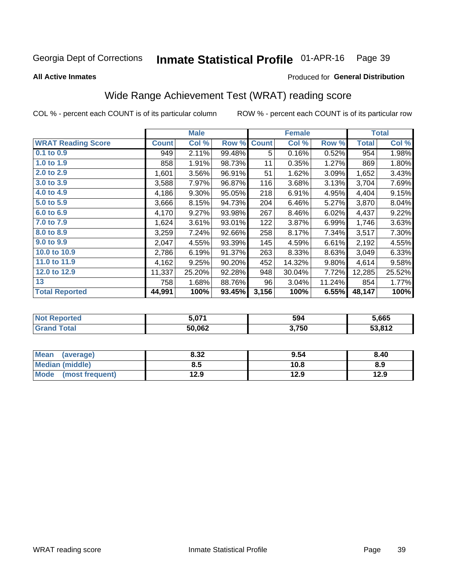#### Inmate Statistical Profile 01-APR-16 Page 39

**All Active Inmates** 

### Produced for General Distribution

## Wide Range Achievement Test (WRAT) reading score

COL % - percent each COUNT is of its particular column

|                           |              | <b>Male</b> |        |              | <b>Female</b> |        |        | <b>Total</b> |
|---------------------------|--------------|-------------|--------|--------------|---------------|--------|--------|--------------|
| <b>WRAT Reading Score</b> | <b>Count</b> | Col %       | Row %  | <b>Count</b> | Col %         | Row %  | Total  | Col %        |
| $0.1$ to $0.9$            | 949          | 2.11%       | 99.48% | 5            | 0.16%         | 0.52%  | 954    | 1.98%        |
| 1.0 to 1.9                | 858          | 1.91%       | 98.73% | 11           | 0.35%         | 1.27%  | 869    | 1.80%        |
| 2.0 to 2.9                | 1,601        | 3.56%       | 96.91% | 51           | 1.62%         | 3.09%  | 1,652  | 3.43%        |
| 3.0 to 3.9                | 3,588        | 7.97%       | 96.87% | 116          | 3.68%         | 3.13%  | 3,704  | 7.69%        |
| 4.0 to 4.9                | 4,186        | 9.30%       | 95.05% | 218          | 6.91%         | 4.95%  | 4,404  | 9.15%        |
| 5.0 to 5.9                | 3,666        | 8.15%       | 94.73% | 204          | 6.46%         | 5.27%  | 3,870  | 8.04%        |
| 6.0 to 6.9                | 4,170        | 9.27%       | 93.98% | 267          | 8.46%         | 6.02%  | 4,437  | 9.22%        |
| 7.0 to 7.9                | 1,624        | 3.61%       | 93.01% | 122          | 3.87%         | 6.99%  | 1,746  | 3.63%        |
| 8.0 to 8.9                | 3,259        | 7.24%       | 92.66% | 258          | 8.17%         | 7.34%  | 3,517  | 7.30%        |
| 9.0 to 9.9                | 2,047        | 4.55%       | 93.39% | 145          | 4.59%         | 6.61%  | 2,192  | 4.55%        |
| 10.0 to 10.9              | 2,786        | 6.19%       | 91.37% | 263          | 8.33%         | 8.63%  | 3,049  | 6.33%        |
| 11.0 to 11.9              | 4,162        | 9.25%       | 90.20% | 452          | 14.32%        | 9.80%  | 4,614  | 9.58%        |
| 12.0 to 12.9              | 11,337       | 25.20%      | 92.28% | 948          | 30.04%        | 7.72%  | 12,285 | 25.52%       |
| 13                        | 758          | 1.68%       | 88.76% | 96           | 3.04%         | 11.24% | 854    | 1.77%        |
| <b>Total Reported</b>     | 44,991       | 100%        | 93.45% | 3,156        | 100%          | 6.55%  | 48,147 | 100%         |

| Reported<br><b>NOT</b> | 5.071  | 594   | 5,665  |
|------------------------|--------|-------|--------|
| <b>cotal</b>           | 50,062 | 3,750 | 53,812 |

| <b>Mean</b><br>(average)       | 8.32 | 9.54 | 8.40 |
|--------------------------------|------|------|------|
| Median (middle)                | 8.5  | 10.8 | 8.9  |
| <b>Mode</b><br>(most frequent) | 12.9 | 12.9 | 12.9 |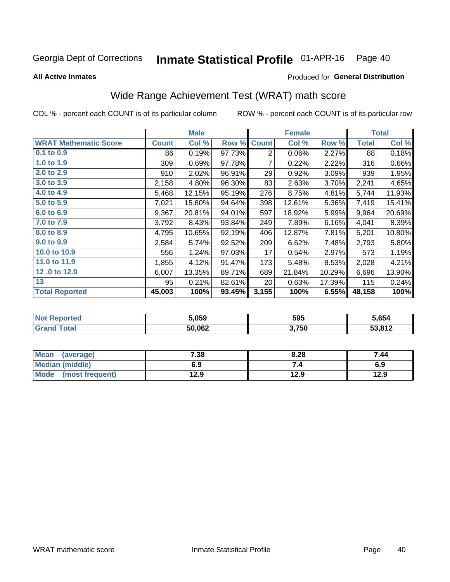#### Inmate Statistical Profile 01-APR-16 Page 40

**All Active Inmates** 

#### Produced for General Distribution

## Wide Range Achievement Test (WRAT) math score

COL % - percent each COUNT is of its particular column

|                              |              | <b>Male</b> |        |                | <b>Female</b> |        |              | <b>Total</b> |
|------------------------------|--------------|-------------|--------|----------------|---------------|--------|--------------|--------------|
| <b>WRAT Mathematic Score</b> | <b>Count</b> | Col %       | Row %  | <b>Count</b>   | Col %         | Row %  | <b>Total</b> | Col %        |
| $0.1$ to $0.9$               | 86           | 0.19%       | 97.73% | $\overline{2}$ | 0.06%         | 2.27%  | 88           | 0.18%        |
| 1.0 to 1.9                   | 309          | 0.69%       | 97.78% | 7              | 0.22%         | 2.22%  | 316          | 0.66%        |
| 2.0 to 2.9                   | 910          | 2.02%       | 96.91% | 29             | 0.92%         | 3.09%  | 939          | 1.95%        |
| 3.0 to 3.9                   | 2,158        | 4.80%       | 96.30% | 83             | 2.63%         | 3.70%  | 2,241        | 4.65%        |
| 4.0 to 4.9                   | 5,468        | 12.15%      | 95.19% | 276            | 8.75%         | 4.81%  | 5,744        | 11.93%       |
| 5.0 to 5.9                   | 7,021        | 15.60%      | 94.64% | 398            | 12.61%        | 5.36%  | 7,419        | 15.41%       |
| 6.0 to 6.9                   | 9,367        | 20.81%      | 94.01% | 597            | 18.92%        | 5.99%  | 9,964        | 20.69%       |
| 7.0 to 7.9                   | 3,792        | 8.43%       | 93.84% | 249            | 7.89%         | 6.16%  | 4,041        | 8.39%        |
| 8.0 to 8.9                   | 4,795        | 10.65%      | 92.19% | 406            | 12.87%        | 7.81%  | 5,201        | 10.80%       |
| 9.0 to 9.9                   | 2,584        | 5.74%       | 92.52% | 209            | 6.62%         | 7.48%  | 2,793        | 5.80%        |
| 10.0 to 10.9                 | 556          | 1.24%       | 97.03% | 17             | 0.54%         | 2.97%  | 573          | 1.19%        |
| 11.0 to 11.9                 | 1,855        | 4.12%       | 91.47% | 173            | 5.48%         | 8.53%  | 2,028        | 4.21%        |
| 12.0 to 12.9                 | 6,007        | 13.35%      | 89.71% | 689            | 21.84%        | 10.29% | 6,696        | 13.90%       |
| 13                           | 95           | 0.21%       | 82.61% | 20             | 0.63%         | 17.39% | 115          | 0.24%        |
| <b>Total Reported</b>        | 45,003       | 100%        | 93.45% | 3,155          | 100%          | 6.55%  | 48,158       | 100%         |

| Reported<br><b>NOT</b> | 5.059  | 595   | 5,654  |
|------------------------|--------|-------|--------|
| <b>cotal</b>           | 50,062 | 3,750 | 53,812 |

| <b>Mean</b><br>(average) | 7.38 | 8.28 | 7.44 |
|--------------------------|------|------|------|
| <b>Median (middle)</b>   | 6.9  |      | 6.9  |
| Mode (most frequent)     | 12.9 | 12.9 | 12.9 |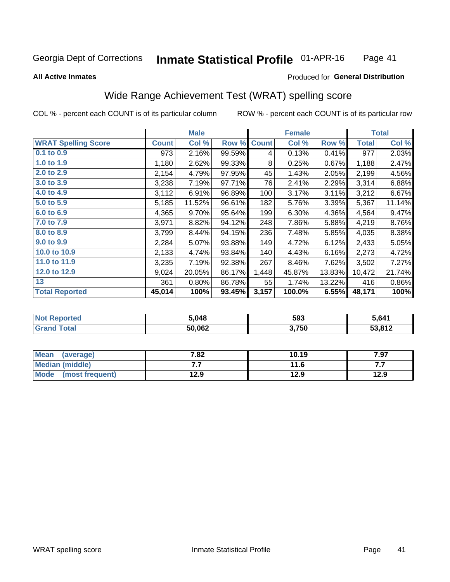#### Inmate Statistical Profile 01-APR-16 Page 41

#### **All Active Inmates**

### Produced for General Distribution

## Wide Range Achievement Test (WRAT) spelling score

COL % - percent each COUNT is of its particular column

|                            |              | <b>Male</b> |        |              | <b>Female</b> |        |              | <b>Total</b> |
|----------------------------|--------------|-------------|--------|--------------|---------------|--------|--------------|--------------|
| <b>WRAT Spelling Score</b> | <b>Count</b> | Col %       | Row %  | <b>Count</b> | Col %         | Row %  | <b>Total</b> | Col %        |
| $0.1$ to $0.9$             | 973          | 2.16%       | 99.59% | 4            | 0.13%         | 0.41%  | 977          | 2.03%        |
| 1.0 to 1.9                 | 1,180        | 2.62%       | 99.33% | 8            | 0.25%         | 0.67%  | 1,188        | 2.47%        |
| 2.0 to 2.9                 | 2,154        | 4.79%       | 97.95% | 45           | 1.43%         | 2.05%  | 2,199        | 4.56%        |
| 3.0 to 3.9                 | 3,238        | 7.19%       | 97.71% | 76           | 2.41%         | 2.29%  | 3,314        | 6.88%        |
| 4.0 to $4.9$               | 3,112        | 6.91%       | 96.89% | 100          | 3.17%         | 3.11%  | 3,212        | 6.67%        |
| 5.0 to 5.9                 | 5,185        | 11.52%      | 96.61% | 182          | 5.76%         | 3.39%  | 5,367        | 11.14%       |
| 6.0 to 6.9                 | 4,365        | 9.70%       | 95.64% | 199          | 6.30%         | 4.36%  | 4,564        | 9.47%        |
| 7.0 to 7.9                 | 3,971        | 8.82%       | 94.12% | 248          | 7.86%         | 5.88%  | 4,219        | 8.76%        |
| 8.0 to 8.9                 | 3,799        | 8.44%       | 94.15% | 236          | 7.48%         | 5.85%  | 4,035        | 8.38%        |
| 9.0 to 9.9                 | 2,284        | 5.07%       | 93.88% | 149          | 4.72%         | 6.12%  | 2,433        | 5.05%        |
| 10.0 to 10.9               | 2,133        | 4.74%       | 93.84% | 140          | 4.43%         | 6.16%  | 2,273        | 4.72%        |
| 11.0 to 11.9               | 3,235        | 7.19%       | 92.38% | 267          | 8.46%         | 7.62%  | 3,502        | 7.27%        |
| 12.0 to 12.9               | 9,024        | 20.05%      | 86.17% | 1,448        | 45.87%        | 13.83% | 10,472       | 21.74%       |
| 13                         | 361          | 0.80%       | 86.78% | 55           | 1.74%         | 13.22% | 416          | 0.86%        |
| <b>Total Reported</b>      | 45,014       | 100%        | 93.45% | 3,157        | 100.0%        | 6.55%  | 48,171       | 100%         |

| <b>rted</b><br>NO | 5,048  | 593   | 5.641  |
|-------------------|--------|-------|--------|
|                   | 50,062 | 3,750 | 53.812 |

| Mean<br>(average)    | 7.82 | 10.19 | 7.97 |
|----------------------|------|-------|------|
| Median (middle)      | .    | 11.6  | .    |
| Mode (most frequent) | 12.9 | 12.9  | 12.9 |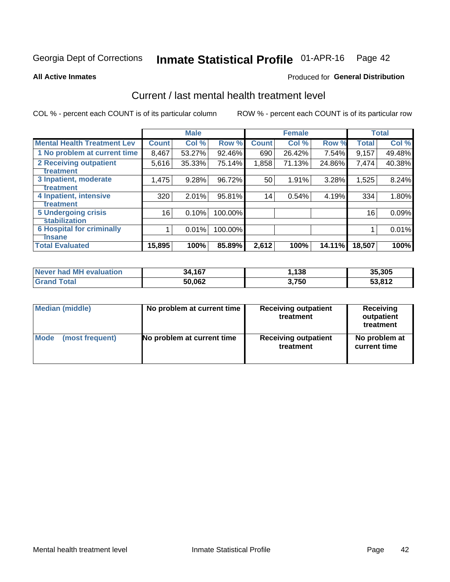# Inmate Statistical Profile 01-APR-16 Page 42

#### **All Active Inmates**

### Produced for General Distribution

## Current / last mental health treatment level

COL % - percent each COUNT is of its particular column

|                                    |              | <b>Male</b> |         |              | <b>Female</b> |        |              | <b>Total</b> |
|------------------------------------|--------------|-------------|---------|--------------|---------------|--------|--------------|--------------|
| <b>Mental Health Treatment Lev</b> | <b>Count</b> | Col %       | Row %   | <b>Count</b> | Col %         | Row %  | <b>Total</b> | Col %        |
| 1 No problem at current time       | 8,467        | 53.27%      | 92.46%  | 690          | 26.42%        | 7.54%  | 9,157        | 49.48%       |
| 2 Receiving outpatient             | 5,616        | 35.33%      | 75.14%  | 1,858        | 71.13%        | 24.86% | 7,474        | 40.38%       |
| <b>Treatment</b>                   |              |             |         |              |               |        |              |              |
| 3 Inpatient, moderate              | 1,475        | 9.28%       | 96.72%  | 50           | 1.91%         | 3.28%  | 1,525        | 8.24%        |
| Treatment                          |              |             |         |              |               |        |              |              |
| 4 Inpatient, intensive             | 320          | 2.01%       | 95.81%  | 14           | 0.54%         | 4.19%  | 334          | 1.80%        |
| Treatment                          |              |             |         |              |               |        |              |              |
| 5 Undergoing crisis                | 16           | 0.10%       | 100.00% |              |               |        | 16           | 0.09%        |
| <b>stabilization</b>               |              |             |         |              |               |        |              |              |
| <b>6 Hospital for criminally</b>   |              | 0.01%       | 100.00% |              |               |        |              | 0.01%        |
| <b>Tinsane</b>                     |              |             |         |              |               |        |              |              |
| <b>Total Evaluated</b>             | 15,895       | 100%        | 85.89%  | 2,612        | 100%          | 14.11% | 18,507       | 100%         |

| Never had MH evaluation | 34,167 | ,138  | 35,305 |
|-------------------------|--------|-------|--------|
| <b>Grand Total</b>      | 50,062 | 3,750 | 53,812 |

| Median (middle) | No problem at current time | <b>Receiving outpatient</b><br>treatment | <b>Receiving</b><br>outpatient<br>treatment |  |  |
|-----------------|----------------------------|------------------------------------------|---------------------------------------------|--|--|
| <b>Mode</b>     | No problem at current time | <b>Receiving outpatient</b>              | No problem at                               |  |  |
| (most frequent) |                            | treatment                                | current time                                |  |  |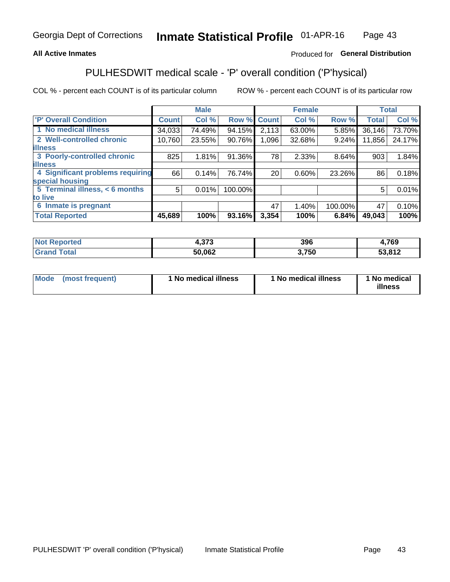### **All Active Inmates**

### Produced for General Distribution

## PULHESDWIT medical scale - 'P' overall condition ('P'hysical)

COL % - percent each COUNT is of its particular column

|                                  |              | <b>Male</b> |         |              | <b>Female</b> |         |              | <b>Total</b> |
|----------------------------------|--------------|-------------|---------|--------------|---------------|---------|--------------|--------------|
| <b>'P' Overall Condition</b>     | <b>Count</b> | Col %       | Row %   | <b>Count</b> | Col %         | Row %   | <b>Total</b> | Col %        |
| 1 No medical illness             | 34,033       | 74.49%      | 94.15%  | 2,113        | 63.00%        | 5.85%   | 36,146       | 73.70%       |
| 2 Well-controlled chronic        | 10,760       | 23.55%      | 90.76%  | 1,096        | 32.68%        | 9.24%   | 11,856       | 24.17%       |
| <b>lillness</b>                  |              |             |         |              |               |         |              |              |
| 3 Poorly-controlled chronic      | 825          | 1.81%       | 91.36%  | 78           | 2.33%         | 8.64%   | 903          | 1.84%        |
| <b>illness</b>                   |              |             |         |              |               |         |              |              |
| 4 Significant problems requiring | 66           | 0.14%       | 76.74%  | 20           | 0.60%         | 23.26%  | 86           | 0.18%        |
| special housing                  |              |             |         |              |               |         |              |              |
| 5 Terminal illness, < 6 months   | 5            | 0.01%       | 100.00% |              |               |         | 5            | 0.01%        |
| to live                          |              |             |         |              |               |         |              |              |
| 6 Inmate is pregnant             |              |             |         | 47           | 1.40%         | 100.00% | 47           | 0.10%        |
| <b>Total Reported</b>            | 45,689       | 100%        | 93.16%  | 3,354        | 100%          | 6.84%   | 49,043       | 100%         |

| . | 272    | 396 | 760<br>ט י            |
|---|--------|-----|-----------------------|
|   | EN NON | 750 | 53.812<br><u>או</u> נ |

| Mode | (most frequent) | 1 No medical illness | 1 No medical illness | 1 No medical<br>illness |
|------|-----------------|----------------------|----------------------|-------------------------|
|------|-----------------|----------------------|----------------------|-------------------------|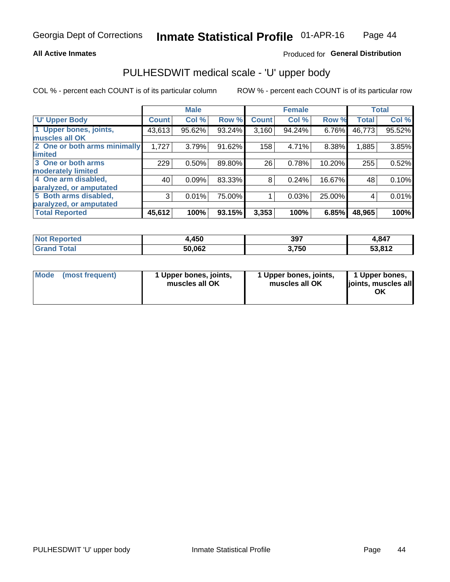### **All Active Inmates**

## Produced for General Distribution

## PULHESDWIT medical scale - 'U' upper body

COL % - percent each COUNT is of its particular column

|                              |              | <b>Male</b> |        |              | <b>Female</b> |        |              | <b>Total</b> |
|------------------------------|--------------|-------------|--------|--------------|---------------|--------|--------------|--------------|
| <b>U' Upper Body</b>         | <b>Count</b> | Col %       | Row %  | <b>Count</b> | Col %         | Row %  | <b>Total</b> | Col %        |
| 1 Upper bones, joints,       | 43,613       | 95.62%      | 93.24% | 3,160        | 94.24%        | 6.76%  | 46,773       | 95.52%       |
| muscles all OK               |              |             |        |              |               |        |              |              |
| 2 One or both arms minimally | 1,727        | 3.79%       | 91.62% | 158          | 4.71%         | 8.38%  | 1,885        | 3.85%        |
| limited                      |              |             |        |              |               |        |              |              |
| 3 One or both arms           | 229          | 0.50%       | 89.80% | 26           | 0.78%         | 10.20% | 255          | 0.52%        |
| <b>moderately limited</b>    |              |             |        |              |               |        |              |              |
| 4 One arm disabled,          | 40           | 0.09%       | 83.33% | 8            | 0.24%         | 16.67% | 48           | 0.10%        |
| paralyzed, or amputated      |              |             |        |              |               |        |              |              |
| 5 Both arms disabled,        | 3            | 0.01%       | 75.00% |              | 0.03%         | 25.00% | 4            | 0.01%        |
| paralyzed, or amputated      |              |             |        |              |               |        |              |              |
| <b>Total Reported</b>        | 45,612       | 100%        | 93.15% | 3,353        | 100%          | 6.85%  | 48,965       | 100%         |

| <b>Not Reported</b>   | 4,450  | 397   | 4,847  |
|-----------------------|--------|-------|--------|
| <b>Total</b><br>Grand | 50,062 | 3,750 | 53,812 |

| Mode<br>(most frequent) | 1 Upper bones, joints,<br>muscles all OK | 1 Upper bones, joints,<br>muscles all OK | 1 Upper bones,<br>joints, muscles all<br>ΟK |
|-------------------------|------------------------------------------|------------------------------------------|---------------------------------------------|
|-------------------------|------------------------------------------|------------------------------------------|---------------------------------------------|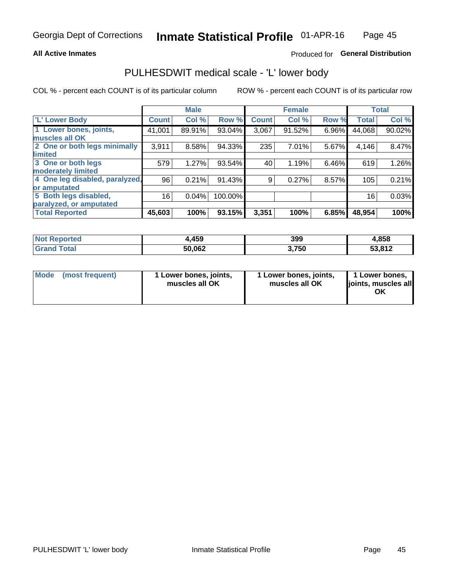### **All Active Inmates**

## Produced for General Distribution

## PULHESDWIT medical scale - 'L' lower body

COL % - percent each COUNT is of its particular column

|                                |              | <b>Male</b> |         |              | <b>Female</b> |       |              | <b>Total</b> |
|--------------------------------|--------------|-------------|---------|--------------|---------------|-------|--------------|--------------|
| 'L' Lower Body                 | <b>Count</b> | Col %       | Row %   | <b>Count</b> | Col %         | Row % | <b>Total</b> | Col %        |
| 1 Lower bones, joints,         | 41,001       | 89.91%      | 93.04%  | 3,067        | 91.52%        | 6.96% | 44,068       | 90.02%       |
| muscles all OK                 |              |             |         |              |               |       |              |              |
| 2 One or both legs minimally   | 3,911        | 8.58%       | 94.33%  | 235          | 7.01%         | 5.67% | 4,146        | 8.47%        |
| limited                        |              |             |         |              |               |       |              |              |
| 3 One or both legs             | 579          | 1.27%       | 93.54%  | 40           | 1.19%         | 6.46% | 619          | 1.26%        |
| moderately limited             |              |             |         |              |               |       |              |              |
| 4 One leg disabled, paralyzed, | 96           | 0.21%       | 91.43%  | 9            | 0.27%         | 8.57% | 105          | 0.21%        |
| or amputated                   |              |             |         |              |               |       |              |              |
| 5 Both legs disabled,          | 16           | 0.04%       | 100.00% |              |               |       | 16           | 0.03%        |
| paralyzed, or amputated        |              |             |         |              |               |       |              |              |
| <b>Total Reported</b>          | 45,603       | 100%        | 93.15%  | 3,351        | 100%          | 6.85% | 48,954       | 100%         |

| <b>Not Reported</b> | 459،،  | 399   | 4,858  |
|---------------------|--------|-------|--------|
| <b>Total</b>        | 50,062 | 3,750 | 53,812 |

|  | Mode (most frequent) | 1 Lower bones, joints,<br>muscles all OK | 1 Lower bones, joints,<br>muscles all OK | 1 Lower bones,<br>joints, muscles all<br>ΟK |
|--|----------------------|------------------------------------------|------------------------------------------|---------------------------------------------|
|--|----------------------|------------------------------------------|------------------------------------------|---------------------------------------------|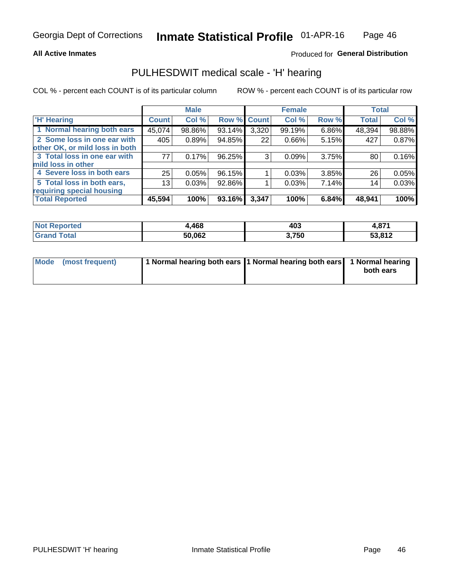### **All Active Inmates**

### Produced for General Distribution

## PULHESDWIT medical scale - 'H' hearing

COL % - percent each COUNT is of its particular column

|                                |                 | <b>Male</b> |             |       | <b>Female</b> |       | <b>Total</b> |        |
|--------------------------------|-----------------|-------------|-------------|-------|---------------|-------|--------------|--------|
| <b>H'</b> Hearing              | <b>Count</b>    | Col %       | Row % Count |       | Col %         | Row % | <b>Total</b> | Col %  |
| 1 Normal hearing both ears     | 45,074          | 98.86%      | 93.14%      | 3,320 | 99.19%        | 6.86% | 48,394       | 98.88% |
| 2 Some loss in one ear with    | 405             | 0.89%       | 94.85%      | 22    | $0.66\%$      | 5.15% | 427          | 0.87%  |
| other OK, or mild loss in both |                 |             |             |       |               |       |              |        |
| 3 Total loss in one ear with   | 77              | 0.17%       | 96.25%      | 3     | 0.09%         | 3.75% | 80           | 0.16%  |
| mild loss in other             |                 |             |             |       |               |       |              |        |
| 4 Severe loss in both ears     | 25              | 0.05%       | 96.15%      |       | 0.03%         | 3.85% | 26           | 0.05%  |
| 5 Total loss in both ears,     | 13 <sub>1</sub> | 0.03%       | 92.86%      |       | 0.03%         | 7.14% | 14           | 0.03%  |
| requiring special housing      |                 |             |             |       |               |       |              |        |
| <b>Total Reported</b>          | 45,594          | 100%        | 93.16%      | 3,347 | 100%          | 6.84% | 48,941       | 100%   |

| <b>Not Reno</b><br>≅norted i | <b>AGO</b><br>.,400 | 403   | 074    |
|------------------------------|---------------------|-------|--------|
| Total                        | 50,062              | 3,750 | 53,812 |

| Mode (most frequent) | 1 Normal hearing both ears 1 Normal hearing both ears 1 Normal hearing | both ears |
|----------------------|------------------------------------------------------------------------|-----------|
|                      |                                                                        |           |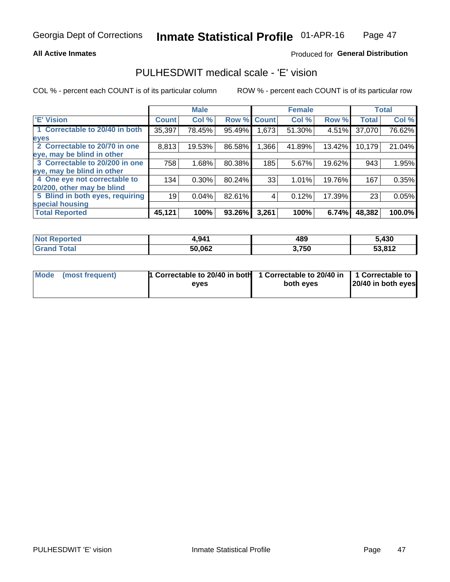### **All Active Inmates**

### Produced for General Distribution

## PULHESDWIT medical scale - 'E' vision

COL % - percent each COUNT is of its particular column

|                                 |              | <b>Male</b> |        |              | <b>Female</b> |        |              | <b>Total</b> |
|---------------------------------|--------------|-------------|--------|--------------|---------------|--------|--------------|--------------|
| <b>E' Vision</b>                | <b>Count</b> | Col %       | Row %  | <b>Count</b> | Col %         | Row %  | <b>Total</b> | Col %        |
| 1 Correctable to 20/40 in both  | 35,397       | 78.45%      | 95.49% | ,673         | 51.30%        | 4.51%  | 37,070       | 76.62%       |
| eyes                            |              |             |        |              |               |        |              |              |
| 2 Correctable to 20/70 in one   | 8,813        | 19.53%      | 86.58% | 1,366        | 41.89%        | 13.42% | 10,179       | 21.04%       |
| eye, may be blind in other      |              |             |        |              |               |        |              |              |
| 3 Correctable to 20/200 in one  | 758          | 1.68%       | 80.38% | 185          | 5.67%         | 19.62% | 943          | 1.95%        |
| eye, may be blind in other      |              |             |        |              |               |        |              |              |
| 4 One eye not correctable to    | 134          | $0.30\%$    | 80.24% | 33           | 1.01%         | 19.76% | 167          | 0.35%        |
| 20/200, other may be blind      |              |             |        |              |               |        |              |              |
| 5 Blind in both eyes, requiring | 19           | 0.04%       | 82.61% | 4            | 0.12%         | 17.39% | 23           | 0.05%        |
| special housing                 |              |             |        |              |               |        |              |              |
| <b>Total Reported</b>           | 45,121       | 100%        | 93.26% | 3,261        | 100%          | 6.74%  | 48,382       | 100.0%       |

| <b>Not Reported</b> | 4,941  | 489   | 5,430  |
|---------------------|--------|-------|--------|
| <b>Total</b>        | 50,062 | 3,750 | 53,812 |

| Mode (most frequent) | 1 Correctable to 20/40 in both<br>eves | 1 Correctable to 20/40 in   1 Correctable to  <br>both eves | 20/40 in both eyes |
|----------------------|----------------------------------------|-------------------------------------------------------------|--------------------|
|                      |                                        |                                                             |                    |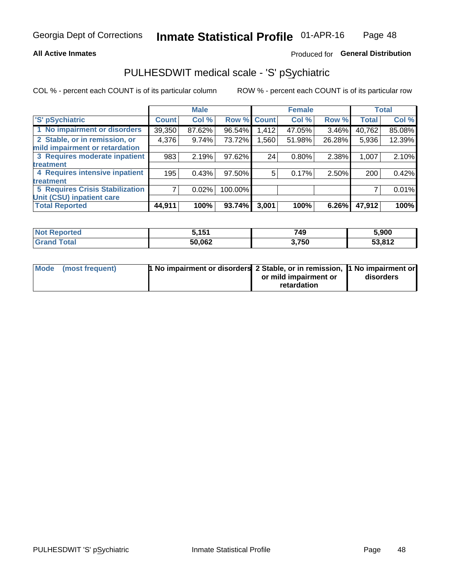### **All Active Inmates**

### Produced for General Distribution

## PULHESDWIT medical scale - 'S' pSychiatric

COL % - percent each COUNT is of its particular column

|                                        |              | <b>Male</b> |         |             | <b>Female</b> |        |              | <b>Total</b> |
|----------------------------------------|--------------|-------------|---------|-------------|---------------|--------|--------------|--------------|
| 'S' pSychiatric                        | <b>Count</b> | Col %       |         | Row % Count | Col %         | Row %  | <b>Total</b> | Col %        |
| 1 No impairment or disorders           | 39,350       | 87.62%      | 96.54%  | 1,412       | 47.05%        | 3.46%  | 40,762       | 85.08%       |
| 2 Stable, or in remission, or          | 4,376        | 9.74%       | 73.72%  | 1,560       | 51.98%        | 26.28% | 5,936        | 12.39%       |
| mild impairment or retardation         |              |             |         |             |               |        |              |              |
| 3 Requires moderate inpatient          | 983          | 2.19%       | 97.62%  | 24          | 0.80%         | 2.38%  | 1,007        | 2.10%        |
| treatment                              |              |             |         |             |               |        |              |              |
| 4 Requires intensive inpatient         | 195          | 0.43%       | 97.50%  | 5.          | 0.17%         | 2.50%  | 200          | 0.42%        |
| treatment                              |              |             |         |             |               |        |              |              |
| <b>5 Requires Crisis Stabilization</b> |              | 0.02%       | 100.00% |             |               |        |              | 0.01%        |
| Unit (CSU) inpatient care              |              |             |         |             |               |        |              |              |
| <b>Total Reported</b>                  | 44,911       | 100%        | 93.74%  | 3,001       | 100%          | 6.26%  | 47,912       | 100%         |

| <b>Not Reported</b> | 5.151  | 749   | 5,900  |
|---------------------|--------|-------|--------|
| Total<br>' Grand    | 50,062 | 3,750 | 53,812 |

| Mode (most frequent) | <b>t No impairment or disorders 2 Stable, or in remission, 1 No impairment or</b> |                       |           |
|----------------------|-----------------------------------------------------------------------------------|-----------------------|-----------|
|                      |                                                                                   | or mild impairment or | disorders |
|                      |                                                                                   | retardation           |           |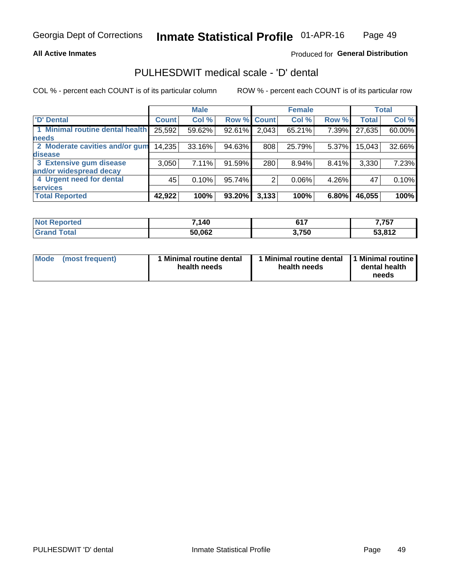### **All Active Inmates**

### Produced for General Distribution

## PULHESDWIT medical scale - 'D' dental

COL % - percent each COUNT is of its particular column

|                                 |              | <b>Male</b> |        |              | <b>Female</b> |       |              | <b>Total</b> |
|---------------------------------|--------------|-------------|--------|--------------|---------------|-------|--------------|--------------|
| <b>D'</b> Dental                | <b>Count</b> | Col %       | Row %  | <b>Count</b> | Col %         | Row % | <b>Total</b> | Col %        |
| 1 Minimal routine dental health | 25,592       | 59.62%      | 92.61% | 2,043        | 65.21%        | 7.39% | 27,635       | 60.00%       |
| <b>needs</b>                    |              |             |        |              |               |       |              |              |
| 2 Moderate cavities and/or gum  | 14,235       | 33.16%      | 94.63% | 808          | 25.79%        | 5.37% | 15,043       | 32.66%       |
| disease                         |              |             |        |              |               |       |              |              |
| 3 Extensive gum disease         | 3,050        | 7.11%       | 91.59% | 280          | 8.94%         | 8.41% | 3,330        | 7.23%        |
| and/or widespread decay         |              |             |        |              |               |       |              |              |
| 4 Urgent need for dental        | 45           | 0.10%       | 95.74% |              | 0.06%         | 4.26% | 47           | 0.10%        |
| <b>services</b>                 |              |             |        |              |               |       |              |              |
| <b>Total Reported</b>           | 42,922       | 100%        | 93.20% | 3,133        | 100%          | 6.80% | 46,055       | 100%         |

| <b>Not Reno</b><br><b>orted</b> | 7,140  | CAT   | 7,757  |
|---------------------------------|--------|-------|--------|
| Total                           | 50,062 | 3,750 | 53,812 |

| Mode | (most frequent) | <b>Minimal routine dental</b><br>health needs | 1 Minimal routine dental 1 Minimal routine<br>health needs | dental health<br>needs |
|------|-----------------|-----------------------------------------------|------------------------------------------------------------|------------------------|
|------|-----------------|-----------------------------------------------|------------------------------------------------------------|------------------------|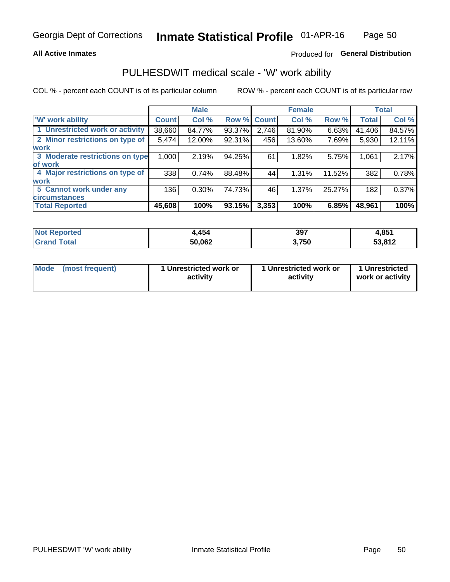### **All Active Inmates**

### Produced for General Distribution

## PULHESDWIT medical scale - 'W' work ability

COL % - percent each COUNT is of its particular column

|                                 |              | <b>Male</b> |        |             | <b>Female</b> |        |              | <b>Total</b> |
|---------------------------------|--------------|-------------|--------|-------------|---------------|--------|--------------|--------------|
| <b>W' work ability</b>          | <b>Count</b> | Col %       |        | Row % Count | Col %         | Row %  | <b>Total</b> | Col %        |
| 1 Unrestricted work or activity | 38,660       | 84.77%      | 93.37% | 2,746       | 81.90%        | 6.63%  | 41,406       | 84.57%       |
| 2 Minor restrictions on type of | 5,474        | 12.00%      | 92.31% | 456         | 13.60%        | 7.69%  | 5,930        | 12.11%       |
| <b>work</b>                     |              |             |        |             |               |        |              |              |
| 3 Moderate restrictions on type | 1,000        | 2.19%       | 94.25% | 61          | 1.82%         | 5.75%  | 1,061        | 2.17%        |
| lof work                        |              |             |        |             |               |        |              |              |
| 4 Major restrictions on type of | 338          | 0.74%       | 88.48% | 44          | 1.31%         | 11.52% | 382          | 0.78%        |
| <b>work</b>                     |              |             |        |             |               |        |              |              |
| 5 Cannot work under any         | 136          | $0.30\%$    | 74.73% | 46          | 1.37%         | 25.27% | 182          | 0.37%        |
| <b>circumstances</b>            |              |             |        |             |               |        |              |              |
| <b>Total Reported</b>           | 45,608       | 100%        | 93.15% | 3,353       | 100%          | 6.85%  | 48,961       | 100%         |

| <b>Not Reported</b> | .454   | 397   | 4,851  |
|---------------------|--------|-------|--------|
| Total<br>Grand      | 50,062 | 3,750 | 53,812 |

| Mode            | 1 Unrestricted work or | 1 Unrestricted work or | 1 Unrestricted   |
|-----------------|------------------------|------------------------|------------------|
| (most frequent) | activity               | activity               | work or activity |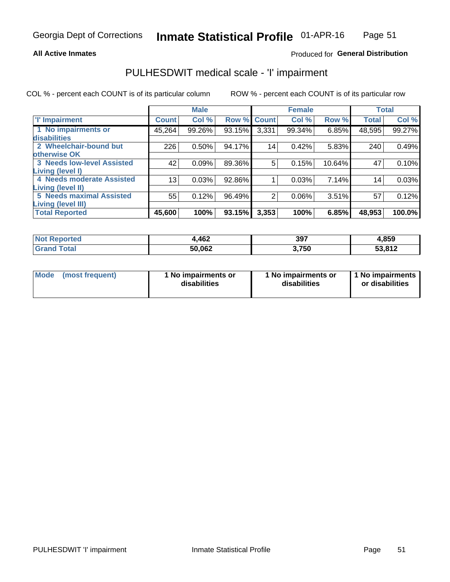### **All Active Inmates**

### Produced for General Distribution

## PULHESDWIT medical scale - 'I' impairment

COL % - percent each COUNT is of its particular column

|                                   |              | <b>Male</b> |           |                 | <b>Female</b> |        |              | <b>Total</b> |
|-----------------------------------|--------------|-------------|-----------|-----------------|---------------|--------|--------------|--------------|
| <b>T' Impairment</b>              | <b>Count</b> | Col %       |           | Row % Count     | Col %         | Row %  | <b>Total</b> | Col %        |
| 1 No impairments or               | 45,264       | 99.26%      | 93.15%    | 3,331           | 99.34%        | 6.85%  | 48,595       | 99.27%       |
| disabilities                      |              |             |           |                 |               |        |              |              |
| 2 Wheelchair-bound but            | 226          | 0.50%       | 94.17%    | 14 <sub>1</sub> | 0.42%         | 5.83%  | 240          | 0.49%        |
| otherwise OK                      |              |             |           |                 |               |        |              |              |
| <b>3 Needs low-level Assisted</b> | 42           | 0.09%       | 89.36%    | 5               | 0.15%         | 10.64% | 47           | 0.10%        |
| Living (level I)                  |              |             |           |                 |               |        |              |              |
| <b>4 Needs moderate Assisted</b>  | 13           | 0.03%       | 92.86%    |                 | 0.03%         | 7.14%  | 14           | 0.03%        |
| Living (level II)                 |              |             |           |                 |               |        |              |              |
| <b>5 Needs maximal Assisted</b>   | 55           | 0.12%       | 96.49%    | 2               | 0.06%         | 3.51%  | 57           | 0.12%        |
| <b>Living (level III)</b>         |              |             |           |                 |               |        |              |              |
| <b>Total Reported</b>             | 45,600       | 100%        | $93.15\%$ | 3,353           | 100%          | 6.85%  | 48,953       | 100.0%       |

| orted<br><b>NOT</b> | 1,462  | 397   | 4,859         |
|---------------------|--------|-------|---------------|
| int                 | 50,062 | 3,750 | <b>EQ 040</b> |

| Mode | (most frequent) | 1 No impairments or<br>disabilities | 1 No impairments or<br>disabilities | 1 No impairments<br>or disabilities |
|------|-----------------|-------------------------------------|-------------------------------------|-------------------------------------|
|------|-----------------|-------------------------------------|-------------------------------------|-------------------------------------|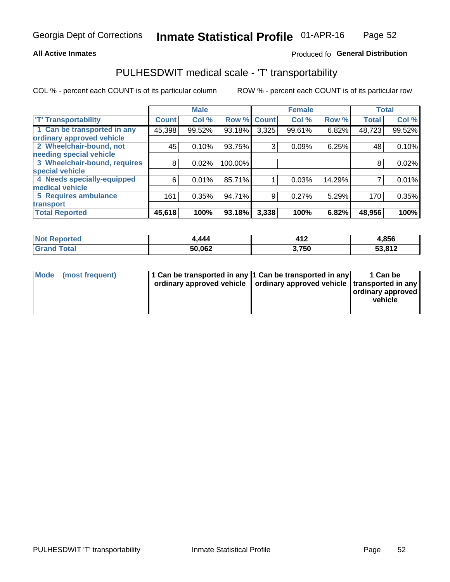### **All Active Inmates**

### Produced fo General Distribution

## PULHESDWIT medical scale - 'T' transportability

COL % - percent each COUNT is of its particular column

|                              |              | <b>Male</b> |         |              | <b>Female</b> |        | <b>Total</b> |        |
|------------------------------|--------------|-------------|---------|--------------|---------------|--------|--------------|--------|
| <b>T' Transportability</b>   | <b>Count</b> | Col %       | Row %   | <b>Count</b> | Col %         | Row %  | <b>Total</b> | Col %  |
| 1 Can be transported in any  | 45,398       | 99.52%      | 93.18%  | 3,325        | 99.61%        | 6.82%  | 48,723       | 99.52% |
| ordinary approved vehicle    |              |             |         |              |               |        |              |        |
| 2 Wheelchair-bound, not      | 45           | 0.10%       | 93.75%  | 3            | 0.09%         | 6.25%  | 48           | 0.10%  |
| needing special vehicle      |              |             |         |              |               |        |              |        |
| 3 Wheelchair-bound, requires | 8            | 0.02%       | 100.00% |              |               |        | 8            | 0.02%  |
| special vehicle              |              |             |         |              |               |        |              |        |
| 4 Needs specially-equipped   | 6            | 0.01%       | 85.71%  |              | 0.03%         | 14.29% |              | 0.01%  |
| medical vehicle              |              |             |         |              |               |        |              |        |
| <b>5 Requires ambulance</b>  | 161          | 0.35%       | 94.71%  | 9            | 0.27%         | 5.29%  | 170          | 0.35%  |
| transport                    |              |             |         |              |               |        |              |        |
| <b>Total Reported</b>        | 45,618       | 100%        | 93.18%  | 3,338        | 100%          | 6.82%  | 48,956       | 100%   |

| $^{\dagger}$ Not $\cdot$<br>Reported | ,444   | 44 O<br>1 Z | 4,856  |
|--------------------------------------|--------|-------------|--------|
| Total<br><b>Grand</b>                | 50,062 | ,750        | 53,812 |

|  | Mode (most frequent) | 1 Can be transported in any 1 Can be transported in any<br>ordinary approved vehicle   ordinary approved vehicle   transported in any |  | 1 Can be<br>  ordinary approved  <br>vehicle |
|--|----------------------|---------------------------------------------------------------------------------------------------------------------------------------|--|----------------------------------------------|
|--|----------------------|---------------------------------------------------------------------------------------------------------------------------------------|--|----------------------------------------------|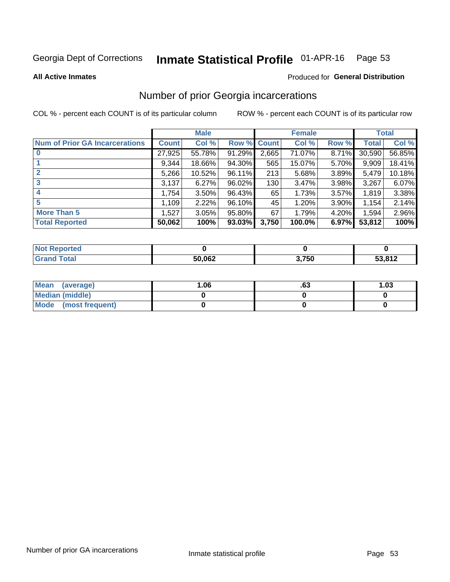#### Inmate Statistical Profile 01-APR-16 Page 53

**All Active Inmates** 

#### Produced for General Distribution

## Number of prior Georgia incarcerations

COL % - percent each COUNT is of its particular column

|                                       |              | <b>Male</b> |                    |       | <b>Female</b> |          |        | <b>Total</b> |
|---------------------------------------|--------------|-------------|--------------------|-------|---------------|----------|--------|--------------|
| <b>Num of Prior GA Incarcerations</b> | <b>Count</b> | Col %       | <b>Row % Count</b> |       | Col %         | Row %    | Total  | Col %        |
| $\bf{0}$                              | 27,925       | 55.78%      | 91.29%             | 2,665 | 71.07%        | 8.71%    | 30,590 | 56.85%       |
|                                       | 9,344        | 18.66%      | 94.30%             | 565   | 15.07%        | 5.70%    | 9,909  | 18.41%       |
|                                       | 5,266        | 10.52%      | 96.11%             | 213   | 5.68%         | 3.89%    | 5,479  | 10.18%       |
| 3                                     | 3,137        | 6.27%       | 96.02%             | 130   | 3.47%         | 3.98%    | 3,267  | 6.07%        |
| 4                                     | 1,754        | 3.50%       | 96.43%             | 65    | 1.73%         | 3.57%    | 1,819  | 3.38%        |
| 5                                     | 1,109        | 2.22%       | 96.10%             | 45    | 1.20%         | $3.90\%$ | 1,154  | 2.14%        |
| <b>More Than 5</b>                    | 1,527        | 3.05%       | 95.80%             | 67    | 1.79%         | 4.20%    | 1,594  | 2.96%        |
| <b>Total Reported</b>                 | 50,062       | 100%        | 93.03%             | 3,750 | 100.0%        | 6.97%    | 53,812 | 100%         |

| <b>Not Reported</b> |        |       |        |
|---------------------|--------|-------|--------|
| Total               | 50,062 | 3,750 | 53,812 |

| Mean (average)         | 06.، | .ია | 1.03 |
|------------------------|------|-----|------|
| <b>Median (middle)</b> |      |     |      |
| Mode (most frequent)   |      |     |      |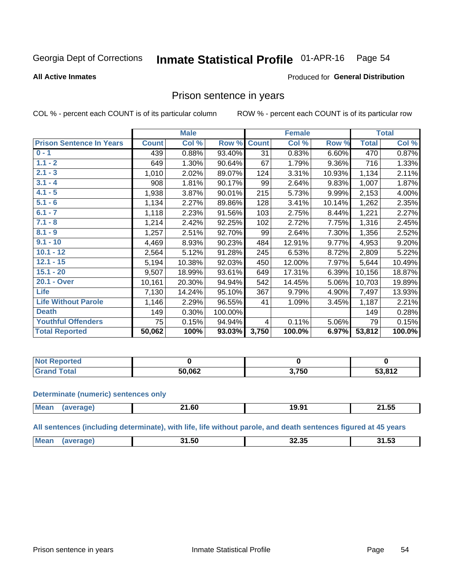#### Inmate Statistical Profile 01-APR-16 Page 54

#### **All Active Inmates**

#### Produced for General Distribution

## Prison sentence in years

COL % - percent each COUNT is of its particular column

ROW % - percent each COUNT is of its particular row

|                                 |              | <b>Male</b> |           |              | <b>Female</b> |        |              | <b>Total</b> |
|---------------------------------|--------------|-------------|-----------|--------------|---------------|--------|--------------|--------------|
| <b>Prison Sentence In Years</b> | <b>Count</b> | Col %       | Row %     | <b>Count</b> | Col %         | Row %  | <b>Total</b> | Col %        |
| $0 - 1$                         | 439          | 0.88%       | 93.40%    | 31           | 0.83%         | 6.60%  | 470          | 0.87%        |
| $1.1 - 2$                       | 649          | 1.30%       | 90.64%    | 67           | 1.79%         | 9.36%  | 716          | 1.33%        |
| $2.1 - 3$                       | 1,010        | 2.02%       | 89.07%    | 124          | 3.31%         | 10.93% | 1,134        | 2.11%        |
| $3.1 - 4$                       | 908          | 1.81%       | 90.17%    | 99           | 2.64%         | 9.83%  | 1,007        | 1.87%        |
| $4.1 - 5$                       | 1,938        | 3.87%       | 90.01%    | 215          | 5.73%         | 9.99%  | 2,153        | 4.00%        |
| $5.1 - 6$                       | 1,134        | 2.27%       | 89.86%    | 128          | 3.41%         | 10.14% | 1,262        | 2.35%        |
| $6.1 - 7$                       | 1,118        | 2.23%       | 91.56%    | 103          | 2.75%         | 8.44%  | 1,221        | 2.27%        |
| $7.1 - 8$                       | 1,214        | 2.42%       | 92.25%    | 102          | 2.72%         | 7.75%  | 1,316        | 2.45%        |
| $8.1 - 9$                       | 1,257        | 2.51%       | 92.70%    | 99           | 2.64%         | 7.30%  | 1,356        | 2.52%        |
| $9.1 - 10$                      | 4,469        | 8.93%       | 90.23%    | 484          | 12.91%        | 9.77%  | 4,953        | 9.20%        |
| $10.1 - 12$                     | 2,564        | 5.12%       | 91.28%    | 245          | 6.53%         | 8.72%  | 2,809        | 5.22%        |
| $12.1 - 15$                     | 5,194        | 10.38%      | 92.03%    | 450          | 12.00%        | 7.97%  | 5,644        | 10.49%       |
| $15.1 - 20$                     | 9,507        | 18.99%      | 93.61%    | 649          | 17.31%        | 6.39%  | 10,156       | 18.87%       |
| 20.1 - Over                     | 10,161       | 20.30%      | 94.94%    | 542          | 14.45%        | 5.06%  | 10,703       | 19.89%       |
| <b>Life</b>                     | 7,130        | 14.24%      | 95.10%    | 367          | 9.79%         | 4.90%  | 7,497        | 13.93%       |
| <b>Life Without Parole</b>      | 1,146        | 2.29%       | 96.55%    | 41           | 1.09%         | 3.45%  | 1,187        | 2.21%        |
| <b>Death</b>                    | 149          | 0.30%       | 100.00%   |              |               |        | 149          | 0.28%        |
| <b>Youthful Offenders</b>       | 75           | 0.15%       | 94.94%    | 4            | 0.11%         | 5.06%  | 79           | 0.15%        |
| <b>Total Reported</b>           | 50,062       | 100%        | $93.03\%$ | 3,750        | 100.0%        | 6.97%  | 53,812       | 100.0%       |

| <b>Not Reported</b> |        |      |               |
|---------------------|--------|------|---------------|
| Total               | ראה ה: | ,750 | 53.812<br>∖I∠ |

#### **Determinate (numeric) sentences only**

| <b>Mean</b> | .<br><b>ZI.OU</b> | 19.91 | 21.55 |
|-------------|-------------------|-------|-------|
|             |                   |       |       |

All sentences (including determinate), with life, life without parole, and death sentences figured at 45 years

| חה הה<br><b>Mean</b><br>--<br>14 E.O<br>- 1<br>1.5U<br><br>J I.JJ |  |  |  |
|-------------------------------------------------------------------|--|--|--|
|                                                                   |  |  |  |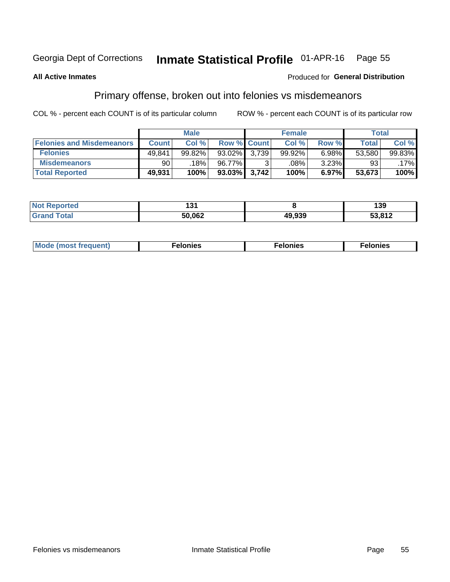#### Inmate Statistical Profile 01-APR-16 Page 55

### **All Active Inmates**

### Produced for General Distribution

## Primary offense, broken out into felonies vs misdemeanors

COL % - percent each COUNT is of its particular column

|                                  |              | <b>Male</b> |              |                    | <b>Female</b> |       | Total  |        |
|----------------------------------|--------------|-------------|--------------|--------------------|---------------|-------|--------|--------|
| <b>Felonies and Misdemeanors</b> | <b>Count</b> | Col%        |              | <b>Row % Count</b> | Col%          | Row % | Total  | Col %  |
| <b>Felonies</b>                  | 49,841       | 99.82%      | 93.02% 3.739 |                    | 99.92%        | 6.98% | 53.580 | 99.83% |
| <b>Misdemeanors</b>              | 90           | 18%         | 96.77%       | C.                 | .08%          | 3.23% | 93     | .17%   |
| <b>Total Reported</b>            | 49,931       | 100%        | 93.03% 3,742 |                    | 100%          | 6.97% | 53,673 | 100%   |

| ted<br>NO. | 4 O.<br>וטו |                | 39                  |
|------------|-------------|----------------|---------------------|
| ⊺otar      | 50,062      | 49.939<br>11 V | ED 04 D<br>JJ.O I Z |

| Mo | ____ | 11 C.S<br>. | onies<br>. |
|----|------|-------------|------------|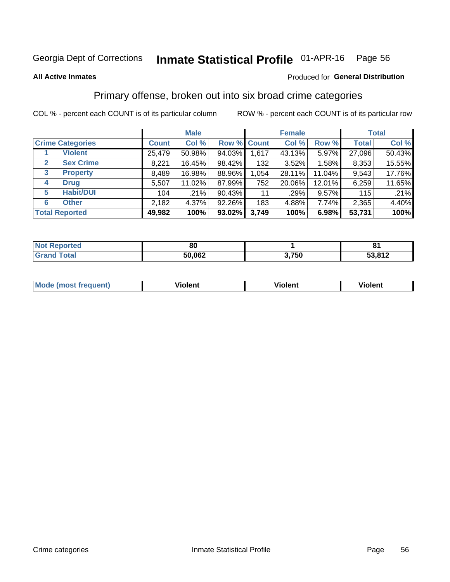#### Inmate Statistical Profile 01-APR-16 Page 56

#### **All Active Inmates**

### Produced for General Distribution

## Primary offense, broken out into six broad crime categories

COL % - percent each COUNT is of its particular column

|                                  |              | <b>Male</b> |        |             | <b>Female</b> |        |              | <b>Total</b> |
|----------------------------------|--------------|-------------|--------|-------------|---------------|--------|--------------|--------------|
| <b>Crime Categories</b>          | <b>Count</b> | Col %       |        | Row % Count | Col %         | Row %  | <b>Total</b> | Col %        |
| <b>Violent</b>                   | 25,479       | 50.98%      | 94.03% | 1,617       | 43.13%        | 5.97%  | 27,096       | 50.43%       |
| <b>Sex Crime</b><br>$\mathbf{2}$ | 8,221        | 16.45%      | 98.42% | 132         | 3.52%         | 1.58%  | 8,353        | 15.55%       |
| 3<br><b>Property</b>             | 8,489        | 16.98%      | 88.96% | 1,054       | 28.11%        | 11.04% | 9,543        | 17.76%       |
| <b>Drug</b><br>4                 | 5,507        | 11.02%      | 87.99% | 752         | 20.06%        | 12.01% | 6,259        | 11.65%       |
| <b>Habit/DUI</b><br>5            | 104          | .21%        | 90.43% | 11          | .29%          | 9.57%  | 115          | .21%         |
| <b>Other</b><br>6                | 2,182        | 4.37%       | 92.26% | 183         | 4.88%         | 7.74%  | 2,365        | 4.40%        |
| <b>Total Reported</b>            | 49,982       | 100%        | 93.02% | 3,749       | 100%          | 6.98%  | 53,731       | 100%         |

| <b>Not</b><br>' Reported | 80     |       | o      |
|--------------------------|--------|-------|--------|
| <b>Total</b>             | 50,062 | 3,750 | 53,812 |

| M | - --<br>1010111 | .<br><b>VIOIGIIL</b> | 1.91311 |
|---|-----------------|----------------------|---------|
|   |                 |                      |         |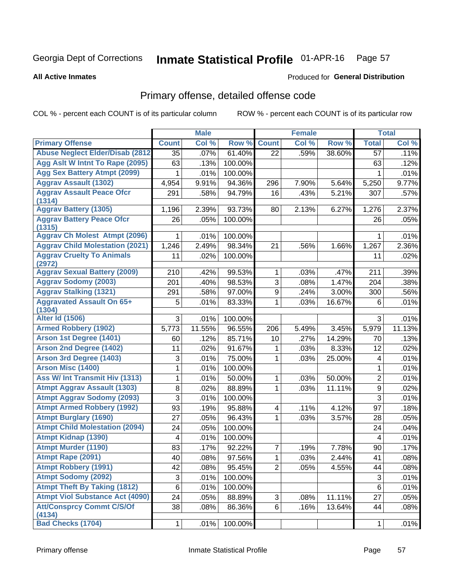#### Inmate Statistical Profile 01-APR-16 Page 57

**All Active Inmates** 

#### Produced for General Distribution

## Primary offense, detailed offense code

COL % - percent each COUNT is of its particular column

|                                            |                 | <b>Male</b> |         |                         | <b>Female</b> |        |                           | <b>Total</b> |
|--------------------------------------------|-----------------|-------------|---------|-------------------------|---------------|--------|---------------------------|--------------|
| <b>Primary Offense</b>                     | <b>Count</b>    | Col %       | Row %   | <b>Count</b>            | Col %         | Row %  | <b>Total</b>              | Col %        |
| <b>Abuse Neglect Elder/Disab (2812)</b>    | 35              | .07%        | 61.40%  | 22                      | .59%          | 38.60% | 57                        | .11%         |
| Agg Aslt W Intnt To Rape (2095)            | 63              | .13%        | 100.00% |                         |               |        | 63                        | .12%         |
| <b>Agg Sex Battery Atmpt (2099)</b>        | 1               | .01%        | 100.00% |                         |               |        | 1                         | .01%         |
| <b>Aggrav Assault (1302)</b>               | 4,954           | 9.91%       | 94.36%  | 296                     | 7.90%         | 5.64%  | 5,250                     | 9.77%        |
| <b>Aggrav Assault Peace Ofcr</b>           | 291             | .58%        | 94.79%  | 16                      | .43%          | 5.21%  | 307                       | .57%         |
| (1314)                                     |                 |             |         |                         |               |        |                           |              |
| <b>Aggrav Battery (1305)</b>               | 1,196           | 2.39%       | 93.73%  | 80                      | 2.13%         | 6.27%  | 1,276                     | 2.37%        |
| <b>Aggrav Battery Peace Ofcr</b><br>(1315) | 26              | .05%        | 100.00% |                         |               |        | 26                        | .05%         |
| <b>Aggrav Ch Molest Atmpt (2096)</b>       | 1               | .01%        | 100.00% |                         |               |        | 1                         | .01%         |
| <b>Aggrav Child Molestation (2021)</b>     | 1,246           | 2.49%       | 98.34%  | 21                      | .56%          | 1.66%  | 1,267                     | 2.36%        |
| <b>Aggrav Cruelty To Animals</b>           | 11              | .02%        | 100.00% |                         |               |        | 11                        | .02%         |
| (2972)                                     |                 |             |         |                         |               |        |                           |              |
| <b>Aggrav Sexual Battery (2009)</b>        | 210             | .42%        | 99.53%  | $\mathbf{1}$            | .03%          | .47%   | 211                       | .39%         |
| <b>Aggrav Sodomy (2003)</b>                | 201             | .40%        | 98.53%  | 3                       | .08%          | 1.47%  | 204                       | .38%         |
| <b>Aggrav Stalking (1321)</b>              | 291             | .58%        | 97.00%  | 9                       | .24%          | 3.00%  | 300                       | .56%         |
| <b>Aggravated Assault On 65+</b><br>(1304) | 5               | .01%        | 83.33%  | 1                       | .03%          | 16.67% | 6                         | .01%         |
| <b>Alter Id (1506)</b>                     | 3               | .01%        | 100.00% |                         |               |        | 3                         | .01%         |
| <b>Armed Robbery (1902)</b>                | 5,773           | 11.55%      | 96.55%  | 206                     | 5.49%         | 3.45%  | 5,979                     | 11.13%       |
| Arson 1st Degree (1401)                    | 60              | .12%        | 85.71%  | 10                      | .27%          | 14.29% | 70                        | .13%         |
| <b>Arson 2nd Degree (1402)</b>             | 11              | .02%        | 91.67%  | 1                       | .03%          | 8.33%  | 12                        | .02%         |
| <b>Arson 3rd Degree (1403)</b>             | 3               | .01%        | 75.00%  | 1                       | .03%          | 25.00% | 4                         | .01%         |
| <b>Arson Misc (1400)</b>                   | 1               | .01%        | 100.00% |                         |               |        | 1                         | .01%         |
| Ass W/ Int Transmit Hiv (1313)             | 1               | .01%        | 50.00%  | 1                       | .03%          | 50.00% | $\overline{2}$            | .01%         |
| <b>Atmpt Aggrav Assault (1303)</b>         | 8               | .02%        | 88.89%  | 1                       | .03%          | 11.11% | $\boldsymbol{9}$          | .02%         |
| <b>Atmpt Aggrav Sodomy (2093)</b>          | 3               | .01%        | 100.00% |                         |               |        | 3                         | .01%         |
| <b>Atmpt Armed Robbery (1992)</b>          | 93              | .19%        | 95.88%  | $\overline{\mathbf{4}}$ | .11%          | 4.12%  | 97                        | .18%         |
| <b>Atmpt Burglary (1690)</b>               | 27              | .05%        | 96.43%  | 1                       | .03%          | 3.57%  | 28                        | .05%         |
| <b>Atmpt Child Molestation (2094)</b>      | 24              | .05%        | 100.00% |                         |               |        | 24                        | .04%         |
| <b>Atmpt Kidnap (1390)</b>                 | 4               | .01%        | 100.00% |                         |               |        | 4                         | .01%         |
| <b>Atmpt Murder (1190)</b>                 | 83              | .17%        | 92.22%  | $\overline{7}$          | .19%          | 7.78%  | 90                        | .17%         |
| Atmpt Rape (2091)                          | 40 <sup>1</sup> | .08%        | 97.56%  | $\overline{1}$          | .03%          | 2.44%  | $\overline{41}$           | .08%         |
| <b>Atmpt Robbery (1991)</b>                | 42              | .08%        | 95.45%  | $\overline{2}$          | .05%          | 4.55%  | 44                        | .08%         |
| <b>Atmpt Sodomy (2092)</b>                 | 3               | .01%        | 100.00% |                         |               |        | $\ensuremath{\mathsf{3}}$ | .01%         |
| <b>Atmpt Theft By Taking (1812)</b>        | 6               | .01%        | 100.00% |                         |               |        | $\,6\,$                   | .01%         |
| <b>Atmpt Viol Substance Act (4090)</b>     | 24              | .05%        | 88.89%  | 3 <sup>1</sup>          | .08%          | 11.11% | 27                        | .05%         |
| <b>Att/Consprcy Commt C/S/Of</b><br>(4134) | 38              | .08%        | 86.36%  | $6\phantom{.}$          | .16%          | 13.64% | 44                        | .08%         |
| <b>Bad Checks (1704)</b>                   | $\mathbf 1$     | .01%        | 100.00% |                         |               |        | 1                         | .01%         |
|                                            |                 |             |         |                         |               |        |                           |              |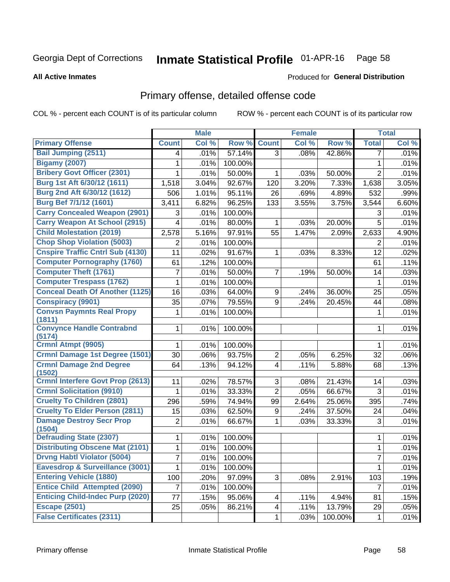#### Inmate Statistical Profile 01-APR-16 Page 58

#### **All Active Inmates**

### **Produced for General Distribution**

## Primary offense, detailed offense code

COL % - percent each COUNT is of its particular column

|                                            |                | <b>Male</b> |         |                         | <b>Female</b> |         |                | <b>Total</b> |
|--------------------------------------------|----------------|-------------|---------|-------------------------|---------------|---------|----------------|--------------|
| <b>Primary Offense</b>                     | <b>Count</b>   | Col %       | Row %   | <b>Count</b>            | Col %         | Row %   | <b>Total</b>   | Col %        |
| <b>Bail Jumping (2511)</b>                 | 4              | .01%        | 57.14%  | $\overline{3}$          | .08%          | 42.86%  | 7              | .01%         |
| <b>Bigamy (2007)</b>                       | 1              | .01%        | 100.00% |                         |               |         | 1              | .01%         |
| <b>Bribery Govt Officer (2301)</b>         | 1              | .01%        | 50.00%  | 1                       | .03%          | 50.00%  | $\overline{2}$ | .01%         |
| Burg 1st Aft 6/30/12 (1611)                | 1,518          | 3.04%       | 92.67%  | 120                     | 3.20%         | 7.33%   | 1,638          | 3.05%        |
| Burg 2nd Aft 6/30/12 (1612)                | 506            | 1.01%       | 95.11%  | 26                      | .69%          | 4.89%   | 532            | .99%         |
| <b>Burg Bef 7/1/12 (1601)</b>              | 3,411          | 6.82%       | 96.25%  | 133                     | 3.55%         | 3.75%   | 3,544          | 6.60%        |
| <b>Carry Concealed Weapon (2901)</b>       | 3              | .01%        | 100.00% |                         |               |         | 3              | .01%         |
| <b>Carry Weapon At School (2915)</b>       | 4              | .01%        | 80.00%  | 1                       | .03%          | 20.00%  | 5              | .01%         |
| <b>Child Molestation (2019)</b>            | 2,578          | 5.16%       | 97.91%  | 55                      | 1.47%         | 2.09%   | 2,633          | 4.90%        |
| <b>Chop Shop Violation (5003)</b>          | 2              | .01%        | 100.00% |                         |               |         | 2              | .01%         |
| <b>Cnspire Traffic Cntrl Sub (4130)</b>    | 11             | .02%        | 91.67%  | 1                       | .03%          | 8.33%   | 12             | .02%         |
| <b>Computer Pornography (1760)</b>         | 61             | .12%        | 100.00% |                         |               |         | 61             | .11%         |
| <b>Computer Theft (1761)</b>               | 7              | .01%        | 50.00%  | $\overline{7}$          | .19%          | 50.00%  | 14             | .03%         |
| <b>Computer Trespass (1762)</b>            | 1              | .01%        | 100.00% |                         |               |         | $\mathbf 1$    | .01%         |
| <b>Conceal Death Of Another (1125)</b>     | 16             | .03%        | 64.00%  | 9                       | .24%          | 36.00%  | 25             | .05%         |
| <b>Conspiracy (9901)</b>                   | 35             | .07%        | 79.55%  | 9                       | .24%          | 20.45%  | 44             | .08%         |
| <b>Convsn Paymnts Real Propy</b><br>(1811) | 1              | .01%        | 100.00% |                         |               |         | $\mathbf 1$    | .01%         |
| <b>Convynce Handle Contrabnd</b><br>(5174) | 1              | .01%        | 100.00% |                         |               |         | 1              | .01%         |
| <b>Crmnl Atmpt (9905)</b>                  |                | .01%        | 100.00% |                         |               |         | 1              | .01%         |
| <b>Crmnl Damage 1st Degree (1501)</b>      | 30             | .06%        | 93.75%  | $\overline{2}$          | .05%          | 6.25%   | 32             | .06%         |
| <b>Crmnl Damage 2nd Degree</b><br>(1502)   | 64             | .13%        | 94.12%  | $\overline{\mathbf{4}}$ | .11%          | 5.88%   | 68             | .13%         |
| <b>Crmnl Interfere Govt Prop (2613)</b>    | 11             | .02%        | 78.57%  | 3                       | .08%          | 21.43%  | 14             | .03%         |
| <b>Crmnl Solicitation (9910)</b>           | 1              | .01%        | 33.33%  | $\overline{2}$          | .05%          | 66.67%  | 3              | .01%         |
| <b>Cruelty To Children (2801)</b>          | 296            | .59%        | 74.94%  | 99                      | 2.64%         | 25.06%  | 395            | .74%         |
| <b>Cruelty To Elder Person (2811)</b>      | 15             | .03%        | 62.50%  | 9                       | .24%          | 37.50%  | 24             | .04%         |
| <b>Damage Destroy Secr Prop</b><br>(1504)  | $\overline{2}$ | .01%        | 66.67%  | 1                       | .03%          | 33.33%  | 3              | .01%         |
| <b>Defrauding State (2307)</b>             | 1              | .01%        | 100.00% |                         |               |         | 1              | .01%         |
| <b>Distributing Obscene Mat (2101)</b>     | 1              | .01%        | 100.00% |                         |               |         | 1              | .01%         |
| <b>Drvng Habtl Violator (5004)</b>         | 7              | .01%        | 100.00% |                         |               |         | $\overline{7}$ | .01%         |
| <b>Eavesdrop &amp; Surveillance (3001)</b> | 1              | .01%        | 100.00% |                         |               |         | 1              | .01%         |
| <b>Entering Vehicle (1880)</b>             | 100            | .20%        | 97.09%  | 3                       | .08%          | 2.91%   | 103            | .19%         |
| <b>Entice Child Attempted (2090)</b>       | 7              | .01%        | 100.00% |                         |               |         | $\overline{7}$ | .01%         |
| <b>Enticing Child-Indec Purp (2020)</b>    | 77             | .15%        | 95.06%  | $\overline{\mathbf{4}}$ | .11%          | 4.94%   | 81             | .15%         |
| <b>Escape (2501)</b>                       | 25             | .05%        | 86.21%  | $\overline{\mathbf{4}}$ | .11%          | 13.79%  | 29             | .05%         |
| <b>False Certificates (2311)</b>           |                |             |         | 1                       | .03%          | 100.00% | $\mathbf{1}$   | .01%         |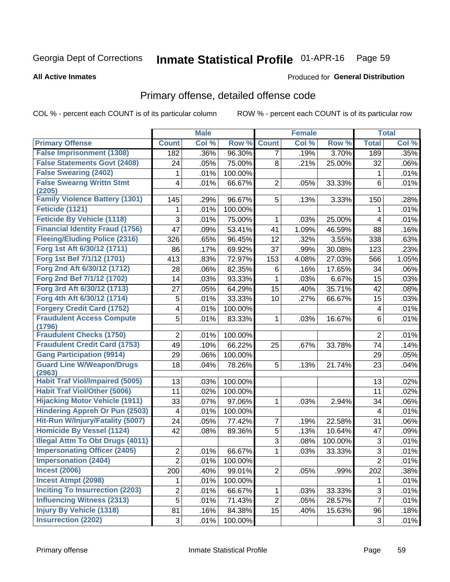#### Inmate Statistical Profile 01-APR-16 Page 59

Produced for General Distribution

### **All Active Inmates**

## Primary offense, detailed offense code

COL % - percent each COUNT is of its particular column

|                                            |                | <b>Male</b> |         |                | <b>Female</b> |         |                           | <b>Total</b> |
|--------------------------------------------|----------------|-------------|---------|----------------|---------------|---------|---------------------------|--------------|
| <b>Primary Offense</b>                     | <b>Count</b>   | Col %       | Row %   | <b>Count</b>   | Col %         | Row %   | <b>Total</b>              | CoI%         |
| <b>False Imprisonment (1308)</b>           | 182            | .36%        | 96.30%  | $\overline{7}$ | .19%          | 3.70%   | 189                       | .35%         |
| <b>False Statements Govt (2408)</b>        | 24             | .05%        | 75.00%  | 8              | .21%          | 25.00%  | 32                        | .06%         |
| <b>False Swearing (2402)</b>               | 1              | .01%        | 100.00% |                |               |         | 1                         | .01%         |
| <b>False Swearng Writtn Stmt</b>           | 4              | .01%        | 66.67%  | $\overline{2}$ | .05%          | 33.33%  | $6\phantom{1}6$           | .01%         |
| (2205)                                     |                |             |         |                |               |         |                           |              |
| <b>Family Violence Battery (1301)</b>      | 145            | .29%        | 96.67%  | 5              | .13%          | 3.33%   | 150                       | .28%         |
| Feticide (1121)                            | 1              | .01%        | 100.00% |                |               |         | 1                         | .01%         |
| <b>Feticide By Vehicle (1118)</b>          | 3              | .01%        | 75.00%  | 1              | .03%          | 25.00%  | 4                         | .01%         |
| <b>Financial Identity Fraud (1756)</b>     | 47             | .09%        | 53.41%  | 41             | 1.09%         | 46.59%  | 88                        | .16%         |
| <b>Fleeing/Eluding Police (2316)</b>       | 326            | .65%        | 96.45%  | 12             | .32%          | 3.55%   | 338                       | .63%         |
| Forg 1st Aft 6/30/12 (1711)                | 86             | .17%        | 69.92%  | 37             | .99%          | 30.08%  | 123                       | .23%         |
| Forg 1st Bef 7/1/12 (1701)                 | 413            | .83%        | 72.97%  | 153            | 4.08%         | 27.03%  | 566                       | 1.05%        |
| Forg 2nd Aft 6/30/12 (1712)                | 28             | .06%        | 82.35%  | 6              | .16%          | 17.65%  | 34                        | .06%         |
| Forg 2nd Bef 7/1/12 (1702)                 | 14             | .03%        | 93.33%  | 1              | .03%          | 6.67%   | 15                        | .03%         |
| Forg 3rd Aft 6/30/12 (1713)                | 27             | .05%        | 64.29%  | 15             | .40%          | 35.71%  | 42                        | .08%         |
| Forg 4th Aft 6/30/12 (1714)                | 5              | .01%        | 33.33%  | 10             | .27%          | 66.67%  | 15                        | .03%         |
| <b>Forgery Credit Card (1752)</b>          | 4              | .01%        | 100.00% |                |               |         | 4                         | .01%         |
| <b>Fraudulent Access Compute</b>           | 5              | .01%        | 83.33%  | 1              | .03%          | 16.67%  | 6                         | .01%         |
| (1796)                                     |                |             |         |                |               |         |                           |              |
| <b>Fraudulent Checks (1750)</b>            | $\overline{2}$ | .01%        | 100.00% |                |               |         | $\overline{2}$            | .01%         |
| <b>Fraudulent Credit Card (1753)</b>       | 49             | .10%        | 66.22%  | 25             | .67%          | 33.78%  | 74                        | .14%         |
| <b>Gang Participation (9914)</b>           | 29             | .06%        | 100.00% |                |               |         | 29                        | .05%         |
| <b>Guard Line W/Weapon/Drugs</b><br>(2963) | 18             | .04%        | 78.26%  | 5              | .13%          | 21.74%  | 23                        | .04%         |
| <b>Habit Traf Viol/Impaired (5005)</b>     | 13             | .03%        | 100.00% |                |               |         | 13                        | .02%         |
| <b>Habit Traf Viol/Other (5006)</b>        | 11             | .02%        | 100.00% |                |               |         | 11                        | .02%         |
| <b>Hijacking Motor Vehicle (1911)</b>      | 33             | .07%        | 97.06%  | 1              | .03%          | 2.94%   | 34                        | .06%         |
| <b>Hindering Appreh Or Pun (2503)</b>      | 4              | .01%        | 100.00% |                |               |         | 4                         | .01%         |
| Hit-Run W/Injury/Fatality (5007)           | 24             | .05%        | 77.42%  | 7              | .19%          | 22.58%  | 31                        | .06%         |
| <b>Homicide By Vessel (1124)</b>           | 42             | .08%        | 89.36%  | 5              | .13%          | 10.64%  | 47                        | .09%         |
| <b>Illegal Attm To Obt Drugs (4011)</b>    |                |             |         | 3              | .08%          | 100.00% | $\ensuremath{\mathsf{3}}$ | .01%         |
| <b>Impersonating Officer (2405)</b>        | $\mathbf 2$    | .01%        | 66.67%  | 1              | .03%          | 33.33%  | $\overline{3}$            | .01%         |
| <b>Impersonation (2404)</b>                | $\mathbf 2$    | .01%        | 100.00% |                |               |         | $\sqrt{2}$                | .01%         |
| <b>Incest (2006)</b>                       | 200            | .40%        | 99.01%  | $\overline{2}$ | .05%          | .99%    | 202                       | .38%         |
| <b>Incest Atmpt (2098)</b>                 | 1              | .01%        | 100.00% |                |               |         | 1                         | .01%         |
| <b>Inciting To Insurrection (2203)</b>     | $\mathbf 2$    | .01%        | 66.67%  | 1              | .03%          | 33.33%  | 3                         | .01%         |
| <b>Influencing Witness (2313)</b>          | 5              | .01%        | 71.43%  | $\overline{2}$ | .05%          | 28.57%  | $\overline{7}$            | .01%         |
| <b>Injury By Vehicle (1318)</b>            | 81             | .16%        | 84.38%  | 15             | .40%          | 15.63%  | 96                        | .18%         |
| <b>Insurrection (2202)</b>                 | $\sqrt{3}$     | .01%        | 100.00% |                |               |         | $\mathbf{3}$              | .01%         |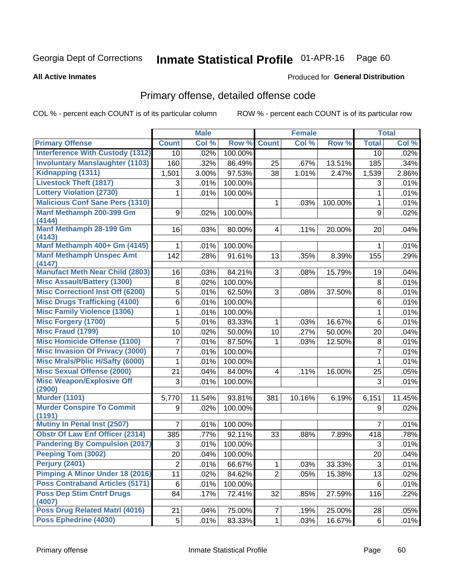#### Inmate Statistical Profile 01-APR-16 Page 60

**All Active Inmates** 

#### Produced for General Distribution

## Primary offense, detailed offense code

COL % - percent each COUNT is of its particular column

|                                            |                 | <b>Male</b> |         |                | <b>Female</b> |         |                 | <b>Total</b> |
|--------------------------------------------|-----------------|-------------|---------|----------------|---------------|---------|-----------------|--------------|
| <b>Primary Offense</b>                     | <b>Count</b>    | Col %       | Row %   | <b>Count</b>   | Col %         | Row %   | <b>Total</b>    | Col %        |
| <b>Interference With Custody (1312)</b>    | 10 <sup>1</sup> | .02%        | 100.00% |                |               |         | 10              | .02%         |
| <b>Involuntary Manslaughter (1103)</b>     | 160             | .32%        | 86.49%  | 25             | .67%          | 13.51%  | 185             | .34%         |
| <b>Kidnapping (1311)</b>                   | 1,501           | 3.00%       | 97.53%  | 38             | 1.01%         | 2.47%   | 1,539           | 2.86%        |
| <b>Livestock Theft (1817)</b>              | 3               | .01%        | 100.00% |                |               |         | 3               | .01%         |
| <b>Lottery Violation (2730)</b>            | 1               | .01%        | 100.00% |                |               |         | $\mathbf{1}$    | .01%         |
| <b>Malicious Conf Sane Pers (1310)</b>     |                 |             |         | 1              | .03%          | 100.00% | 1               | .01%         |
| Manf Methamph 200-399 Gm<br>(4144)         | 9               | .02%        | 100.00% |                |               |         | 9               | .02%         |
| <b>Manf Methamph 28-199 Gm</b><br>(4143)   | 16              | .03%        | 80.00%  | $\overline{4}$ | .11%          | 20.00%  | 20              | .04%         |
| Manf Methamph 400+ Gm (4145)               | 1               | .01%        | 100.00% |                |               |         | 1               | .01%         |
| <b>Manf Methamph Unspec Amt</b><br>(4147)  | 142             | .28%        | 91.61%  | 13             | .35%          | 8.39%   | 155             | .29%         |
| <b>Manufact Meth Near Child (2803)</b>     | 16              | .03%        | 84.21%  | 3              | .08%          | 15.79%  | 19              | .04%         |
| <b>Misc Assault/Battery (1300)</b>         | $\,8\,$         | .02%        | 100.00% |                |               |         | 8               | .01%         |
| <b>Misc Correctionl Inst Off (6200)</b>    | 5               | .01%        | 62.50%  | 3              | .08%          | 37.50%  | 8               | .01%         |
| <b>Misc Drugs Trafficking (4100)</b>       | 6               | .01%        | 100.00% |                |               |         | 6               | .01%         |
| <b>Misc Family Violence (1306)</b>         | 1               | .01%        | 100.00% |                |               |         | $\mathbf{1}$    | .01%         |
| <b>Misc Forgery (1700)</b>                 | 5               | .01%        | 83.33%  | 1              | .03%          | 16.67%  | $6\phantom{1}6$ | .01%         |
| <b>Misc Fraud (1799)</b>                   | 10              | .02%        | 50.00%  | 10             | .27%          | 50.00%  | 20              | .04%         |
| <b>Misc Homicide Offense (1100)</b>        | 7               | .01%        | 87.50%  | 1              | .03%          | 12.50%  | $\, 8$          | .01%         |
| <b>Misc Invasion Of Privacy (3000)</b>     | $\overline{7}$  | .01%        | 100.00% |                |               |         | $\overline{7}$  | .01%         |
| <b>Misc Mrals/Pblic H/Safty (6000)</b>     | 1               | .01%        | 100.00% |                |               |         | $\mathbf{1}$    | .01%         |
| <b>Misc Sexual Offense (2000)</b>          | 21              | .04%        | 84.00%  | 4              | .11%          | 16.00%  | 25              | .05%         |
| <b>Misc Weapon/Explosive Off</b><br>(2900) | 3               | .01%        | 100.00% |                |               |         | 3               | .01%         |
| <b>Murder (1101)</b>                       | 5,770           | 11.54%      | 93.81%  | 381            | 10.16%        | 6.19%   | 6,151           | 11.45%       |
| <b>Murder Conspire To Commit</b><br>(1191) | 9               | .02%        | 100.00% |                |               |         | 9               | .02%         |
| <b>Mutiny In Penal Inst (2507)</b>         | 7               | .01%        | 100.00% |                |               |         | 7               | .01%         |
| <b>Obstr Of Law Enf Officer (2314)</b>     | 385             | .77%        | 92.11%  | 33             | .88%          | 7.89%   | 418             | .78%         |
| <b>Pandering By Compulsion (2017)</b>      | $\sqrt{3}$      | .01%        | 100.00% |                |               |         | 3               | .01%         |
| Peeping Tom (3002)                         | 20              | .04%        | 100.00% |                |               |         | 20              | .04%         |
| <b>Perjury (2401)</b>                      | $\overline{2}$  | .01%        | 66.67%  | 1              | .03%          | 33.33%  | $\sqrt{3}$      | .01%         |
| <b>Pimping A Minor Under 18 (2016)</b>     | 11              | .02%        | 84.62%  | $\overline{2}$ | .05%          | 15.38%  | 13              | .02%         |
| <b>Poss Contraband Articles (5171)</b>     | $\,6\,$         | .01%        | 100.00% |                |               |         | 6               | .01%         |
| <b>Poss Dep Stim Cntrf Drugs</b><br>(4007) | 84              | .17%        | 72.41%  | 32             | .85%          | 27.59%  | 116             | .22%         |
| <b>Poss Drug Related Matri (4016)</b>      | 21              | .04%        | 75.00%  | $\overline{7}$ | .19%          | 25.00%  | 28              | .05%         |
| <b>Poss Ephedrine (4030)</b>               | $\overline{5}$  | .01%        | 83.33%  | $\mathbf 1$    | .03%          | 16.67%  | 6               | .01%         |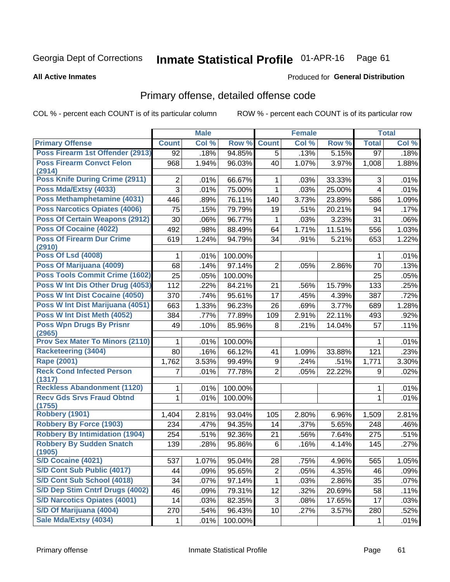#### Inmate Statistical Profile 01-APR-16 Page 61

Produced for General Distribution

#### **All Active Inmates**

## Primary offense, detailed offense code

COL % - percent each COUNT is of its particular column

|                                            |              | <b>Male</b> |         |                | <b>Female</b> |        |                 | <b>Total</b> |
|--------------------------------------------|--------------|-------------|---------|----------------|---------------|--------|-----------------|--------------|
| <b>Primary Offense</b>                     | <b>Count</b> | Col %       | Row %   | <b>Count</b>   | Col %         | Row %  | <b>Total</b>    | Col %        |
| Poss Firearm 1st Offender (2913)           | 92           | .18%        | 94.85%  | $\overline{5}$ | .13%          | 5.15%  | $\overline{97}$ | .18%         |
| <b>Poss Firearm Convct Felon</b><br>(2914) | 968          | 1.94%       | 96.03%  | 40             | 1.07%         | 3.97%  | 1,008           | 1.88%        |
| <b>Poss Knife During Crime (2911)</b>      | 2            | .01%        | 66.67%  | 1              | .03%          | 33.33% | 3               | .01%         |
| Poss Mda/Extsy (4033)                      | 3            | .01%        | 75.00%  | $\mathbf{1}$   | .03%          | 25.00% | 4               | .01%         |
| Poss Methamphetamine (4031)                | 446          | .89%        | 76.11%  | 140            | 3.73%         | 23.89% | 586             | 1.09%        |
| Poss Narcotics Opiates (4006)              | 75           | .15%        | 79.79%  | 19             | .51%          | 20.21% | 94              | .17%         |
| <b>Poss Of Certain Weapons (2912)</b>      | 30           | .06%        | 96.77%  | $\mathbf{1}$   | .03%          | 3.23%  | 31              | .06%         |
| Poss Of Cocaine (4022)                     | 492          | .98%        | 88.49%  | 64             | 1.71%         | 11.51% | 556             | 1.03%        |
| <b>Poss Of Firearm Dur Crime</b><br>(2910) | 619          | 1.24%       | 94.79%  | 34             | .91%          | 5.21%  | 653             | 1.22%        |
| <b>Poss Of Lsd (4008)</b>                  | 1            | .01%        | 100.00% |                |               |        | 1               | .01%         |
| Poss Of Marijuana (4009)                   | 68           | .14%        | 97.14%  | $\overline{2}$ | .05%          | 2.86%  | 70              | .13%         |
| Poss Tools Commit Crime (1602)             | 25           | .05%        | 100.00% |                |               |        | 25              | .05%         |
| Poss W Int Dis Other Drug (4053)           | 112          | .22%        | 84.21%  | 21             | .56%          | 15.79% | 133             | .25%         |
| Poss W Int Dist Cocaine (4050)             | 370          | .74%        | 95.61%  | 17             | .45%          | 4.39%  | 387             | .72%         |
| Poss W Int Dist Marijuana (4051)           | 663          | 1.33%       | 96.23%  | 26             | .69%          | 3.77%  | 689             | 1.28%        |
| Poss W Int Dist Meth (4052)                | 384          | .77%        | 77.89%  | 109            | 2.91%         | 22.11% | 493             | .92%         |
| <b>Poss Wpn Drugs By Prisnr</b><br>(2965)  | 49           | .10%        | 85.96%  | 8              | .21%          | 14.04% | 57              | .11%         |
| <b>Prov Sex Mater To Minors (2110)</b>     | 1            | .01%        | 100.00% |                |               |        | 1               | .01%         |
| <b>Racketeering (3404)</b>                 | 80           | .16%        | 66.12%  | 41             | 1.09%         | 33.88% | 121             | .23%         |
| <b>Rape (2001)</b>                         | 1,762        | 3.53%       | 99.49%  | 9              | .24%          | .51%   | 1,771           | 3.30%        |
| <b>Reck Cond Infected Person</b><br>(1317) | 7            | .01%        | 77.78%  | $\overline{2}$ | .05%          | 22.22% | 9               | .02%         |
| <b>Reckless Abandonment (1120)</b>         | 1            | .01%        | 100.00% |                |               |        | 1               | .01%         |
| <b>Recv Gds Srvs Fraud Obtnd</b><br>(1755) | $\mathbf{1}$ | .01%        | 100.00% |                |               |        | 1               | .01%         |
| Robbery (1901)                             | 1,404        | 2.81%       | 93.04%  | 105            | 2.80%         | 6.96%  | 1,509           | 2.81%        |
| <b>Robbery By Force (1903)</b>             | 234          | .47%        | 94.35%  | 14             | .37%          | 5.65%  | 248             | .46%         |
| <b>Robbery By Intimidation (1904)</b>      | 254          | .51%        | 92.36%  | 21             | .56%          | 7.64%  | 275             | .51%         |
| <b>Robbery By Sudden Snatch</b><br>(1905)  | 139          | .28%        | 95.86%  | 6              | .16%          | 4.14%  | 145             | .27%         |
| S/D Cocaine (4021)                         | 537          | 1.07%       | 95.04%  | 28             | .75%          | 4.96%  | 565             | 1.05%        |
| S/D Cont Sub Public (4017)                 | 44           | .09%        | 95.65%  | $\overline{c}$ | .05%          | 4.35%  | 46              | .09%         |
| S/D Cont Sub School (4018)                 | 34           | .07%        | 97.14%  | $\mathbf{1}$   | .03%          | 2.86%  | 35              | .07%         |
| S/D Dep Stim Cntrf Drugs (4002)            | 46           | .09%        | 79.31%  | 12             | .32%          | 20.69% | 58              | .11%         |
| <b>S/D Narcotics Opiates (4001)</b>        | 14           | .03%        | 82.35%  | 3              | .08%          | 17.65% | 17              | .03%         |
| S/D Of Marijuana (4004)                    | 270          | .54%        | 96.43%  | 10             | .27%          | 3.57%  | 280             | .52%         |
| Sale Mda/Extsy (4034)                      | 1            | .01%        | 100.00% |                |               |        | 1               | .01%         |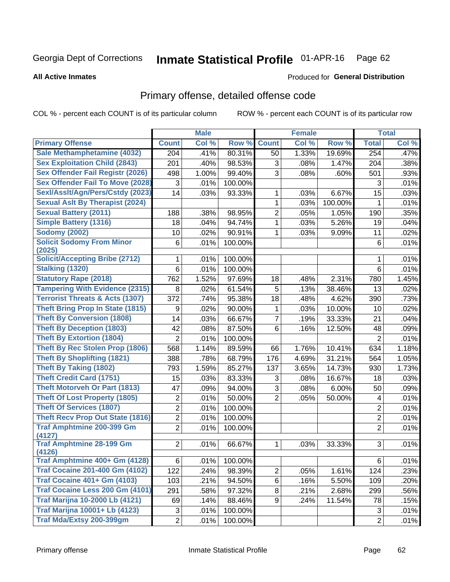#### Inmate Statistical Profile 01-APR-16 Page 62

Produced for General Distribution

#### **All Active Inmates**

## Primary offense, detailed offense code

COL % - percent each COUNT is of its particular column

|                                            |                | <b>Male</b> |         |                | <b>Female</b> |         |                         | <b>Total</b> |
|--------------------------------------------|----------------|-------------|---------|----------------|---------------|---------|-------------------------|--------------|
| <b>Primary Offense</b>                     | <b>Count</b>   | Col %       | Row %   | <b>Count</b>   | Col %         | Row %   | <b>Total</b>            | Col %        |
| Sale Methamphetamine (4032)                | 204            | .41%        | 80.31%  | 50             | 1.33%         | 19.69%  | 254                     | .47%         |
| <b>Sex Exploitation Child (2843)</b>       | 201            | .40%        | 98.53%  | 3              | .08%          | 1.47%   | 204                     | .38%         |
| <b>Sex Offender Fail Registr (2026)</b>    | 498            | 1.00%       | 99.40%  | 3              | .08%          | .60%    | 501                     | .93%         |
| <b>Sex Offender Fail To Move (2028)</b>    | 3              | .01%        | 100.00% |                |               |         | 3                       | .01%         |
| SexI/AssIt/Agn/Pers/Cstdy (2023)           | 14             | .03%        | 93.33%  | 1              | .03%          | 6.67%   | 15                      | .03%         |
| <b>Sexual Aslt By Therapist (2024)</b>     |                |             |         | 1              | .03%          | 100.00% | 1                       | .01%         |
| <b>Sexual Battery (2011)</b>               | 188            | .38%        | 98.95%  | $\overline{2}$ | .05%          | 1.05%   | 190                     | .35%         |
| <b>Simple Battery (1316)</b>               | 18             | .04%        | 94.74%  | 1              | .03%          | 5.26%   | 19                      | .04%         |
| <b>Sodomy (2002)</b>                       | 10             | .02%        | 90.91%  | $\mathbf 1$    | .03%          | 9.09%   | 11                      | .02%         |
| <b>Solicit Sodomy From Minor</b>           | 6              | .01%        | 100.00% |                |               |         | $\,6$                   | .01%         |
| (2025)                                     |                |             |         |                |               |         |                         |              |
| <b>Solicit/Accepting Bribe (2712)</b>      | 1              | .01%        | 100.00% |                |               |         | 1                       | .01%         |
| <b>Stalking (1320)</b>                     | 6              | .01%        | 100.00% |                |               |         | 6                       | .01%         |
| <b>Statutory Rape (2018)</b>               | 762            | 1.52%       | 97.69%  | 18             | .48%          | 2.31%   | 780                     | 1.45%        |
| <b>Tampering With Evidence (2315)</b>      | 8              | .02%        | 61.54%  | 5              | .13%          | 38.46%  | 13                      | .02%         |
| <b>Terrorist Threats &amp; Acts (1307)</b> | 372            | .74%        | 95.38%  | 18             | .48%          | 4.62%   | 390                     | .73%         |
| <b>Theft Bring Prop In State (1815)</b>    | 9              | .02%        | 90.00%  | 1              | .03%          | 10.00%  | 10                      | .02%         |
| <b>Theft By Conversion (1808)</b>          | 14             | .03%        | 66.67%  | $\overline{7}$ | .19%          | 33.33%  | 21                      | .04%         |
| <b>Theft By Deception (1803)</b>           | 42             | .08%        | 87.50%  | 6              | .16%          | 12.50%  | 48                      | .09%         |
| <b>Theft By Extortion (1804)</b>           | $\overline{2}$ | .01%        | 100.00% |                |               |         | $\overline{2}$          | .01%         |
| <b>Theft By Rec Stolen Prop (1806)</b>     | 568            | 1.14%       | 89.59%  | 66             | 1.76%         | 10.41%  | 634                     | 1.18%        |
| <b>Theft By Shoplifting (1821)</b>         | 388            | .78%        | 68.79%  | 176            | 4.69%         | 31.21%  | 564                     | 1.05%        |
| <b>Theft By Taking (1802)</b>              | 793            | 1.59%       | 85.27%  | 137            | 3.65%         | 14.73%  | 930                     | 1.73%        |
| <b>Theft Credit Card (1751)</b>            | 15             | .03%        | 83.33%  | 3              | .08%          | 16.67%  | 18                      | .03%         |
| <b>Theft Motorveh Or Part (1813)</b>       | 47             | .09%        | 94.00%  | 3              | .08%          | 6.00%   | 50                      | .09%         |
| <b>Theft Of Lost Property (1805)</b>       | 2              | .01%        | 50.00%  | $\overline{2}$ | .05%          | 50.00%  | $\overline{\mathbf{4}}$ | .01%         |
| <b>Theft Of Services (1807)</b>            | $\overline{2}$ | .01%        | 100.00% |                |               |         | $\overline{2}$          | .01%         |
| <b>Theft Recv Prop Out State (1816)</b>    | 2              | .01%        | 100.00% |                |               |         | 2                       | .01%         |
| <b>Traf Amphtmine 200-399 Gm</b>           | $\overline{2}$ | .01%        | 100.00% |                |               |         | $\overline{2}$          | .01%         |
| (4127)                                     |                |             |         |                |               |         |                         |              |
| <b>Traf Amphtmine 28-199 Gm</b><br>(4126)  | $\overline{2}$ | .01%        | 66.67%  | $\mathbf{1}$   | .03%          | 33.33%  | 3                       | .01%         |
| Traf Amphtmine 400+ Gm (4128)              | 6              | .01%        | 100.00% |                |               |         | 6                       | .01%         |
| <b>Traf Cocaine 201-400 Gm (4102)</b>      | 122            | .24%        | 98.39%  | $\overline{2}$ | .05%          | 1.61%   | 124                     | .23%         |
| <b>Traf Cocaine 401+ Gm (4103)</b>         | 103            | .21%        | 94.50%  | 6              | .16%          | 5.50%   | 109                     | .20%         |
| Traf Cocaine Less 200 Gm (4101)            | 291            | .58%        | 97.32%  | 8              | .21%          | 2.68%   | 299                     | .56%         |
| <b>Traf Marijna 10-2000 Lb (4121)</b>      | 69             | .14%        | 88.46%  | 9              | .24%          | 11.54%  | 78                      | .15%         |
| <b>Traf Marijna 10001+ Lb (4123)</b>       | 3              | .01%        | 100.00% |                |               |         | 3                       | .01%         |
| Traf Mda/Extsy 200-399gm                   | $\overline{2}$ | .01%        | 100.00% |                |               |         | $\overline{2}$          | .01%         |
|                                            |                |             |         |                |               |         |                         |              |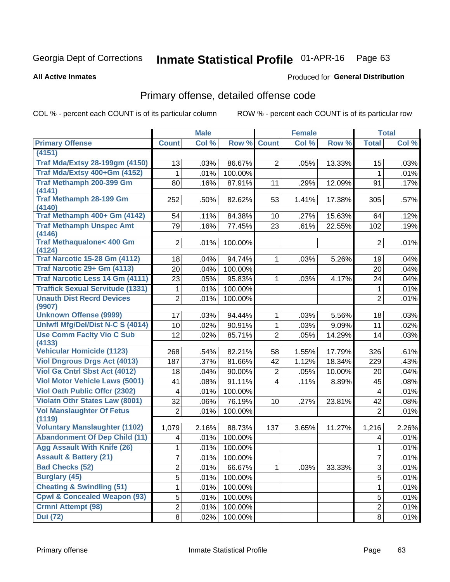#### Inmate Statistical Profile 01-APR-16 Page 63

#### **All Active Inmates**

### **Produced for General Distribution**

## Primary offense, detailed offense code

COL % - percent each COUNT is of its particular column

|                                            |                         | <b>Male</b> |         | <b>Female</b>   |       |        | <b>Total</b>   |       |
|--------------------------------------------|-------------------------|-------------|---------|-----------------|-------|--------|----------------|-------|
| <b>Primary Offense</b>                     | <b>Count</b>            | Col %       | Row %   | <b>Count</b>    | Col % | Row %  | <b>Total</b>   | Col % |
| (4151)                                     |                         |             |         |                 |       |        |                |       |
| <b>Traf Mda/Extsy 28-199gm (4150)</b>      | 13                      | .03%        | 86.67%  | $\overline{2}$  | .05%  | 13.33% | 15             | .03%  |
| Traf Mda/Extsy 400+Gm (4152)               | 1                       | .01%        | 100.00% |                 |       |        | 1              | .01%  |
| Traf Methamph 200-399 Gm                   | 80                      | .16%        | 87.91%  | 11              | .29%  | 12.09% | 91             | .17%  |
| (4141)                                     |                         |             |         |                 |       |        |                |       |
| <b>Traf Methamph 28-199 Gm</b><br>(4140)   | 252                     | .50%        | 82.62%  | 53              | 1.41% | 17.38% | 305            | .57%  |
| Traf Methamph 400+ Gm (4142)               | 54                      | .11%        | 84.38%  | 10 <sup>1</sup> | .27%  | 15.63% | 64             | .12%  |
| <b>Traf Methamph Unspec Amt</b>            | 79                      | .16%        | 77.45%  | 23              | .61%  | 22.55% | 102            | .19%  |
| (4146)                                     |                         |             |         |                 |       |        |                |       |
| <b>Traf Methaqualone&lt; 400 Gm</b>        | $\overline{2}$          | .01%        | 100.00% |                 |       |        | $\overline{2}$ | .01%  |
| (4124)                                     |                         |             |         |                 |       |        |                |       |
| <b>Traf Narcotic 15-28 Gm (4112)</b>       | 18                      | .04%        | 94.74%  | 1.              | .03%  | 5.26%  | 19             | .04%  |
| Traf Narcotic 29+ Gm (4113)                | 20                      | .04%        | 100.00% |                 |       |        | 20             | .04%  |
| <b>Traf Narcotic Less 14 Gm (4111)</b>     | 23                      | .05%        | 95.83%  | 1               | .03%  | 4.17%  | 24             | .04%  |
| <b>Traffick Sexual Servitude (1331)</b>    | 1                       | .01%        | 100.00% |                 |       |        | $\mathbf 1$    | .01%  |
| <b>Unauth Dist Recrd Devices</b><br>(9907) | $\overline{2}$          | .01%        | 100.00% |                 |       |        | $\overline{2}$ | .01%  |
| <b>Unknown Offense (9999)</b>              | 17                      | .03%        | 94.44%  | 1               | .03%  | 5.56%  | 18             | .03%  |
| Uniwfl Mfg/Del/Dist N-C S (4014)           | 10                      | .02%        | 90.91%  | 1               | .03%  | 9.09%  | 11             | .02%  |
| <b>Use Comm Facity Vio C Sub</b>           | 12                      | .02%        | 85.71%  | $\overline{2}$  | .05%  | 14.29% | 14             | .03%  |
| (4133)                                     |                         |             |         |                 |       |        |                |       |
| <b>Vehicular Homicide (1123)</b>           | 268                     | .54%        | 82.21%  | 58              | 1.55% | 17.79% | 326            | .61%  |
| <b>Viol Dngrous Drgs Act (4013)</b>        | 187                     | .37%        | 81.66%  | 42              | 1.12% | 18.34% | 229            | .43%  |
| Viol Ga Cntrl Sbst Act (4012)              | 18                      | .04%        | 90.00%  | $\overline{2}$  | .05%  | 10.00% | 20             | .04%  |
| <b>Viol Motor Vehicle Laws (5001)</b>      | 41                      | .08%        | 91.11%  | $\overline{4}$  | .11%  | 8.89%  | 45             | .08%  |
| <b>Viol Oath Public Offer (2302)</b>       | $\overline{\mathbf{4}}$ | .01%        | 100.00% |                 |       |        | 4              | .01%  |
| <b>Violatn Othr States Law (8001)</b>      | 32                      | .06%        | 76.19%  | 10              | .27%  | 23.81% | 42             | .08%  |
| <b>Vol Manslaughter Of Fetus</b><br>(1119) | $\overline{2}$          | .01%        | 100.00% |                 |       |        | $\overline{2}$ | .01%  |
| <b>Voluntary Manslaughter (1102)</b>       | 1,079                   | 2.16%       | 88.73%  | 137             | 3.65% | 11.27% | 1,216          | 2.26% |
| <b>Abandonment Of Dep Child (11)</b>       | 4                       | .01%        | 100.00% |                 |       |        | 4              | .01%  |
| <b>Agg Assault With Knife (26)</b>         | 1                       | .01%        | 100.00% |                 |       |        | 1              | .01%  |
| <b>Assault &amp; Battery (21)</b>          | 7                       | .01%        | 100.00% |                 |       |        | $\overline{7}$ | .01%  |
| <b>Bad Checks (52)</b>                     | 2                       | .01%        | 66.67%  | 1               | .03%  | 33.33% | 3              | .01%  |
| <b>Burglary (45)</b>                       | 5                       | .01%        | 100.00% |                 |       |        | 5              | .01%  |
| <b>Cheating &amp; Swindling (51)</b>       | 1                       | .01%        | 100.00% |                 |       |        | 1              | .01%  |
| <b>Cpwl &amp; Concealed Weapon (93)</b>    | 5                       | .01%        | 100.00% |                 |       |        | 5              | .01%  |
| <b>Crmnl Attempt (98)</b>                  | $\overline{2}$          | .01%        | 100.00% |                 |       |        | $\overline{2}$ | .01%  |
| <b>Dui</b> (72)                            | 8                       | .02%        | 100.00% |                 |       |        | 8              | .01%  |
|                                            |                         |             |         |                 |       |        |                |       |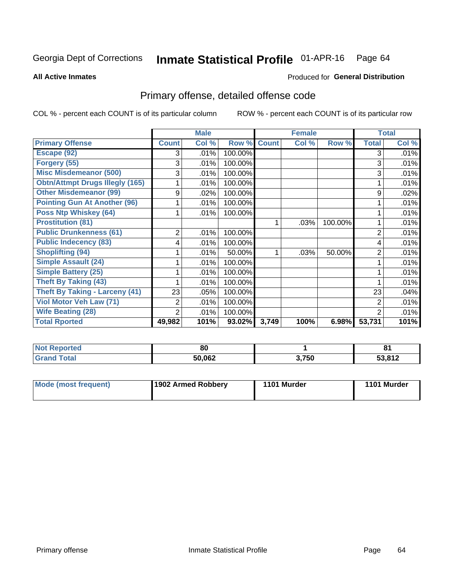#### Inmate Statistical Profile 01-APR-16 Page 64

**All Active Inmates** 

### Produced for General Distribution

## Primary offense, detailed offense code

COL % - percent each COUNT is of its particular column

|                                        |                | <b>Male</b> |         |              | <b>Female</b> |         |                | <b>Total</b> |
|----------------------------------------|----------------|-------------|---------|--------------|---------------|---------|----------------|--------------|
| <b>Primary Offense</b>                 | <b>Count</b>   | Col %       | Row %   | <b>Count</b> | Col %         | Row %   | <b>Total</b>   | Col %        |
| Escape (92)                            | 3              | .01%        | 100.00% |              |               |         | 3              | .01%         |
| Forgery (55)                           | 3              | .01%        | 100.00% |              |               |         | 3              | .01%         |
| <b>Misc Misdemeanor (500)</b>          | 3              | .01%        | 100.00% |              |               |         | 3              | .01%         |
| <b>Obtn/Attmpt Drugs Illegly (165)</b> |                | .01%        | 100.00% |              |               |         |                | .01%         |
| <b>Other Misdemeanor (99)</b>          | 9              | .02%        | 100.00% |              |               |         | 9              | .02%         |
| <b>Pointing Gun At Another (96)</b>    |                | .01%        | 100.00% |              |               |         |                | .01%         |
| <b>Poss Ntp Whiskey (64)</b>           |                | .01%        | 100.00% |              |               |         |                | .01%         |
| <b>Prostitution (81)</b>               |                |             |         |              | .03%          | 100.00% |                | .01%         |
| <b>Public Drunkenness (61)</b>         | $\overline{2}$ | .01%        | 100.00% |              |               |         | 2              | .01%         |
| <b>Public Indecency (83)</b>           | 4              | .01%        | 100.00% |              |               |         | 4              | .01%         |
| <b>Shoplifting (94)</b>                |                | .01%        | 50.00%  |              | .03%          | 50.00%  | 2              | .01%         |
| Simple Assault (24)                    |                | .01%        | 100.00% |              |               |         |                | .01%         |
| <b>Simple Battery (25)</b>             |                | .01%        | 100.00% |              |               |         |                | .01%         |
| <b>Theft By Taking (43)</b>            |                | .01%        | 100.00% |              |               |         |                | .01%         |
| Theft By Taking - Larceny (41)         | 23             | .05%        | 100.00% |              |               |         | 23             | .04%         |
| <b>Viol Motor Veh Law (71)</b>         | 2              | .01%        | 100.00% |              |               |         | $\overline{2}$ | .01%         |
| <b>Wife Beating (28)</b>               | 2              | .01%        | 100.00% |              |               |         | 2              | .01%         |
| <b>Total Rported</b>                   | 49,982         | 101%        | 93.02%  | 3,749        | 100%          | 6.98%   | 53,731         | 101%         |

| ported<br><b>NOT</b> | 80     |       | o.<br>о. |
|----------------------|--------|-------|----------|
| `otal                | 50,062 | 3,750 | 53,812   |

| <b>Mode (most frequent)</b> | 1902 Armed Robbery | 1101 Murder | 1101 Murder |
|-----------------------------|--------------------|-------------|-------------|
|-----------------------------|--------------------|-------------|-------------|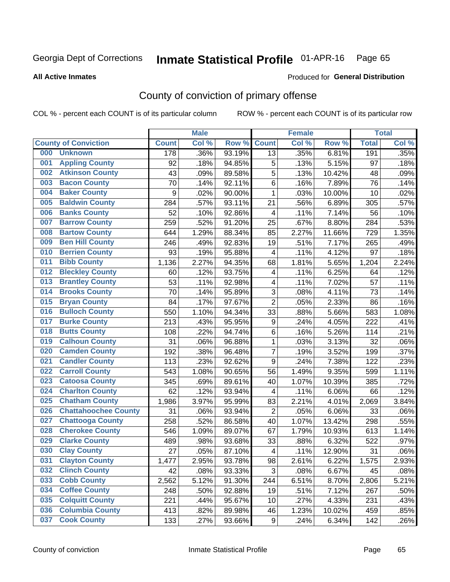## Inmate Statistical Profile 01-APR-16 Page 65

**All Active Inmates** 

#### Produced for General Distribution

## County of conviction of primary offense

COL % - percent each COUNT is of its particular column

|     |                             |              | <b>Male</b> |        |                          | <b>Female</b> |        |              | <b>Total</b> |
|-----|-----------------------------|--------------|-------------|--------|--------------------------|---------------|--------|--------------|--------------|
|     | <b>County of Conviction</b> | <b>Count</b> | Col %       | Row %  | <b>Count</b>             | Col %         | Row %  | <b>Total</b> | Col %        |
| 000 | <b>Unknown</b>              | 178          | .36%        | 93.19% | 13                       | .35%          | 6.81%  | 191          | .35%         |
| 001 | <b>Appling County</b>       | 92           | .18%        | 94.85% | 5                        | .13%          | 5.15%  | 97           | .18%         |
| 002 | <b>Atkinson County</b>      | 43           | .09%        | 89.58% | 5                        | .13%          | 10.42% | 48           | .09%         |
| 003 | <b>Bacon County</b>         | 70           | .14%        | 92.11% | 6                        | .16%          | 7.89%  | 76           | .14%         |
| 004 | <b>Baker County</b>         | 9            | .02%        | 90.00% | $\mathbf{1}$             | .03%          | 10.00% | 10           | .02%         |
| 005 | <b>Baldwin County</b>       | 284          | .57%        | 93.11% | 21                       | .56%          | 6.89%  | 305          | .57%         |
| 006 | <b>Banks County</b>         | 52           | .10%        | 92.86% | $\overline{\mathbf{4}}$  | .11%          | 7.14%  | 56           | .10%         |
| 007 | <b>Barrow County</b>        | 259          | .52%        | 91.20% | 25                       | .67%          | 8.80%  | 284          | .53%         |
| 008 | <b>Bartow County</b>        | 644          | 1.29%       | 88.34% | 85                       | 2.27%         | 11.66% | 729          | 1.35%        |
| 009 | <b>Ben Hill County</b>      | 246          | .49%        | 92.83% | 19                       | .51%          | 7.17%  | 265          | .49%         |
| 010 | <b>Berrien County</b>       | 93           | .19%        | 95.88% | 4                        | .11%          | 4.12%  | 97           | .18%         |
| 011 | <b>Bibb County</b>          | 1,136        | 2.27%       | 94.35% | 68                       | 1.81%         | 5.65%  | 1,204        | 2.24%        |
| 012 | <b>Bleckley County</b>      | 60           | .12%        | 93.75% | 4                        | .11%          | 6.25%  | 64           | .12%         |
| 013 | <b>Brantley County</b>      | 53           | .11%        | 92.98% | 4                        | .11%          | 7.02%  | 57           | .11%         |
| 014 | <b>Brooks County</b>        | 70           | .14%        | 95.89% | 3                        | .08%          | 4.11%  | 73           | .14%         |
| 015 | <b>Bryan County</b>         | 84           | .17%        | 97.67% | $\overline{2}$           | .05%          | 2.33%  | 86           | .16%         |
| 016 | <b>Bulloch County</b>       | 550          | 1.10%       | 94.34% | 33                       | .88%          | 5.66%  | 583          | 1.08%        |
| 017 | <b>Burke County</b>         | 213          | .43%        | 95.95% | 9                        | .24%          | 4.05%  | 222          | .41%         |
| 018 | <b>Butts County</b>         | 108          | .22%        | 94.74% | 6                        | .16%          | 5.26%  | 114          | .21%         |
| 019 | <b>Calhoun County</b>       | 31           | .06%        | 96.88% | 1                        | .03%          | 3.13%  | 32           | .06%         |
| 020 | <b>Camden County</b>        | 192          | .38%        | 96.48% | $\overline{7}$           | .19%          | 3.52%  | 199          | .37%         |
| 021 | <b>Candler County</b>       | 113          | .23%        | 92.62% | 9                        | .24%          | 7.38%  | 122          | .23%         |
| 022 | <b>Carroll County</b>       | 543          | 1.08%       | 90.65% | 56                       | 1.49%         | 9.35%  | 599          | 1.11%        |
| 023 | <b>Catoosa County</b>       | 345          | .69%        | 89.61% | 40                       | 1.07%         | 10.39% | 385          | .72%         |
| 024 | <b>Charlton County</b>      | 62           | .12%        | 93.94% | 4                        | .11%          | 6.06%  | 66           | .12%         |
| 025 | <b>Chatham County</b>       | 1,986        | 3.97%       | 95.99% | 83                       | 2.21%         | 4.01%  | 2,069        | 3.84%        |
| 026 | <b>Chattahoochee County</b> | 31           | .06%        | 93.94% | $\overline{2}$           | .05%          | 6.06%  | 33           | .06%         |
| 027 | <b>Chattooga County</b>     | 258          | .52%        | 86.58% | 40                       | 1.07%         | 13.42% | 298          | .55%         |
| 028 | <b>Cherokee County</b>      | 546          | 1.09%       | 89.07% | 67                       | 1.79%         | 10.93% | 613          | 1.14%        |
| 029 | <b>Clarke County</b>        | 489          | .98%        | 93.68% | 33                       | .88%          | 6.32%  | 522          | .97%         |
| 030 | <b>Clay County</b>          | 27           | .05%        | 87.10% | $\overline{\mathcal{A}}$ | .11%          | 12.90% | 31           | .06%         |
| 031 | <b>Clayton County</b>       | 1,477        | 2.95%       | 93.78% | 98                       | 2.61%         | 6.22%  | 1,575        | 2.93%        |
| 032 | <b>Clinch County</b>        | 42           | .08%        | 93.33% | 3                        | .08%          | 6.67%  | 45           | .08%         |
| 033 | <b>Cobb County</b>          | 2,562        | 5.12%       | 91.30% | 244                      | 6.51%         | 8.70%  | 2,806        | 5.21%        |
| 034 | <b>Coffee County</b>        | 248          | .50%        | 92.88% | 19                       | .51%          | 7.12%  | 267          | .50%         |
| 035 | <b>Colquitt County</b>      | 221          | .44%        | 95.67% | 10                       | .27%          | 4.33%  | 231          | .43%         |
| 036 | <b>Columbia County</b>      | 413          | .82%        | 89.98% | 46                       | 1.23%         | 10.02% | 459          | .85%         |
| 037 | <b>Cook County</b>          | 133          | .27%        | 93.66% | 9                        | .24%          | 6.34%  | 142          | .26%         |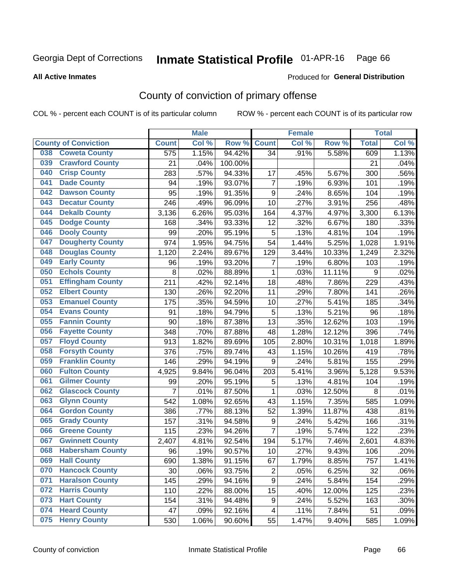## Inmate Statistical Profile 01-APR-16 Page 66

**All Active Inmates** 

#### Produced for General Distribution

## County of conviction of primary offense

COL % - percent each COUNT is of its particular column

|                                |                | <b>Male</b> |         |                | <b>Female</b> |                     |                  | <b>Total</b> |
|--------------------------------|----------------|-------------|---------|----------------|---------------|---------------------|------------------|--------------|
| <b>County of Conviction</b>    | <b>Count</b>   | Col %       | Row %   | <b>Count</b>   | Col %         | Row %               | <b>Total</b>     | Col%         |
| <b>Coweta County</b><br>038    | 575            | 1.15%       | 94.42%  | 34             | .91%          | 5.58%               | 609              | 1.13%        |
| <b>Crawford County</b><br>039  | 21             | .04%        | 100.00% |                |               |                     | 21               | .04%         |
| <b>Crisp County</b><br>040     | 283            | .57%        | 94.33%  | 17             | .45%          | 5.67%               | 300              | .56%         |
| <b>Dade County</b><br>041      | 94             | .19%        | 93.07%  | $\overline{7}$ | .19%          | 6.93%               | 101              | .19%         |
| <b>Dawson County</b><br>042    | 95             | .19%        | 91.35%  | 9              | .24%          | 8.65%               | 104              | .19%         |
| <b>Decatur County</b><br>043   | 246            | .49%        | 96.09%  | 10             | .27%          | 3.91%               | 256              | .48%         |
| <b>Dekalb County</b><br>044    | 3,136          | 6.26%       | 95.03%  | 164            | 4.37%         | 4.97%               | 3,300            | 6.13%        |
| <b>Dodge County</b><br>045     | 168            | .34%        | 93.33%  | 12             | .32%          | 6.67%               | 180              | .33%         |
| <b>Dooly County</b><br>046     | 99             | .20%        | 95.19%  | 5              | .13%          | 4.81%               | 104              | .19%         |
| <b>Dougherty County</b><br>047 | 974            | 1.95%       | 94.75%  | 54             | 1.44%         | 5.25%               | 1,028            | 1.91%        |
| <b>Douglas County</b><br>048   | 1,120          | 2.24%       | 89.67%  | 129            | 3.44%         | 10.33%              | 1,249            | 2.32%        |
| <b>Early County</b><br>049     | 96             | .19%        | 93.20%  | 7              | .19%          | 6.80%               | 103              | .19%         |
| <b>Echols County</b><br>050    | 8              | .02%        | 88.89%  | $\mathbf{1}$   | .03%          | 11.11%              | $\boldsymbol{9}$ | .02%         |
| <b>Effingham County</b><br>051 | 211            | .42%        | 92.14%  | 18             | .48%          | 7.86%               | 229              | .43%         |
| <b>Elbert County</b><br>052    | 130            | .26%        | 92.20%  | 11             | .29%          | 7.80%               | 141              | .26%         |
| <b>Emanuel County</b><br>053   | 175            | .35%        | 94.59%  | 10             | .27%          | 5.41%               | 185              | .34%         |
| <b>Evans County</b><br>054     | 91             | .18%        | 94.79%  | 5              | .13%          | 5.21%               | 96               | .18%         |
| <b>Fannin County</b><br>055    | 90             | .18%        | 87.38%  | 13             | .35%          | 12.62%              | 103              | .19%         |
| <b>Fayette County</b><br>056   | 348            | .70%        | 87.88%  | 48             | 1.28%         | 12.12%              | 396              | .74%         |
| <b>Floyd County</b><br>057     | 913            | 1.82%       | 89.69%  | 105            | 2.80%         | 10.31%              | 1,018            | 1.89%        |
| <b>Forsyth County</b><br>058   | 376            | .75%        | 89.74%  | 43             | 1.15%         | 10.26%              | 419              | .78%         |
| <b>Franklin County</b><br>059  | 146            | .29%        | 94.19%  | 9              | .24%          | 5.81%               | 155              | .29%         |
| <b>Fulton County</b><br>060    | 4,925          | 9.84%       | 96.04%  | 203            | 5.41%         | 3.96%               | 5,128            | 9.53%        |
| <b>Gilmer County</b><br>061    | 99             | .20%        | 95.19%  | 5              | .13%          | 4.81%               | 104              | .19%         |
| <b>Glascock County</b><br>062  | $\overline{7}$ | .01%        | 87.50%  | $\mathbf{1}$   | .03%          | 12.50%              | 8                | .01%         |
| 063<br><b>Glynn County</b>     | 542            | 1.08%       | 92.65%  | 43             | 1.15%         | 7.35%               | 585              | 1.09%        |
| <b>Gordon County</b><br>064    | 386            | .77%        | 88.13%  | 52             | 1.39%         | 11.87%              | 438              | .81%         |
| 065<br><b>Grady County</b>     | 157            | .31%        | 94.58%  | 9              | .24%          | 5.42%               | 166              | .31%         |
| <b>Greene County</b><br>066    | 115            | .23%        | 94.26%  | $\overline{7}$ | .19%          | $\overline{5.74\%}$ | 122              | .23%         |
| <b>Gwinnett County</b><br>067  | 2,407          | 4.81%       | 92.54%  | 194            | 5.17%         | 7.46%               | 2,601            | 4.83%        |
| <b>Habersham County</b><br>068 | 96             | .19%        | 90.57%  | 10             | .27%          | 9.43%               | 106              | .20%         |
| 069<br><b>Hall County</b>      | 690            | 1.38%       | 91.15%  | 67             | 1.79%         | 8.85%               | 757              | 1.41%        |
| <b>Hancock County</b><br>070   | 30             | .06%        | 93.75%  | $\overline{2}$ | .05%          | 6.25%               | 32               | .06%         |
| <b>Haralson County</b><br>071  | 145            | .29%        | 94.16%  | 9              | .24%          | 5.84%               | 154              | .29%         |
| <b>Harris County</b><br>072    | 110            | .22%        | 88.00%  | 15             | .40%          | 12.00%              | 125              | .23%         |
| <b>Hart County</b><br>073      | 154            | .31%        | 94.48%  | 9              | .24%          | 5.52%               | 163              | .30%         |
| <b>Heard County</b><br>074     | 47             | .09%        | 92.16%  | 4              | .11%          | 7.84%               | 51               | .09%         |
| <b>Henry County</b><br>075     | 530            | 1.06%       | 90.60%  | 55             | 1.47%         | 9.40%               | 585              | 1.09%        |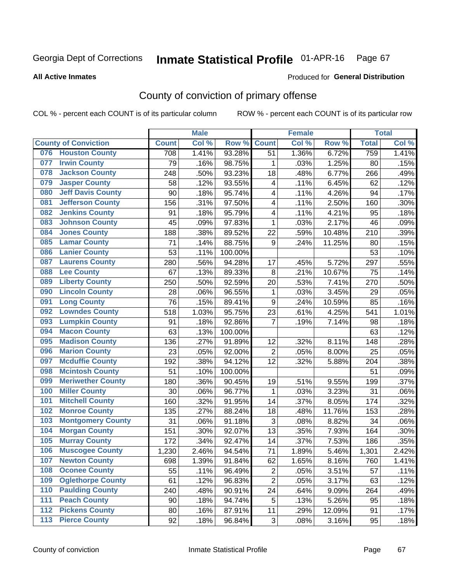## Inmate Statistical Profile 01-APR-16 Page 67

#### **All Active Inmates**

#### Produced for General Distribution

## County of conviction of primary offense

COL % - percent each COUNT is of its particular column

|       |                             |              | <b>Male</b> |         |                           | <b>Female</b> |        |              | <b>Total</b> |
|-------|-----------------------------|--------------|-------------|---------|---------------------------|---------------|--------|--------------|--------------|
|       | <b>County of Conviction</b> | <b>Count</b> | Col %       | Row %   | <b>Count</b>              | Col %         | Row %  | <b>Total</b> | Col %        |
| 076   | <b>Houston County</b>       | 708          | 1.41%       | 93.28%  | 51                        | 1.36%         | 6.72%  | 759          | 1.41%        |
| 077   | <b>Irwin County</b>         | 79           | .16%        | 98.75%  | 1                         | .03%          | 1.25%  | 80           | .15%         |
| 078   | <b>Jackson County</b>       | 248          | .50%        | 93.23%  | 18                        | .48%          | 6.77%  | 266          | .49%         |
| 079   | <b>Jasper County</b>        | 58           | .12%        | 93.55%  | 4                         | .11%          | 6.45%  | 62           | .12%         |
| 080   | <b>Jeff Davis County</b>    | 90           | .18%        | 95.74%  | 4                         | .11%          | 4.26%  | 94           | .17%         |
| 081   | <b>Jefferson County</b>     | 156          | .31%        | 97.50%  | 4                         | .11%          | 2.50%  | 160          | .30%         |
| 082   | <b>Jenkins County</b>       | 91           | .18%        | 95.79%  | 4                         | .11%          | 4.21%  | 95           | .18%         |
| 083   | <b>Johnson County</b>       | 45           | .09%        | 97.83%  | 1                         | .03%          | 2.17%  | 46           | .09%         |
| 084   | <b>Jones County</b>         | 188          | .38%        | 89.52%  | 22                        | .59%          | 10.48% | 210          | .39%         |
| 085   | <b>Lamar County</b>         | 71           | .14%        | 88.75%  | 9                         | .24%          | 11.25% | 80           | .15%         |
| 086   | <b>Lanier County</b>        | 53           | .11%        | 100.00% |                           |               |        | 53           | .10%         |
| 087   | <b>Laurens County</b>       | 280          | .56%        | 94.28%  | 17                        | .45%          | 5.72%  | 297          | .55%         |
| 088   | <b>Lee County</b>           | 67           | .13%        | 89.33%  | 8                         | .21%          | 10.67% | 75           | .14%         |
| 089   | <b>Liberty County</b>       | 250          | .50%        | 92.59%  | 20                        | .53%          | 7.41%  | 270          | .50%         |
| 090   | <b>Lincoln County</b>       | 28           | .06%        | 96.55%  | 1                         | .03%          | 3.45%  | 29           | .05%         |
| 091   | <b>Long County</b>          | 76           | .15%        | 89.41%  | 9                         | .24%          | 10.59% | 85           | .16%         |
| 092   | <b>Lowndes County</b>       | 518          | 1.03%       | 95.75%  | 23                        | .61%          | 4.25%  | 541          | 1.01%        |
| 093   | <b>Lumpkin County</b>       | 91           | .18%        | 92.86%  | $\overline{7}$            | .19%          | 7.14%  | 98           | .18%         |
| 094   | <b>Macon County</b>         | 63           | .13%        | 100.00% |                           |               |        | 63           | .12%         |
| 095   | <b>Madison County</b>       | 136          | .27%        | 91.89%  | 12                        | .32%          | 8.11%  | 148          | .28%         |
| 096   | <b>Marion County</b>        | 23           | .05%        | 92.00%  | $\overline{2}$            | .05%          | 8.00%  | 25           | .05%         |
| 097   | <b>Mcduffie County</b>      | 192          | .38%        | 94.12%  | 12                        | .32%          | 5.88%  | 204          | .38%         |
| 098   | <b>Mcintosh County</b>      | 51           | .10%        | 100.00% |                           |               |        | 51           | .09%         |
| 099   | <b>Meriwether County</b>    | 180          | .36%        | 90.45%  | 19                        | .51%          | 9.55%  | 199          | .37%         |
| 100   | <b>Miller County</b>        | 30           | .06%        | 96.77%  | $\mathbf{1}$              | .03%          | 3.23%  | 31           | .06%         |
| 101   | <b>Mitchell County</b>      | 160          | .32%        | 91.95%  | 14                        | .37%          | 8.05%  | 174          | .32%         |
| 102   | <b>Monroe County</b>        | 135          | .27%        | 88.24%  | 18                        | .48%          | 11.76% | 153          | .28%         |
| 103   | <b>Montgomery County</b>    | 31           | .06%        | 91.18%  | $\ensuremath{\mathsf{3}}$ | .08%          | 8.82%  | 34           | .06%         |
| 104   | <b>Morgan County</b>        | 151          | .30%        | 92.07%  | 13                        | .35%          | 7.93%  | 164          | .30%         |
| 105   | <b>Murray County</b>        | 172          | .34%        | 92.47%  | 14                        | .37%          | 7.53%  | 186          | .35%         |
| 106   | <b>Muscogee County</b>      | 1,230        | 2.46%       | 94.54%  | 71                        | 1.89%         | 5.46%  | 1,301        | 2.42%        |
| 107   | <b>Newton County</b>        | 698          | 1.39%       | 91.84%  | 62                        | 1.65%         | 8.16%  | 760          | 1.41%        |
| 108   | <b>Oconee County</b>        | 55           | .11%        | 96.49%  | $\overline{2}$            | .05%          | 3.51%  | 57           | .11%         |
| 109   | <b>Oglethorpe County</b>    | 61           | .12%        | 96.83%  | $\overline{2}$            | .05%          | 3.17%  | 63           | .12%         |
| 110   | <b>Paulding County</b>      | 240          | .48%        | 90.91%  | 24                        | .64%          | 9.09%  | 264          | .49%         |
| 111   | <b>Peach County</b>         | 90           | .18%        | 94.74%  | 5                         | .13%          | 5.26%  | 95           | .18%         |
| 112   | <b>Pickens County</b>       | 80           | .16%        | 87.91%  | 11                        | .29%          | 12.09% | 91           | .17%         |
| $113$ | <b>Pierce County</b>        | 92           | .18%        | 96.84%  | 3                         | .08%          | 3.16%  | 95           | .18%         |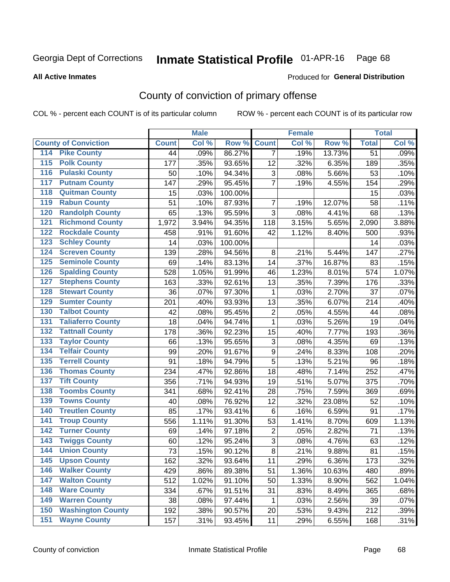## Inmate Statistical Profile 01-APR-16 Page 68

**All Active Inmates** 

#### Produced for General Distribution

## County of conviction of primary offense

COL % - percent each COUNT is of its particular column

|                                          |              | <b>Male</b> |         |                           | <b>Female</b> |        |                 | <b>Total</b> |
|------------------------------------------|--------------|-------------|---------|---------------------------|---------------|--------|-----------------|--------------|
| <b>County of Conviction</b>              | <b>Count</b> | Col %       | Row %   | <b>Count</b>              | Col %         | Row %  | <b>Total</b>    | Col %        |
| <b>Pike County</b><br>114                | 44           | .09%        | 86.27%  | $\overline{7}$            | .19%          | 13.73% | $\overline{51}$ | .09%         |
| <b>Polk County</b><br>$\overline{115}$   | 177          | .35%        | 93.65%  | 12                        | .32%          | 6.35%  | 189             | .35%         |
| <b>Pulaski County</b><br>116             | 50           | .10%        | 94.34%  | 3                         | .08%          | 5.66%  | 53              | .10%         |
| <b>Putnam County</b><br>117              | 147          | .29%        | 95.45%  | $\overline{7}$            | .19%          | 4.55%  | 154             | .29%         |
| <b>Quitman County</b><br>118             | 15           | .03%        | 100.00% |                           |               |        | 15              | .03%         |
| <b>Rabun County</b><br>119               | 51           | .10%        | 87.93%  | $\overline{7}$            | .19%          | 12.07% | 58              | .11%         |
| <b>Randolph County</b><br>120            | 65           | .13%        | 95.59%  | 3                         | .08%          | 4.41%  | 68              | .13%         |
| <b>Richmond County</b><br>121            | 1,972        | 3.94%       | 94.35%  | 118                       | 3.15%         | 5.65%  | 2,090           | 3.88%        |
| <b>Rockdale County</b><br>122            | 458          | .91%        | 91.60%  | 42                        | 1.12%         | 8.40%  | 500             | .93%         |
| <b>Schley County</b><br>123              | 14           | .03%        | 100.00% |                           |               |        | 14              | .03%         |
| <b>Screven County</b><br>124             | 139          | .28%        | 94.56%  | 8                         | .21%          | 5.44%  | 147             | .27%         |
| <b>Seminole County</b><br>125            | 69           | .14%        | 83.13%  | 14                        | .37%          | 16.87% | 83              | .15%         |
| <b>Spalding County</b><br>126            | 528          | 1.05%       | 91.99%  | 46                        | 1.23%         | 8.01%  | 574             | 1.07%        |
| <b>Stephens County</b><br>127            | 163          | .33%        | 92.61%  | 13                        | .35%          | 7.39%  | 176             | .33%         |
| <b>Stewart County</b><br>128             | 36           | .07%        | 97.30%  | 1                         | .03%          | 2.70%  | 37              | .07%         |
| <b>Sumter County</b><br>129              | 201          | .40%        | 93.93%  | 13                        | .35%          | 6.07%  | 214             | .40%         |
| <b>Talbot County</b><br>130              | 42           | .08%        | 95.45%  | $\overline{2}$            | .05%          | 4.55%  | 44              | .08%         |
| <b>Taliaferro County</b><br>131          | 18           | .04%        | 94.74%  | $\mathbf{1}$              | .03%          | 5.26%  | 19              | .04%         |
| <b>Tattnall County</b><br>132            | 178          | .36%        | 92.23%  | 15                        | .40%          | 7.77%  | 193             | .36%         |
| <b>Taylor County</b><br>133              | 66           | .13%        | 95.65%  | $\ensuremath{\mathsf{3}}$ | .08%          | 4.35%  | 69              | .13%         |
| <b>Telfair County</b><br>134             | 99           | .20%        | 91.67%  | 9                         | .24%          | 8.33%  | 108             | .20%         |
| <b>Terrell County</b><br>135             | 91           | .18%        | 94.79%  | 5                         | .13%          | 5.21%  | 96              | .18%         |
| <b>Thomas County</b><br>136              | 234          | .47%        | 92.86%  | 18                        | .48%          | 7.14%  | 252             | .47%         |
| <b>Tift County</b><br>137                | 356          | .71%        | 94.93%  | 19                        | .51%          | 5.07%  | 375             | .70%         |
| <b>Toombs County</b><br>138              | 341          | .68%        | 92.41%  | 28                        | .75%          | 7.59%  | 369             | .69%         |
| <b>Towns County</b><br>139               | 40           | .08%        | 76.92%  | 12                        | .32%          | 23.08% | 52              | .10%         |
| <b>Treutlen County</b><br>140            | 85           | .17%        | 93.41%  | $6\phantom{1}$            | .16%          | 6.59%  | 91              | .17%         |
| <b>Troup County</b><br>141               | 556          | 1.11%       | 91.30%  | 53                        | 1.41%         | 8.70%  | 609             | 1.13%        |
| <b>Turner County</b><br>142              | 69           | .14%        | 97.18%  | $\overline{2}$            | .05%          | 2.82%  | 71              | .13%         |
| <b>Twiggs County</b><br>$\overline{143}$ | 60           | .12%        | 95.24%  | $\overline{3}$            | .08%          | 4.76%  | 63              | .12%         |
| <b>Union County</b><br>144               | 73           | .15%        | 90.12%  | 8                         | .21%          | 9.88%  | 81              | .15%         |
| 145<br><b>Upson County</b>               | 162          | .32%        | 93.64%  | 11                        | .29%          | 6.36%  | 173             | .32%         |
| <b>Walker County</b><br>146              | 429          | .86%        | 89.38%  | 51                        | 1.36%         | 10.63% | 480             | .89%         |
| <b>Walton County</b><br>147              | 512          | 1.02%       | 91.10%  | 50                        | 1.33%         | 8.90%  | 562             | 1.04%        |
| <b>Ware County</b><br>148                | 334          | .67%        | 91.51%  | 31                        | .83%          | 8.49%  | 365             | .68%         |
| <b>Warren County</b><br>149              | 38           | .08%        | 97.44%  | 1                         | .03%          | 2.56%  | 39              | .07%         |
| <b>Washington County</b><br>150          | 192          | .38%        | 90.57%  | 20                        | .53%          | 9.43%  | 212             | .39%         |
| <b>Wayne County</b><br>151               | 157          | .31%        | 93.45%  | 11                        | .29%          | 6.55%  | 168             | .31%         |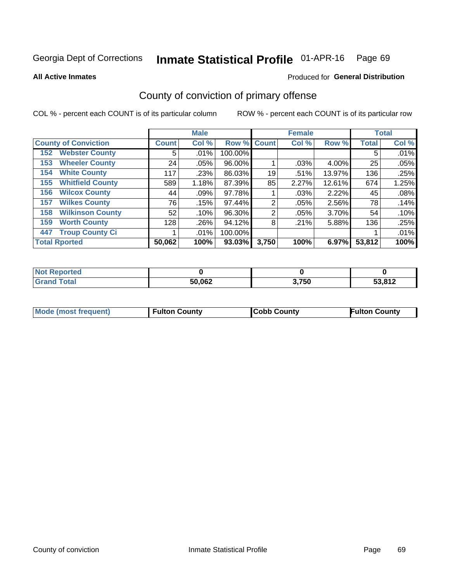#### Inmate Statistical Profile 01-APR-16 Page 69

**All Active Inmates** 

### Produced for General Distribution

## County of conviction of primary offense

COL % - percent each COUNT is of its particular column

|                                |              | <b>Male</b> |             |                | <b>Female</b> |        |              | <b>Total</b> |
|--------------------------------|--------------|-------------|-------------|----------------|---------------|--------|--------------|--------------|
| <b>County of Conviction</b>    | <b>Count</b> | Col %       | Row % Count |                | Col %         | Row %  | <b>Total</b> | Col %        |
| <b>Webster County</b><br>152   | 5            | $.01\%$     | 100.00%     |                |               |        | 5            | .01%         |
| <b>Wheeler County</b><br>153   | 24           | $.05\%$     | 96.00%      |                | .03%          | 4.00%  | 25           | .05%         |
| <b>White County</b><br>154     | 117          | .23%        | 86.03%      | 19             | .51%          | 13.97% | 136          | .25%         |
| <b>Whitfield County</b><br>155 | 589          | 1.18%       | 87.39%      | 85             | 2.27%         | 12.61% | 674          | 1.25%        |
| <b>Wilcox County</b><br>156    | 44           | .09%        | 97.78%      |                | .03%          | 2.22%  | 45           | .08%         |
| <b>Wilkes County</b><br>157    | 76           | .15%        | 97.44%      | $\overline{2}$ | .05%          | 2.56%  | 78           | .14%         |
| <b>Wilkinson County</b><br>158 | 52           | .10%        | 96.30%      | 2              | .05%          | 3.70%  | 54           | .10%         |
| <b>Worth County</b><br>159     | 128          | .26%        | 94.12%      | 8              | .21%          | 5.88%  | 136          | .25%         |
| <b>Troup County Ci</b><br>447  |              | $.01\%$     | 100.00%     |                |               |        |              | .01%         |
| <b>Total Rported</b>           | 50,062       | 100%        | 93.03%      | 3,750          | 100%          | 6.97%  | 53,812       | 100%         |

| <b>Not Reported</b> |        |       |        |
|---------------------|--------|-------|--------|
| <b>Grand Total</b>  | 50,062 | 3,750 | 53,812 |

|  | <b>Mode (most frequent)</b> | <b>Fulton County</b> | <b>Cobb County</b> | <b>Fulton County</b> |
|--|-----------------------------|----------------------|--------------------|----------------------|
|--|-----------------------------|----------------------|--------------------|----------------------|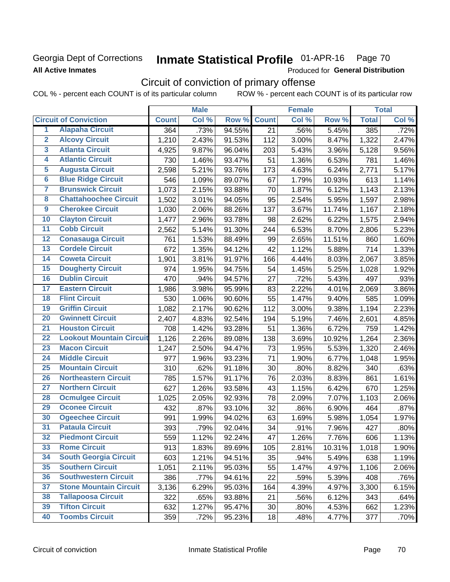## Georgia Dept of Corrections **All Active Inmates**

#### Inmate Statistical Profile 01-APR-16 Page 70

Produced for General Distribution

## Circuit of conviction of primary offense

COL % - percent each COUNT is of its particular column ROW % - percent each COUNT is of its particular row

|                         |                                 |                    | <b>Male</b> |        |                 | <b>Female</b> |        |              | <b>Total</b> |
|-------------------------|---------------------------------|--------------------|-------------|--------|-----------------|---------------|--------|--------------|--------------|
|                         | <b>Circuit of Conviction</b>    | <b>Count</b>       | Col %       | Row %  | <b>Count</b>    | Col %         | Row %  | <b>Total</b> | Col %        |
| 1                       | <b>Alapaha Circuit</b>          | 364                | .73%        | 94.55% | $\overline{21}$ | .56%          | 5.45%  | 385          | .72%         |
| $\overline{2}$          | <b>Alcovy Circuit</b>           | 1,210              | 2.43%       | 91.53% | 112             | 3.00%         | 8.47%  | 1,322        | 2.47%        |
| $\overline{\mathbf{3}}$ | <b>Atlanta Circuit</b>          | 4,925              | 9.87%       | 96.04% | 203             | 5.43%         | 3.96%  | 5,128        | 9.56%        |
| 4                       | <b>Atlantic Circuit</b>         | 730                | 1.46%       | 93.47% | 51              | 1.36%         | 6.53%  | 781          | 1.46%        |
| 5                       | <b>Augusta Circuit</b>          | 2,598              | 5.21%       | 93.76% | 173             | 4.63%         | 6.24%  | 2,771        | 5.17%        |
| $\overline{\bf{6}}$     | <b>Blue Ridge Circuit</b>       | 546                | 1.09%       | 89.07% | 67              | 1.79%         | 10.93% | 613          | 1.14%        |
| 7                       | <b>Brunswick Circuit</b>        | $\overline{1,073}$ | 2.15%       | 93.88% | 70              | 1.87%         | 6.12%  | 1,143        | 2.13%        |
| $\overline{\mathbf{8}}$ | <b>Chattahoochee Circuit</b>    | 1,502              | 3.01%       | 94.05% | 95              | 2.54%         | 5.95%  | 1,597        | 2.98%        |
| $\overline{9}$          | <b>Cherokee Circuit</b>         | 1,030              | 2.06%       | 88.26% | 137             | 3.67%         | 11.74% | 1,167        | 2.18%        |
| 10                      | <b>Clayton Circuit</b>          | 1,477              | 2.96%       | 93.78% | 98              | 2.62%         | 6.22%  | 1,575        | 2.94%        |
| $\overline{11}$         | <b>Cobb Circuit</b>             | 2,562              | 5.14%       | 91.30% | 244             | 6.53%         | 8.70%  | 2,806        | 5.23%        |
| $\overline{12}$         | <b>Conasauga Circuit</b>        | 761                | 1.53%       | 88.49% | 99              | 2.65%         | 11.51% | 860          | 1.60%        |
| 13                      | <b>Cordele Circuit</b>          | 672                | 1.35%       | 94.12% | 42              | 1.12%         | 5.88%  | 714          | 1.33%        |
| $\overline{14}$         | <b>Coweta Circuit</b>           | 1,901              | 3.81%       | 91.97% | 166             | 4.44%         | 8.03%  | 2,067        | 3.85%        |
| 15                      | <b>Dougherty Circuit</b>        | 974                | 1.95%       | 94.75% | 54              | 1.45%         | 5.25%  | 1,028        | 1.92%        |
| 16                      | <b>Dublin Circuit</b>           | 470                | .94%        | 94.57% | 27              | .72%          | 5.43%  | 497          | .93%         |
| 17                      | <b>Eastern Circuit</b>          | 1,986              | 3.98%       | 95.99% | 83              | 2.22%         | 4.01%  | 2,069        | 3.86%        |
| $\overline{18}$         | <b>Flint Circuit</b>            | 530                | 1.06%       | 90.60% | 55              | 1.47%         | 9.40%  | 585          | 1.09%        |
| 19                      | <b>Griffin Circuit</b>          | 1,082              | 2.17%       | 90.62% | 112             | 3.00%         | 9.38%  | 1,194        | 2.23%        |
| 20                      | <b>Gwinnett Circuit</b>         | 2,407              | 4.83%       | 92.54% | 194             | 5.19%         | 7.46%  | 2,601        | 4.85%        |
| $\overline{21}$         | <b>Houston Circuit</b>          | 708                | 1.42%       | 93.28% | 51              | 1.36%         | 6.72%  | 759          | 1.42%        |
| $\overline{22}$         | <b>Lookout Mountain Circuit</b> | 1,126              | 2.26%       | 89.08% | 138             | 3.69%         | 10.92% | 1,264        | 2.36%        |
| 23                      | <b>Macon Circuit</b>            | 1,247              | 2.50%       | 94.47% | 73              | 1.95%         | 5.53%  | 1,320        | 2.46%        |
| $\overline{24}$         | <b>Middle Circuit</b>           | 977                | 1.96%       | 93.23% | 71              | 1.90%         | 6.77%  | 1,048        | 1.95%        |
| $\overline{25}$         | <b>Mountain Circuit</b>         | 310                | .62%        | 91.18% | 30              | .80%          | 8.82%  | 340          | .63%         |
| 26                      | <b>Northeastern Circuit</b>     | 785                | 1.57%       | 91.17% | 76              | 2.03%         | 8.83%  | 861          | 1.61%        |
| $\overline{27}$         | <b>Northern Circuit</b>         | 627                | 1.26%       | 93.58% | 43              | 1.15%         | 6.42%  | 670          | 1.25%        |
| 28                      | <b>Ocmulgee Circuit</b>         | 1,025              | 2.05%       | 92.93% | 78              | 2.09%         | 7.07%  | 1,103        | 2.06%        |
| 29                      | <b>Oconee Circuit</b>           | 432                | .87%        | 93.10% | 32              | .86%          | 6.90%  | 464          | .87%         |
| 30                      | <b>Ogeechee Circuit</b>         | 991                | 1.99%       | 94.02% | 63              | 1.69%         | 5.98%  | 1,054        | 1.97%        |
| $\overline{31}$         | <b>Pataula Circuit</b>          | 393                | .79%        | 92.04% | 34              | .91%          | 7.96%  | 427          | .80%         |
| 32                      | <b>Piedmont Circuit</b>         | 559                | 1.12%       | 92.24% | 47              | 1.26%         | 7.76%  | 606          | 1.13%        |
| 33                      | <b>Rome Circuit</b>             | 913                | 1.83%       | 89.69% | 105             | 2.81%         | 10.31% | 1,018        | 1.90%        |
| 34                      | <b>South Georgia Circuit</b>    | 603                | 1.21%       | 94.51% | 35              | .94%          | 5.49%  | 638          | 1.19%        |
| 35                      | <b>Southern Circuit</b>         | 1,051              | 2.11%       | 95.03% | 55              | 1.47%         | 4.97%  | 1,106        | 2.06%        |
| 36                      | <b>Southwestern Circuit</b>     | 386                | .77%        | 94.61% | 22              | .59%          | 5.39%  | 408          | .76%         |
| 37                      | <b>Stone Mountain Circuit</b>   | 3,136              | 6.29%       | 95.03% | 164             | 4.39%         | 4.97%  | 3,300        | 6.15%        |
| 38                      | <b>Tallapoosa Circuit</b>       | 322                | .65%        | 93.88% | 21              | .56%          | 6.12%  | 343          | .64%         |
| 39                      | <b>Tifton Circuit</b>           | 632                | 1.27%       | 95.47% | 30              | .80%          | 4.53%  | 662          | 1.23%        |
| 40                      | <b>Toombs Circuit</b>           | 359                | .72%        | 95.23% | 18              | .48%          | 4.77%  | 377          | .70%         |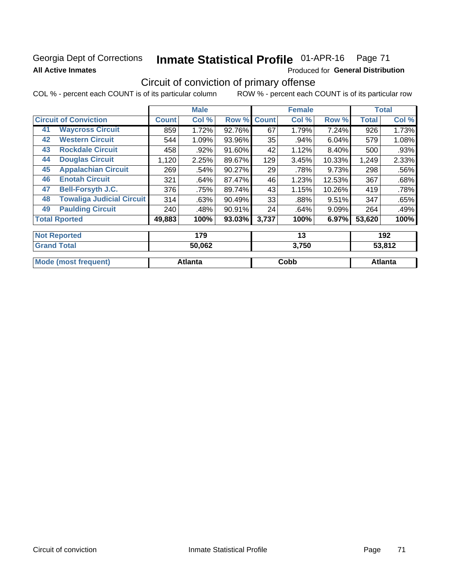## Georgia Dept of Corrections **All Active Inmates**

#### Inmate Statistical Profile 01-APR-16 Page 71

Produced for General Distribution

## Circuit of conviction of primary offense

COL % - percent each COUNT is of its particular column ROW % - percent each COUNT is of its particular row

|                                        |              | <b>Male</b> |        |              | <b>Female</b> |          |              | <b>Total</b> |
|----------------------------------------|--------------|-------------|--------|--------------|---------------|----------|--------------|--------------|
| <b>Circuit of Conviction</b>           | <b>Count</b> | Col %       | Row %  | <b>Count</b> | Col %         | Row %    | <b>Total</b> | Col %        |
| <b>Waycross Circuit</b><br>41          | 859          | 1.72%       | 92.76% | 67           | 1.79%         | 7.24%    | 926          | 1.73%        |
| <b>Western Circuit</b><br>42           | 544          | 1.09%       | 93.96% | 35           | .94%          | 6.04%    | 579          | 1.08%        |
| <b>Rockdale Circuit</b><br>43          | 458          | .92%        | 91.60% | 42           | 1.12%         | 8.40%    | 500          | .93%         |
| <b>Douglas Circuit</b><br>44           | 1,120        | 2.25%       | 89.67% | 129          | 3.45%         | 10.33%   | 1,249        | 2.33%        |
| <b>Appalachian Circuit</b><br>45       | 269          | .54%        | 90.27% | 29           | .78%          | 9.73%    | 298          | .56%         |
| <b>Enotah Circuit</b><br>46            | 321          | .64%        | 87.47% | 46           | 1.23%         | 12.53%   | 367          | .68%         |
| <b>Bell-Forsyth J.C.</b><br>47         | 376          | .75%        | 89.74% | 43           | 1.15%         | 10.26%   | 419          | .78%         |
| <b>Towaliga Judicial Circuit</b><br>48 | 314          | .63%        | 90.49% | 33           | .88%          | 9.51%    | 347          | .65%         |
| <b>Paulding Circuit</b><br>49          | 240          | .48%        | 90.91% | 24           | .64%          | $9.09\%$ | 264          | .49%         |
| <b>Total Rported</b>                   | 49,883       | 100%        | 93.03% | 3,737        | 100%          | 6.97%    | 53,620       | 100%         |
| <b>Not Reported</b>                    |              | 179         |        |              | 13            |          |              | 192          |
| <b>Grand Total</b>                     |              | 50.062      |        |              | 3 750         |          |              | 53812        |

| Cobb    | Atlanta |
|---------|---------|
| Atlanta |         |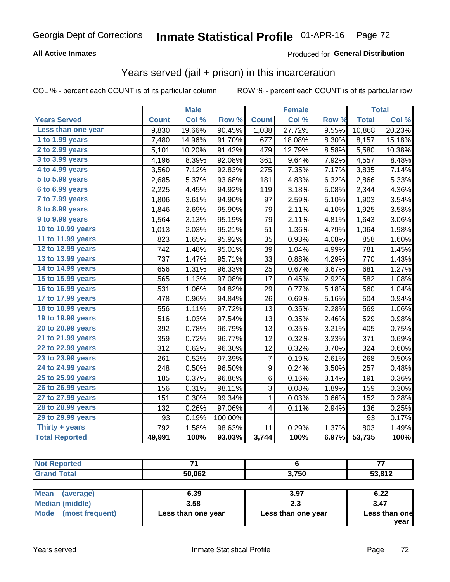### **All Active Inmates**

### Produced for **General Distribution**

## Years served (jail + prison) in this incarceration

COL % - percent each COUNT is of its particular column ROW % - percent each COUNT is of its particular row

|                              |              | <b>Male</b> |         |              | <b>Female</b> |       |              | <b>Total</b> |
|------------------------------|--------------|-------------|---------|--------------|---------------|-------|--------------|--------------|
| <b>Years Served</b>          | <b>Count</b> | Col %       | Row %   | <b>Count</b> | Col %         | Row % | <b>Total</b> | Col %        |
| Less than one year           | 9,830        | 19.66%      | 90.45%  | 1,038        | 27.72%        | 9.55% | 10,868       | 20.23%       |
| 1 to 1.99 years              | 7,480        | 14.96%      | 91.70%  | 677          | 18.08%        | 8.30% | 8,157        | 15.18%       |
| 2 to 2.99 years              | 5,101        | 10.20%      | 91.42%  | 479          | 12.79%        | 8.58% | 5,580        | 10.38%       |
| $3$ to $3.99$ years          | 4,196        | 8.39%       | 92.08%  | 361          | 9.64%         | 7.92% | 4,557        | 8.48%        |
| $\overline{4}$ to 4.99 years | 3,560        | 7.12%       | 92.83%  | 275          | 7.35%         | 7.17% | 3,835        | 7.14%        |
| $\overline{5}$ to 5.99 years | 2,685        | 5.37%       | 93.68%  | 181          | 4.83%         | 6.32% | 2,866        | 5.33%        |
| $6$ to $6.99$ years          | 2,225        | 4.45%       | 94.92%  | 119          | 3.18%         | 5.08% | 2,344        | 4.36%        |
| 7 to 7.99 years              | 1,806        | 3.61%       | 94.90%  | 97           | 2.59%         | 5.10% | 1,903        | 3.54%        |
| 8 to 8.99 years              | 1,846        | 3.69%       | 95.90%  | 79           | 2.11%         | 4.10% | 1,925        | 3.58%        |
| 9 to 9.99 years              | 1,564        | 3.13%       | 95.19%  | 79           | 2.11%         | 4.81% | 1,643        | 3.06%        |
| 10 to 10.99 years            | 1,013        | 2.03%       | 95.21%  | 51           | 1.36%         | 4.79% | 1,064        | 1.98%        |
| 11 to 11.99 years            | 823          | 1.65%       | 95.92%  | 35           | 0.93%         | 4.08% | 858          | 1.60%        |
| 12 to 12.99 years            | 742          | 1.48%       | 95.01%  | 39           | 1.04%         | 4.99% | 781          | 1.45%        |
| 13 to 13.99 years            | 737          | 1.47%       | 95.71%  | 33           | 0.88%         | 4.29% | 770          | 1.43%        |
| 14 to 14.99 years            | 656          | 1.31%       | 96.33%  | 25           | 0.67%         | 3.67% | 681          | 1.27%        |
| 15 to 15.99 years            | 565          | 1.13%       | 97.08%  | 17           | 0.45%         | 2.92% | 582          | 1.08%        |
| 16 to 16.99 years            | 531          | 1.06%       | 94.82%  | 29           | 0.77%         | 5.18% | 560          | 1.04%        |
| 17 to 17.99 years            | 478          | 0.96%       | 94.84%  | 26           | 0.69%         | 5.16% | 504          | 0.94%        |
| 18 to 18.99 years            | 556          | 1.11%       | 97.72%  | 13           | 0.35%         | 2.28% | 569          | 1.06%        |
| 19 to 19.99 years            | 516          | 1.03%       | 97.54%  | 13           | 0.35%         | 2.46% | 529          | 0.98%        |
| 20 to 20.99 years            | 392          | 0.78%       | 96.79%  | 13           | 0.35%         | 3.21% | 405          | 0.75%        |
| 21 to 21.99 years            | 359          | 0.72%       | 96.77%  | 12           | 0.32%         | 3.23% | 371          | 0.69%        |
| 22 to 22.99 years            | 312          | 0.62%       | 96.30%  | 12           | 0.32%         | 3.70% | 324          | 0.60%        |
| 23 to 23.99 years            | 261          | 0.52%       | 97.39%  | 7            | 0.19%         | 2.61% | 268          | 0.50%        |
| 24 to 24.99 years            | 248          | 0.50%       | 96.50%  | 9            | 0.24%         | 3.50% | 257          | 0.48%        |
| 25 to 25.99 years            | 185          | 0.37%       | 96.86%  | 6            | 0.16%         | 3.14% | 191          | 0.36%        |
| 26 to 26.99 years            | 156          | 0.31%       | 98.11%  | 3            | 0.08%         | 1.89% | 159          | 0.30%        |
| 27 to 27.99 years            | 151          | 0.30%       | 99.34%  | 1            | 0.03%         | 0.66% | 152          | 0.28%        |
| 28 to 28.99 years            | 132          | 0.26%       | 97.06%  | 4            | 0.11%         | 2.94% | 136          | 0.25%        |
| 29 to 29.99 years            | 93           | 0.19%       | 100.00% |              |               |       | 93           | 0.17%        |
| Thirty + years               | 792          | 1.58%       | 98.63%  | 11           | 0.29%         | 1.37% | 803          | 1.49%        |
| <b>Total Reported</b>        | 49,991       | 100%        | 93.03%  | 3,744        | 100%          | 6.97% | 53,735       | 100%         |

| <b>Not Reported</b>      | 71                 |                    | 77            |
|--------------------------|--------------------|--------------------|---------------|
| <b>Grand Total</b>       | 50,062             | 3.750              | 53,812        |
|                          |                    |                    |               |
| <b>Mean</b><br>(average) | 6.39               | 3.97               | 6.22          |
| <b>Median (middle)</b>   | 3.58               | 2.3                | 3.47          |
| Mode<br>(most frequent)  | Less than one year | Less than one year | Less than one |
|                          |                    |                    | vear          |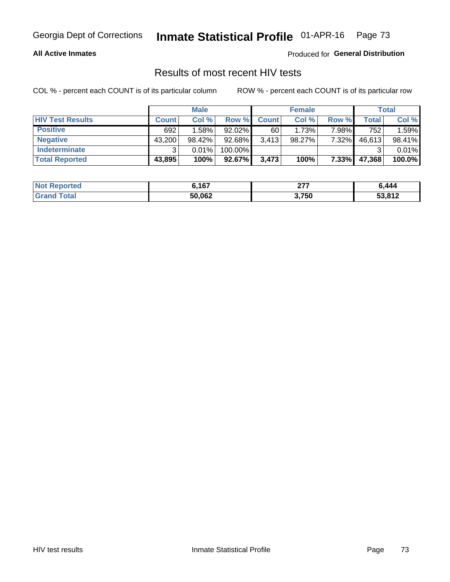#### **All Active Inmates**

Produced for **General Distribution**

## Results of most recent HIV tests

|                         | <b>Male</b>  |        |           | <b>Female</b> |           |          | Total  |        |
|-------------------------|--------------|--------|-----------|---------------|-----------|----------|--------|--------|
| <b>HIV Test Results</b> | <b>Count</b> | Col%   | Row %I    | <b>Count</b>  | Col %     | Row %    | Total  | Col %  |
| <b>Positive</b>         | 692          | 1.58%  | $92.02\%$ | 60            | 1.73%     | 7.98%    | 752    | 1.59%  |
| <b>Negative</b>         | 43,200       | 98.42% | $92.68\%$ | 3,413         | $98.27\%$ | 7.32%    | 46,613 | 98.41% |
| <b>Indeterminate</b>    | າ            | 0.01%  | 100.00%   |               |           |          |        | 0.01%  |
| <b>Total Reported</b>   | 43,895       | 100%   | $92.67\%$ | 3,473         | 100%      | $7.33\%$ | 47,368 | 100.0% |

| <b>Not Reported</b> | 6,167  | ヘフフ<br>- 11 | 6,444  |
|---------------------|--------|-------------|--------|
| <b>Grand Total</b>  | 50,062 | 3,750       | 53,812 |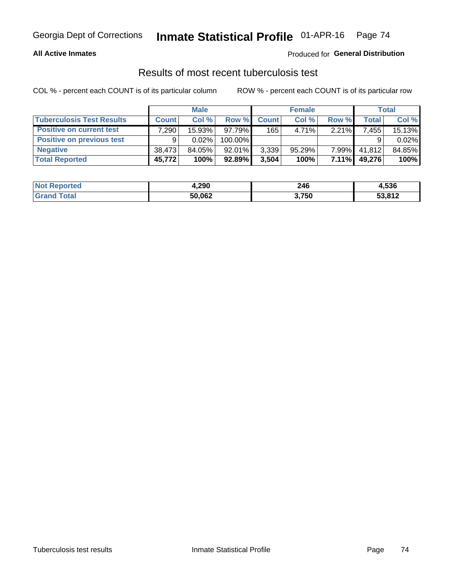#### **All Active Inmates**

### Produced for **General Distribution**

### Results of most recent tuberculosis test

|                                  | <b>Male</b>  |          |           | <b>Female</b> |        |          | Total  |        |
|----------------------------------|--------------|----------|-----------|---------------|--------|----------|--------|--------|
| <b>Tuberculosis Test Results</b> | <b>Count</b> | Col%     | Row %I    | <b>Count</b>  | Col%   | Row %    | Total  | Col %  |
| <b>Positive on current test</b>  | 7,290        | 15.93%   | 97.79%    | 165           | 4.71%  | $2.21\%$ | 7,455  | 15.13% |
| <b>Positive on previous test</b> | 9            | $0.02\%$ | 100.00%   |               |        |          |        | 0.02%  |
| <b>Negative</b>                  | 38.473       | 84.05%   | $92.01\%$ | 3,339         | 95.29% | $7.99\%$ | 41,812 | 84.85% |
| <b>Total Reported</b>            | 45,772       | 100%     | $92.89\%$ | 3,504         | 100%   | $7.11\%$ | 49,276 | 100%   |

| <b>Not Reported</b> | 4,290  | 246   | 4,536  |
|---------------------|--------|-------|--------|
| Total               | 50,062 | 3,750 | 53,812 |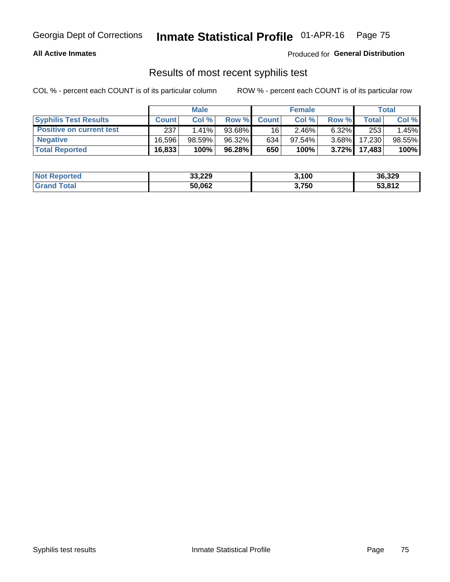#### **All Active Inmates**

Produced for **General Distribution**

## Results of most recent syphilis test

|                                 | <b>Male</b>  |           |           | <b>Female</b> |           |          | Total   |        |
|---------------------------------|--------------|-----------|-----------|---------------|-----------|----------|---------|--------|
| <b>Syphilis Test Results</b>    | <b>Count</b> | Col%      | Row %I    | <b>Count</b>  | Col %     | Row %    | Total I | Col %  |
| <b>Positive on current test</b> | 237          | $1.41\%$  | $93.68\%$ | 16            | 2.46%     | $6.32\%$ | 253     | 1.45%  |
| <b>Negative</b>                 | 16.596       | $98.59\%$ | 96.32%    | 634           | $97.54\%$ | $3.68\%$ | 17,230  | 98.55% |
| <b>Total Reported</b>           | 16,833       | 100%      | 96.28%    | 650           | 100%      | $3.72\%$ | 17.483  | 100%   |

| <b>Not Reported</b> | 33,229 | 3,100 | 36,329 |
|---------------------|--------|-------|--------|
| <b>Grand Total</b>  | 50,062 | 3,750 | 53,812 |